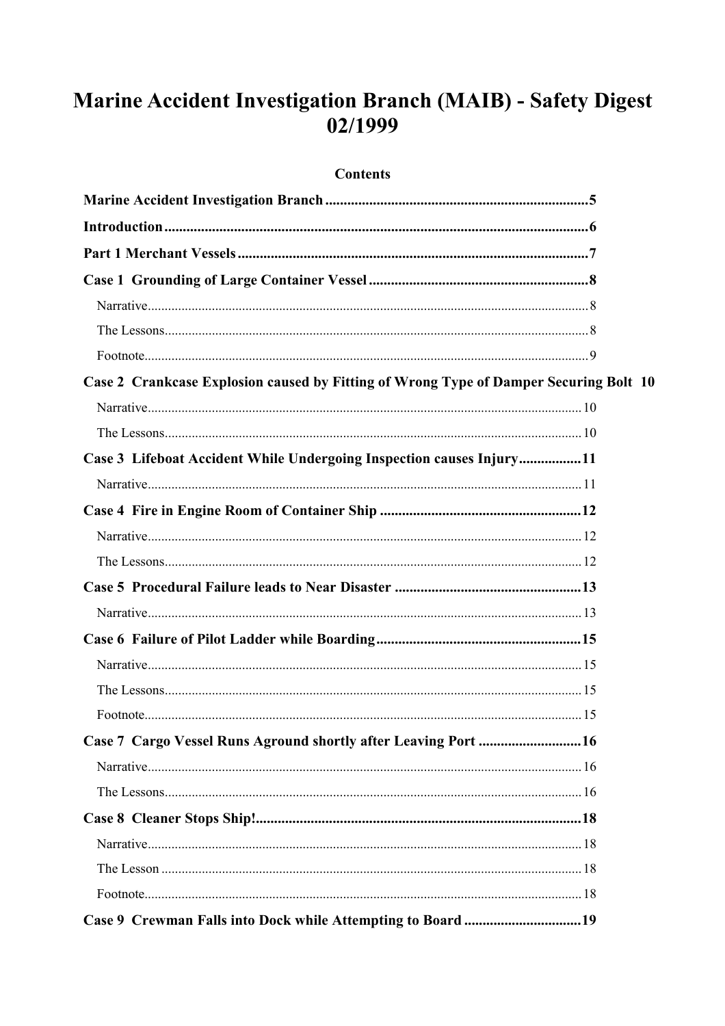# Marine Accident Investigation Branch (MAIB) - Safety Digest 02/1999

## **Contents**

| Case 2 Crankcase Explosion caused by Fitting of Wrong Type of Damper Securing Bolt 10 |  |
|---------------------------------------------------------------------------------------|--|
|                                                                                       |  |
|                                                                                       |  |
| Case 3 Lifeboat Accident While Undergoing Inspection causes Injury11                  |  |
|                                                                                       |  |
|                                                                                       |  |
|                                                                                       |  |
|                                                                                       |  |
|                                                                                       |  |
|                                                                                       |  |
|                                                                                       |  |
|                                                                                       |  |
|                                                                                       |  |
|                                                                                       |  |
| Case 7 Cargo Vessel Runs Aground shortly after Leaving Port  16                       |  |
|                                                                                       |  |
|                                                                                       |  |
|                                                                                       |  |
|                                                                                       |  |
|                                                                                       |  |
|                                                                                       |  |
|                                                                                       |  |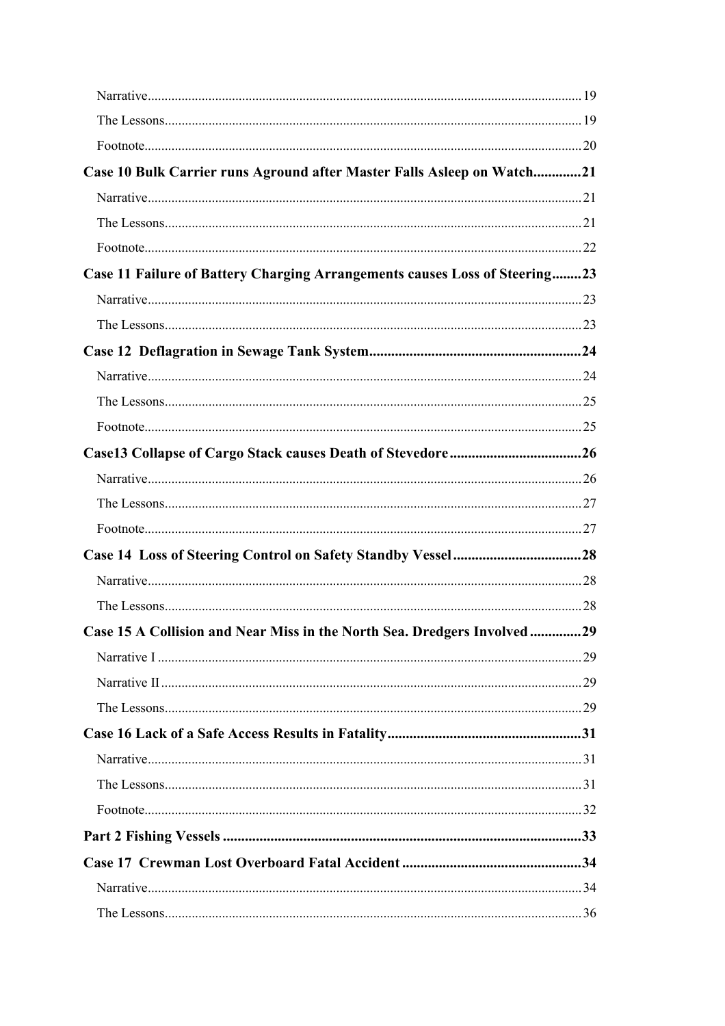| Case 10 Bulk Carrier runs Aground after Master Falls Asleep on Watch21      |  |
|-----------------------------------------------------------------------------|--|
|                                                                             |  |
|                                                                             |  |
|                                                                             |  |
| Case 11 Failure of Battery Charging Arrangements causes Loss of Steering 23 |  |
|                                                                             |  |
|                                                                             |  |
|                                                                             |  |
|                                                                             |  |
|                                                                             |  |
|                                                                             |  |
|                                                                             |  |
|                                                                             |  |
|                                                                             |  |
|                                                                             |  |
|                                                                             |  |
|                                                                             |  |
|                                                                             |  |
| Case 15 A Collision and Near Miss in the North Sea. Dredgers Involved29     |  |
|                                                                             |  |
|                                                                             |  |
|                                                                             |  |
|                                                                             |  |
|                                                                             |  |
|                                                                             |  |
|                                                                             |  |
|                                                                             |  |
|                                                                             |  |
|                                                                             |  |
|                                                                             |  |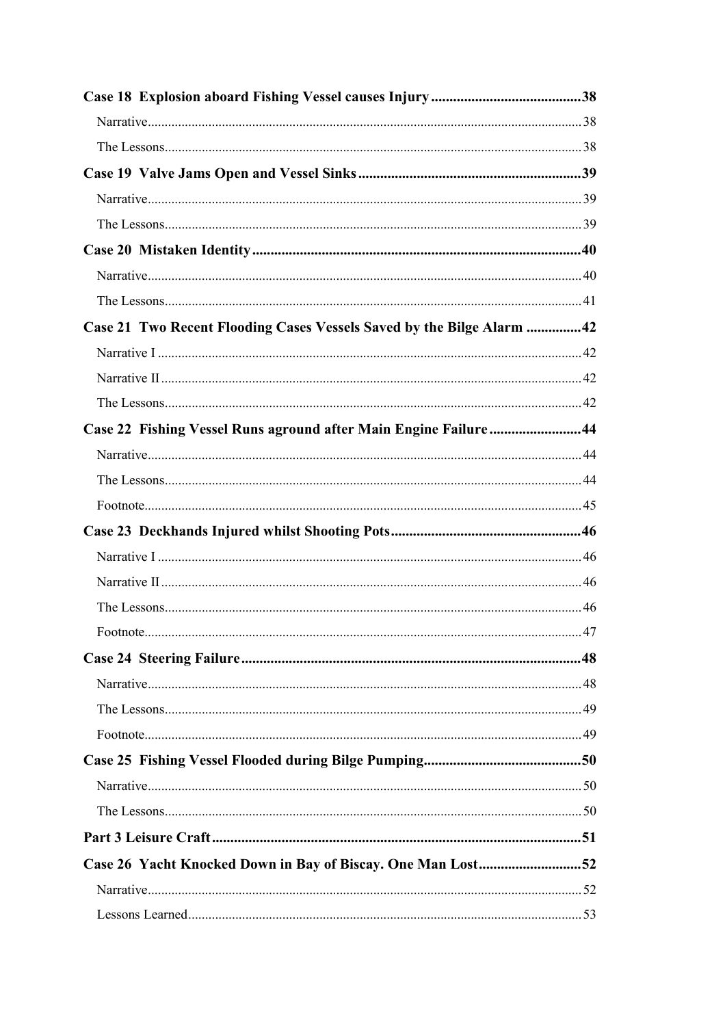| Case 21 Two Recent Flooding Cases Vessels Saved by the Bilge Alarm 42 |  |
|-----------------------------------------------------------------------|--|
|                                                                       |  |
|                                                                       |  |
|                                                                       |  |
| Case 22 Fishing Vessel Runs aground after Main Engine Failure44       |  |
|                                                                       |  |
|                                                                       |  |
|                                                                       |  |
|                                                                       |  |
|                                                                       |  |
|                                                                       |  |
|                                                                       |  |
|                                                                       |  |
|                                                                       |  |
|                                                                       |  |
|                                                                       |  |
|                                                                       |  |
|                                                                       |  |
|                                                                       |  |
|                                                                       |  |
|                                                                       |  |
| Case 26 Yacht Knocked Down in Bay of Biscay. One Man Lost52           |  |
|                                                                       |  |
|                                                                       |  |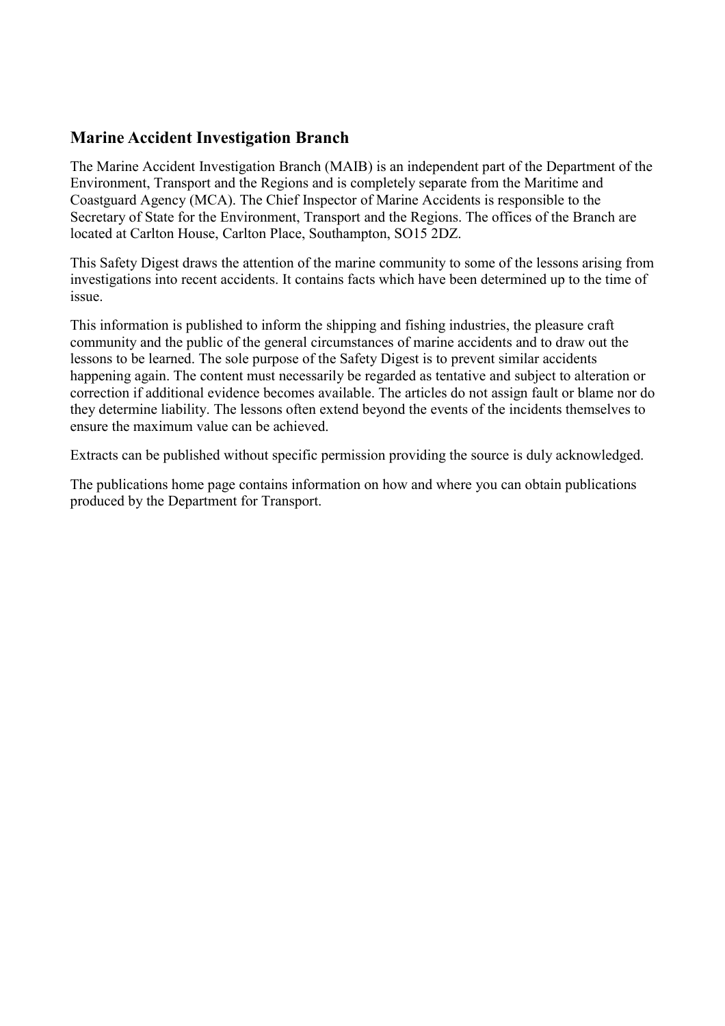## <span id="page-4-0"></span>**Marine Accident Investigation Branch**

The Marine Accident Investigation Branch (MAIB) is an independent part of the Department of the Environment, Transport and the Regions and is completely separate from the Maritime and Coastguard Agency (MCA). The Chief Inspector of Marine Accidents is responsible to the Secretary of State for the Environment, Transport and the Regions. The offices of the Branch are located at Carlton House, Carlton Place, Southampton, SO15 2DZ.

This Safety Digest draws the attention of the marine community to some of the lessons arising from investigations into recent accidents. It contains facts which have been determined up to the time of issue.

This information is published to inform the shipping and fishing industries, the pleasure craft community and the public of the general circumstances of marine accidents and to draw out the lessons to be learned. The sole purpose of the Safety Digest is to prevent similar accidents happening again. The content must necessarily be regarded as tentative and subject to alteration or correction if additional evidence becomes available. The articles do not assign fault or blame nor do they determine liability. The lessons often extend beyond the events of the incidents themselves to ensure the maximum value can be achieved.

Extracts can be published without specific permission providing the source is duly acknowledged.

The publications home page contains information on how and where you can obtain publications produced by the Department for Transport.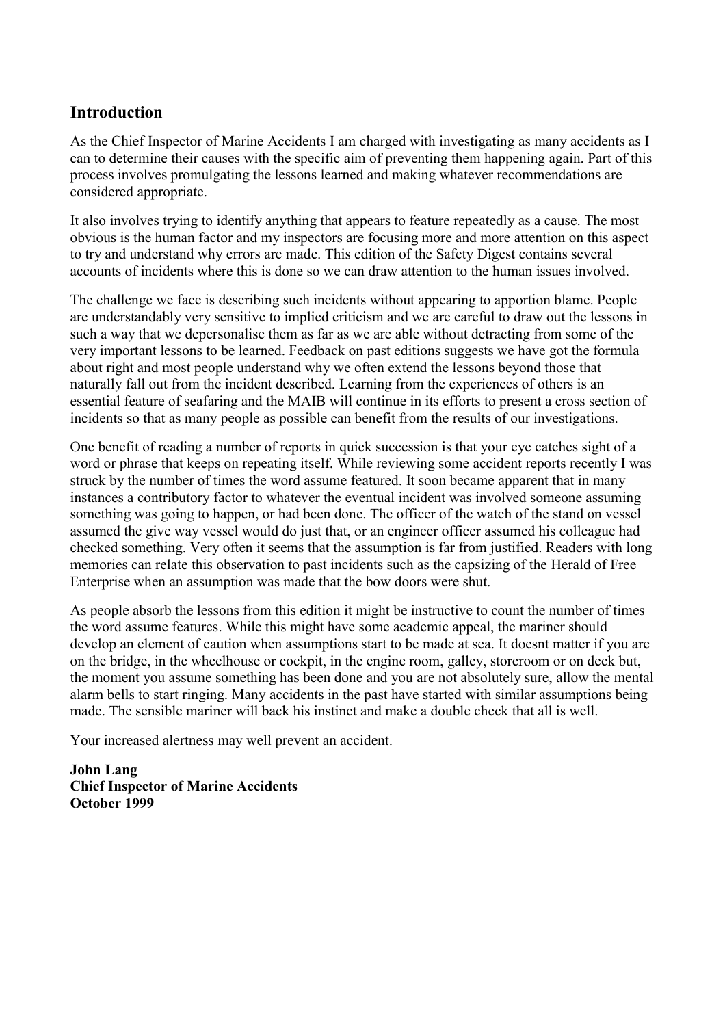## <span id="page-5-0"></span>**Introduction**

As the Chief Inspector of Marine Accidents I am charged with investigating as many accidents as I can to determine their causes with the specific aim of preventing them happening again. Part of this process involves promulgating the lessons learned and making whatever recommendations are considered appropriate.

It also involves trying to identify anything that appears to feature repeatedly as a cause. The most obvious is the human factor and my inspectors are focusing more and more attention on this aspect to try and understand why errors are made. This edition of the Safety Digest contains several accounts of incidents where this is done so we can draw attention to the human issues involved.

The challenge we face is describing such incidents without appearing to apportion blame. People are understandably very sensitive to implied criticism and we are careful to draw out the lessons in such a way that we depersonalise them as far as we are able without detracting from some of the very important lessons to be learned. Feedback on past editions suggests we have got the formula about right and most people understand why we often extend the lessons beyond those that naturally fall out from the incident described. Learning from the experiences of others is an essential feature of seafaring and the MAIB will continue in its efforts to present a cross section of incidents so that as many people as possible can benefit from the results of our investigations.

One benefit of reading a number of reports in quick succession is that your eye catches sight of a word or phrase that keeps on repeating itself. While reviewing some accident reports recently I was struck by the number of times the word assume featured. It soon became apparent that in many instances a contributory factor to whatever the eventual incident was involved someone assuming something was going to happen, or had been done. The officer of the watch of the stand on vessel assumed the give way vessel would do just that, or an engineer officer assumed his colleague had checked something. Very often it seems that the assumption is far from justified. Readers with long memories can relate this observation to past incidents such as the capsizing of the Herald of Free Enterprise when an assumption was made that the bow doors were shut.

As people absorb the lessons from this edition it might be instructive to count the number of times the word assume features. While this might have some academic appeal, the mariner should develop an element of caution when assumptions start to be made at sea. It doesnt matter if you are on the bridge, in the wheelhouse or cockpit, in the engine room, galley, storeroom or on deck but, the moment you assume something has been done and you are not absolutely sure, allow the mental alarm bells to start ringing. Many accidents in the past have started with similar assumptions being made. The sensible mariner will back his instinct and make a double check that all is well.

Your increased alertness may well prevent an accident.

**John Lang Chief Inspector of Marine Accidents October 1999**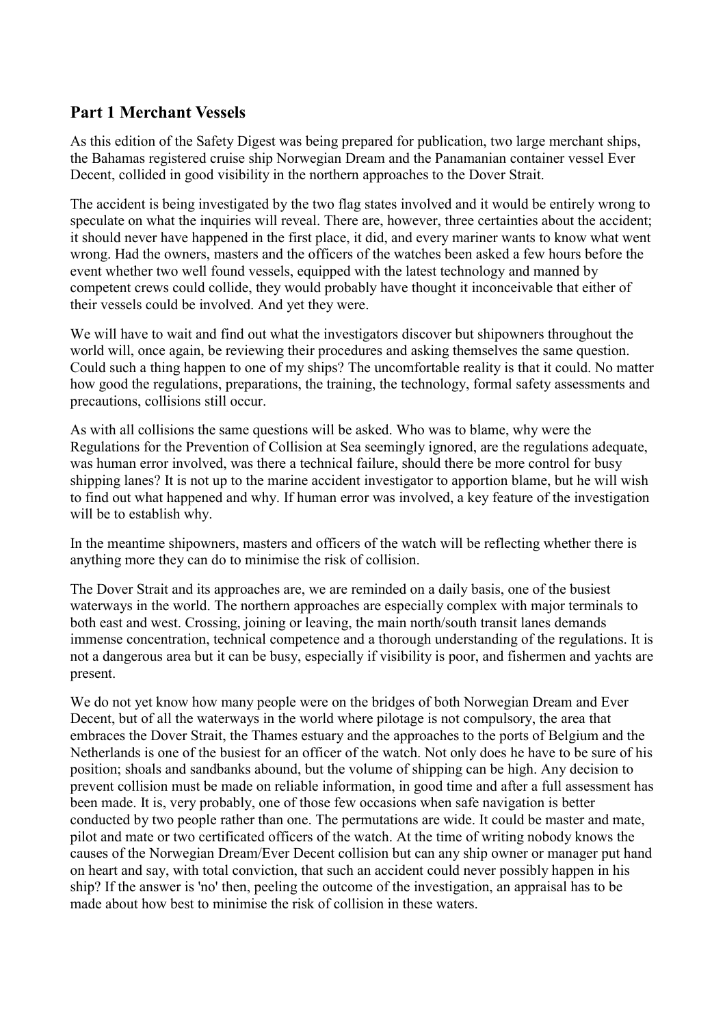## <span id="page-6-0"></span>**Part 1 Merchant Vessels**

As this edition of the Safety Digest was being prepared for publication, two large merchant ships, the Bahamas registered cruise ship Norwegian Dream and the Panamanian container vessel Ever Decent, collided in good visibility in the northern approaches to the Dover Strait.

The accident is being investigated by the two flag states involved and it would be entirely wrong to speculate on what the inquiries will reveal. There are, however, three certainties about the accident; it should never have happened in the first place, it did, and every mariner wants to know what went wrong. Had the owners, masters and the officers of the watches been asked a few hours before the event whether two well found vessels, equipped with the latest technology and manned by competent crews could collide, they would probably have thought it inconceivable that either of their vessels could be involved. And yet they were.

We will have to wait and find out what the investigators discover but shipowners throughout the world will, once again, be reviewing their procedures and asking themselves the same question. Could such a thing happen to one of my ships? The uncomfortable reality is that it could. No matter how good the regulations, preparations, the training, the technology, formal safety assessments and precautions, collisions still occur.

As with all collisions the same questions will be asked. Who was to blame, why were the Regulations for the Prevention of Collision at Sea seemingly ignored, are the regulations adequate, was human error involved, was there a technical failure, should there be more control for busy shipping lanes? It is not up to the marine accident investigator to apportion blame, but he will wish to find out what happened and why. If human error was involved, a key feature of the investigation will be to establish why.

In the meantime shipowners, masters and officers of the watch will be reflecting whether there is anything more they can do to minimise the risk of collision.

The Dover Strait and its approaches are, we are reminded on a daily basis, one of the busiest waterways in the world. The northern approaches are especially complex with major terminals to both east and west. Crossing, joining or leaving, the main north/south transit lanes demands immense concentration, technical competence and a thorough understanding of the regulations. It is not a dangerous area but it can be busy, especially if visibility is poor, and fishermen and yachts are present.

We do not yet know how many people were on the bridges of both Norwegian Dream and Ever Decent, but of all the waterways in the world where pilotage is not compulsory, the area that embraces the Dover Strait, the Thames estuary and the approaches to the ports of Belgium and the Netherlands is one of the busiest for an officer of the watch. Not only does he have to be sure of his position; shoals and sandbanks abound, but the volume of shipping can be high. Any decision to prevent collision must be made on reliable information, in good time and after a full assessment has been made. It is, very probably, one of those few occasions when safe navigation is better conducted by two people rather than one. The permutations are wide. It could be master and mate, pilot and mate or two certificated officers of the watch. At the time of writing nobody knows the causes of the Norwegian Dream/Ever Decent collision but can any ship owner or manager put hand on heart and say, with total conviction, that such an accident could never possibly happen in his ship? If the answer is 'no' then, peeling the outcome of the investigation, an appraisal has to be made about how best to minimise the risk of collision in these waters.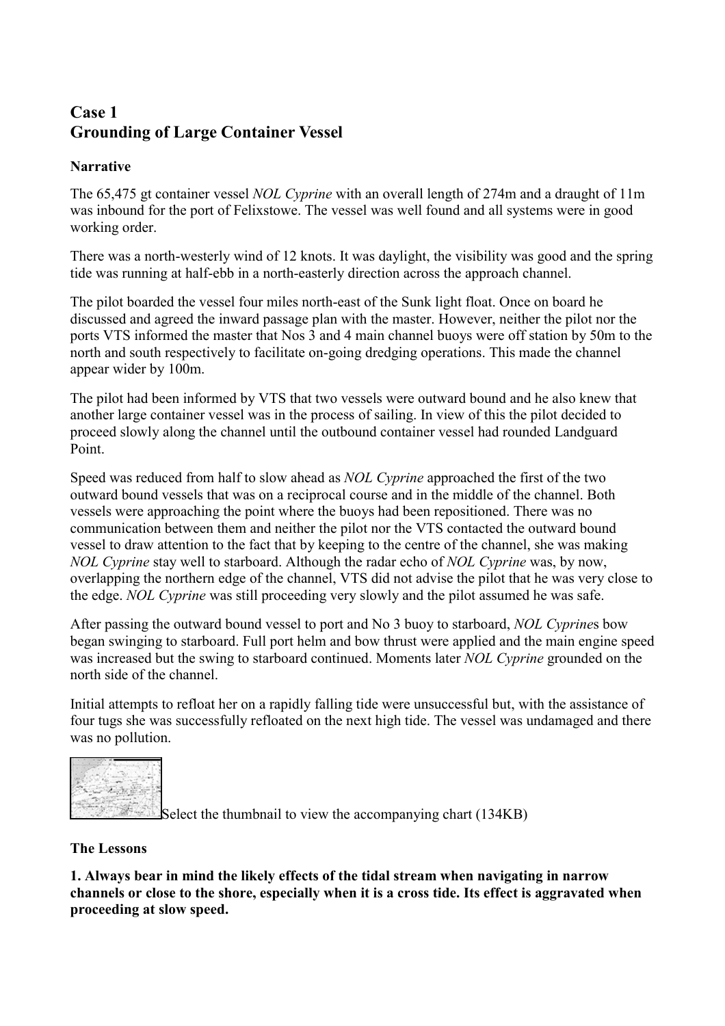## <span id="page-7-0"></span>**Case 1 Grounding of Large Container Vessel**

## **Narrative**

The 65,475 gt container vessel *NOL Cyprine* with an overall length of 274m and a draught of 11m was inbound for the port of Felixstowe. The vessel was well found and all systems were in good working order.

There was a north-westerly wind of 12 knots. It was daylight, the visibility was good and the spring tide was running at half-ebb in a north-easterly direction across the approach channel.

The pilot boarded the vessel four miles north-east of the Sunk light float. Once on board he discussed and agreed the inward passage plan with the master. However, neither the pilot nor the ports VTS informed the master that Nos 3 and 4 main channel buoys were off station by 50m to the north and south respectively to facilitate on-going dredging operations. This made the channel appear wider by 100m.

The pilot had been informed by VTS that two vessels were outward bound and he also knew that another large container vessel was in the process of sailing. In view of this the pilot decided to proceed slowly along the channel until the outbound container vessel had rounded Landguard Point.

Speed was reduced from half to slow ahead as *NOL Cyprine* approached the first of the two outward bound vessels that was on a reciprocal course and in the middle of the channel. Both vessels were approaching the point where the buoys had been repositioned. There was no communication between them and neither the pilot nor the VTS contacted the outward bound vessel to draw attention to the fact that by keeping to the centre of the channel, she was making *NOL Cyprine* stay well to starboard. Although the radar echo of *NOL Cyprine* was, by now, overlapping the northern edge of the channel, VTS did not advise the pilot that he was very close to the edge. *NOL Cyprine* was still proceeding very slowly and the pilot assumed he was safe.

After passing the outward bound vessel to port and No 3 buoy to starboard, *NOL Cyprine*s bow began swinging to starboard. Full port helm and bow thrust were applied and the main engine speed was increased but the swing to starboard continued. Moments later *NOL Cyprine* grounded on the north side of the channel.

Initial attempts to refloat her on a rapidly falling tide were unsuccessful but, with the assistance of four tugs she was successfully refloated on the next high tide. The vessel was undamaged and there was no pollution.



Select the thumbnail to view the accompanying chart (134KB)

## **The Lessons**

**1. Always bear in mind the likely effects of the tidal stream when navigating in narrow channels or close to the shore, especially when it is a cross tide. Its effect is aggravated when proceeding at slow speed.**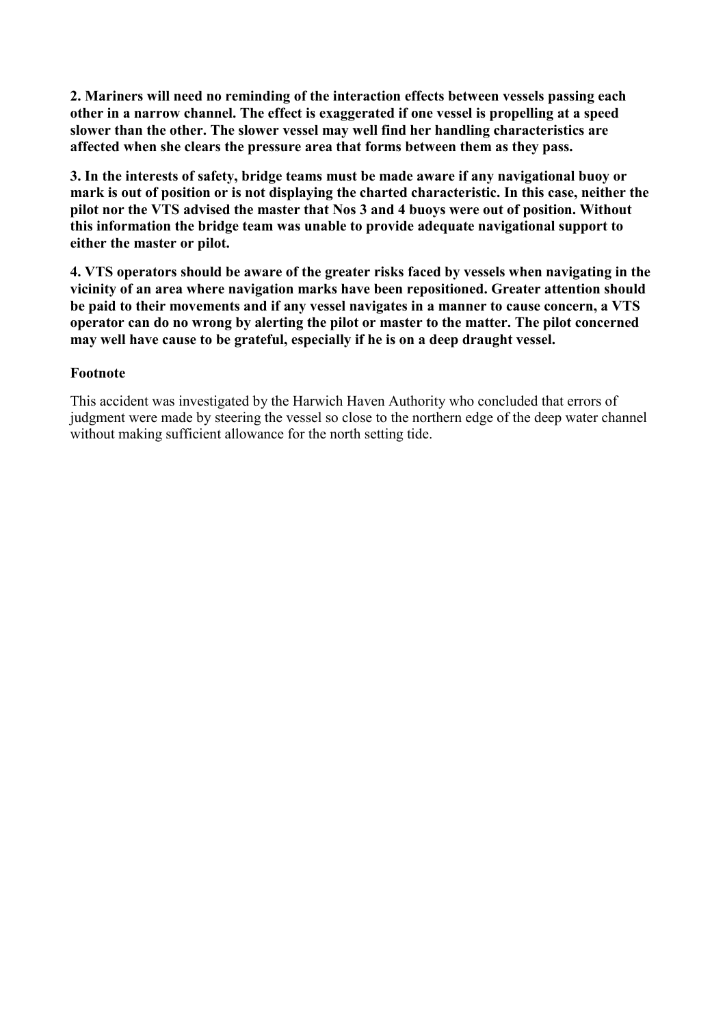<span id="page-8-0"></span>**2. Mariners will need no reminding of the interaction effects between vessels passing each other in a narrow channel. The effect is exaggerated if one vessel is propelling at a speed slower than the other. The slower vessel may well find her handling characteristics are affected when she clears the pressure area that forms between them as they pass.**

**3. In the interests of safety, bridge teams must be made aware if any navigational buoy or mark is out of position or is not displaying the charted characteristic. In this case, neither the pilot nor the VTS advised the master that Nos 3 and 4 buoys were out of position. Without this information the bridge team was unable to provide adequate navigational support to either the master or pilot.** 

**4. VTS operators should be aware of the greater risks faced by vessels when navigating in the vicinity of an area where navigation marks have been repositioned. Greater attention should be paid to their movements and if any vessel navigates in a manner to cause concern, a VTS operator can do no wrong by alerting the pilot or master to the matter. The pilot concerned may well have cause to be grateful, especially if he is on a deep draught vessel.** 

#### **Footnote**

This accident was investigated by the Harwich Haven Authority who concluded that errors of judgment were made by steering the vessel so close to the northern edge of the deep water channel without making sufficient allowance for the north setting tide.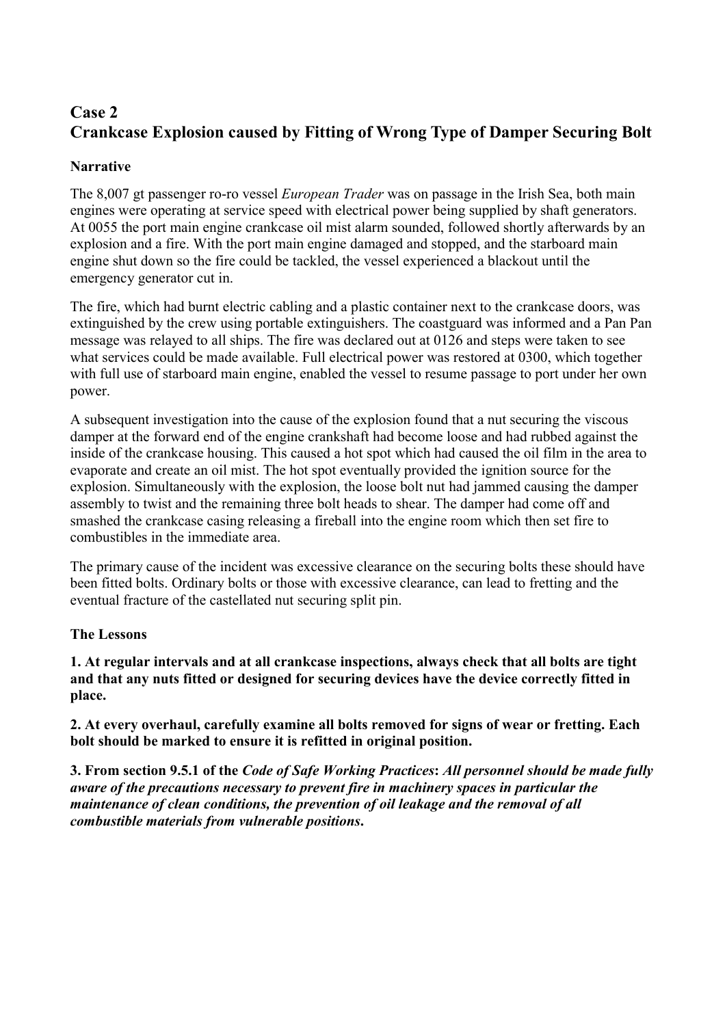## <span id="page-9-0"></span>**Case 2 Crankcase Explosion caused by Fitting of Wrong Type of Damper Securing Bolt**

## **Narrative**

The 8,007 gt passenger ro-ro vessel *European Trader* was on passage in the Irish Sea, both main engines were operating at service speed with electrical power being supplied by shaft generators. At 0055 the port main engine crankcase oil mist alarm sounded, followed shortly afterwards by an explosion and a fire. With the port main engine damaged and stopped, and the starboard main engine shut down so the fire could be tackled, the vessel experienced a blackout until the emergency generator cut in.

The fire, which had burnt electric cabling and a plastic container next to the crankcase doors, was extinguished by the crew using portable extinguishers. The coastguard was informed and a Pan Pan message was relayed to all ships. The fire was declared out at 0126 and steps were taken to see what services could be made available. Full electrical power was restored at 0300, which together with full use of starboard main engine, enabled the vessel to resume passage to port under her own power.

A subsequent investigation into the cause of the explosion found that a nut securing the viscous damper at the forward end of the engine crankshaft had become loose and had rubbed against the inside of the crankcase housing. This caused a hot spot which had caused the oil film in the area to evaporate and create an oil mist. The hot spot eventually provided the ignition source for the explosion. Simultaneously with the explosion, the loose bolt nut had jammed causing the damper assembly to twist and the remaining three bolt heads to shear. The damper had come off and smashed the crankcase casing releasing a fireball into the engine room which then set fire to combustibles in the immediate area.

The primary cause of the incident was excessive clearance on the securing bolts these should have been fitted bolts. Ordinary bolts or those with excessive clearance, can lead to fretting and the eventual fracture of the castellated nut securing split pin.

### **The Lessons**

**1. At regular intervals and at all crankcase inspections, always check that all bolts are tight and that any nuts fitted or designed for securing devices have the device correctly fitted in place.** 

**2. At every overhaul, carefully examine all bolts removed for signs of wear or fretting. Each bolt should be marked to ensure it is refitted in original position.**

**3. From section 9.5.1 of the** *Code of Safe Working Practices***:** *All personnel should be made fully aware of the precautions necessary to prevent fire in machinery spaces in particular the maintenance of clean conditions, the prevention of oil leakage and the removal of all combustible materials from vulnerable positions***.**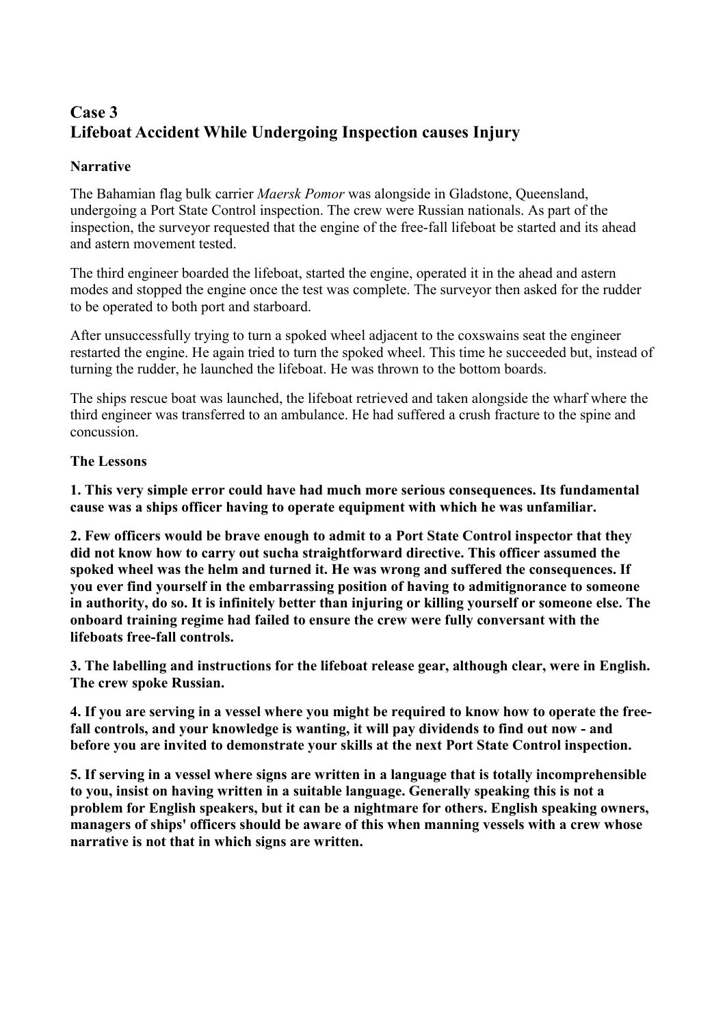## <span id="page-10-0"></span>**Case 3 Lifeboat Accident While Undergoing Inspection causes Injury**

## **Narrative**

The Bahamian flag bulk carrier *Maersk Pomor* was alongside in Gladstone, Queensland, undergoing a Port State Control inspection. The crew were Russian nationals. As part of the inspection, the surveyor requested that the engine of the free-fall lifeboat be started and its ahead and astern movement tested.

The third engineer boarded the lifeboat, started the engine, operated it in the ahead and astern modes and stopped the engine once the test was complete. The survey then asked for the rudder to be operated to both port and starboard.

After unsuccessfully trying to turn a spoked wheel adjacent to the coxswains seat the engineer restarted the engine. He again tried to turn the spoked wheel. This time he succeeded but, instead of turning the rudder, he launched the lifeboat. He was thrown to the bottom boards.

The ships rescue boat was launched, the lifeboat retrieved and taken alongside the wharf where the third engineer was transferred to an ambulance. He had suffered a crush fracture to the spine and concussion.

### **The Lessons**

**1. This very simple error could have had much more serious consequences. Its fundamental cause was a ships officer having to operate equipment with which he was unfamiliar.** 

**2. Few officers would be brave enough to admit to a Port State Control inspector that they did not know how to carry out sucha straightforward directive. This officer assumed the spoked wheel was the helm and turned it. He was wrong and suffered the consequences. If you ever find yourself in the embarrassing position of having to admitignorance to someone in authority, do so. It is infinitely better than injuring or killing yourself or someone else. The onboard training regime had failed to ensure the crew were fully conversant with the lifeboats free-fall controls.** 

**3. The labelling and instructions for the lifeboat release gear, although clear, were in English. The crew spoke Russian.**

**4. If you are serving in a vessel where you might be required to know how to operate the freefall controls, and your knowledge is wanting, it will pay dividends to find out now - and before you are invited to demonstrate your skills at the next Port State Control inspection.**

**5. If serving in a vessel where signs are written in a language that is totally incomprehensible to you, insist on having written in a suitable language. Generally speaking this is not a problem for English speakers, but it can be a nightmare for others. English speaking owners, managers of ships' officers should be aware of this when manning vessels with a crew whose narrative is not that in which signs are written.**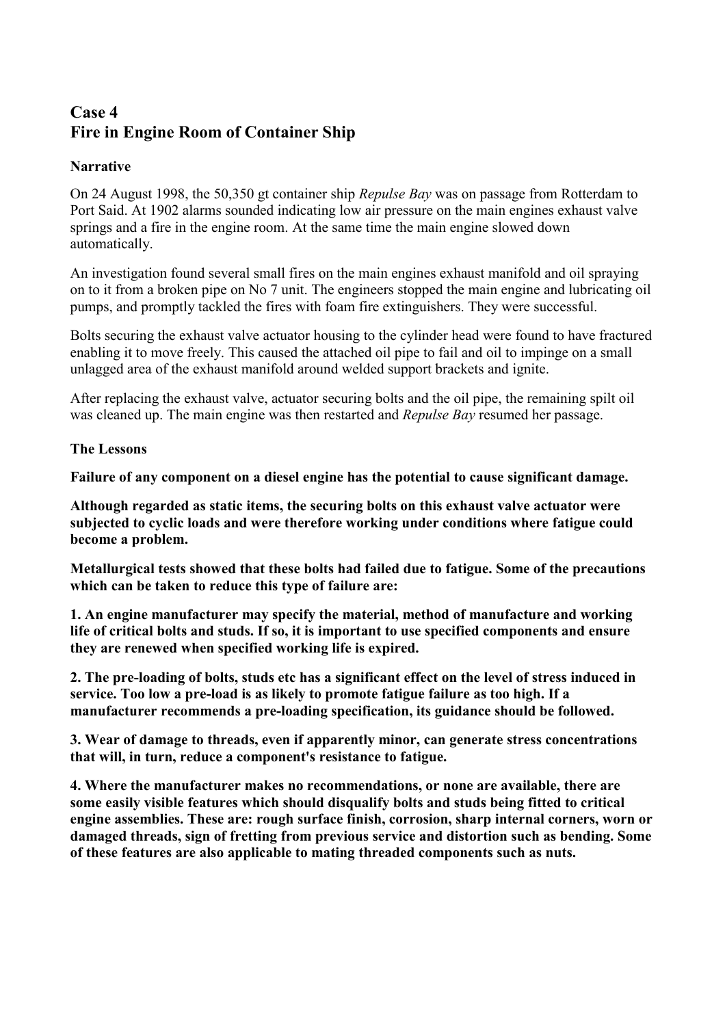## <span id="page-11-0"></span>**Case 4 Fire in Engine Room of Container Ship**

### **Narrative**

On 24 August 1998, the 50,350 gt container ship *Repulse Bay* was on passage from Rotterdam to Port Said. At 1902 alarms sounded indicating low air pressure on the main engines exhaust valve springs and a fire in the engine room. At the same time the main engine slowed down automatically.

An investigation found several small fires on the main engines exhaust manifold and oil spraying on to it from a broken pipe on No 7 unit. The engineers stopped the main engine and lubricating oil pumps, and promptly tackled the fires with foam fire extinguishers. They were successful.

Bolts securing the exhaust valve actuator housing to the cylinder head were found to have fractured enabling it to move freely. This caused the attached oil pipe to fail and oil to impinge on a small unlagged area of the exhaust manifold around welded support brackets and ignite.

After replacing the exhaust valve, actuator securing bolts and the oil pipe, the remaining spilt oil was cleaned up. The main engine was then restarted and *Repulse Bay* resumed her passage.

### **The Lessons**

**Failure of any component on a diesel engine has the potential to cause significant damage.** 

**Although regarded as static items, the securing bolts on this exhaust valve actuator were subjected to cyclic loads and were therefore working under conditions where fatigue could become a problem.** 

**Metallurgical tests showed that these bolts had failed due to fatigue. Some of the precautions which can be taken to reduce this type of failure are:**

**1. An engine manufacturer may specify the material, method of manufacture and working life of critical bolts and studs. If so, it is important to use specified components and ensure they are renewed when specified working life is expired.** 

**2. The pre-loading of bolts, studs etc has a significant effect on the level of stress induced in service. Too low a pre-load is as likely to promote fatigue failure as too high. If a manufacturer recommends a pre-loading specification, its guidance should be followed.** 

**3. Wear of damage to threads, even if apparently minor, can generate stress concentrations that will, in turn, reduce a component's resistance to fatigue.**

**4. Where the manufacturer makes no recommendations, or none are available, there are some easily visible features which should disqualify bolts and studs being fitted to critical engine assemblies. These are: rough surface finish, corrosion, sharp internal corners, worn or damaged threads, sign of fretting from previous service and distortion such as bending. Some of these features are also applicable to mating threaded components such as nuts.**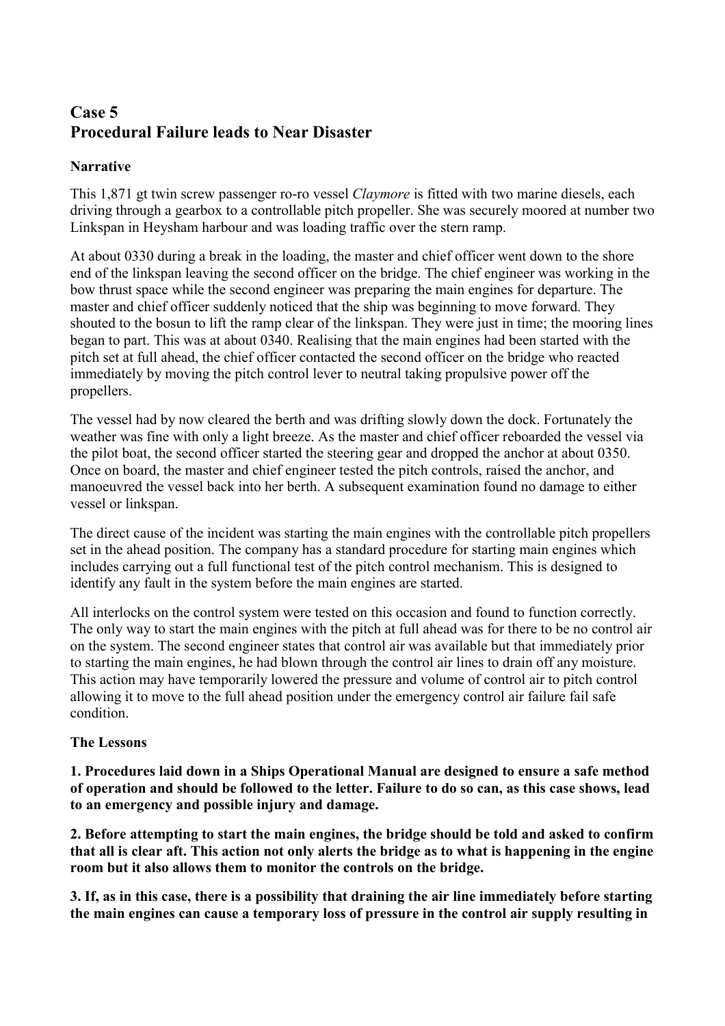## <span id="page-12-0"></span>**Case 5 Procedural Failure leads to Near Disaster**

## **Narrative**

This 1,871 gt twin screw passenger ro-ro vessel *Claymore* is fitted with two marine diesels, each driving through a gearbox to a controllable pitch propeller. She was securely moored at number two Linkspan in Heysham harbour and was loading traffic over the stern ramp.

At about 0330 during a break in the loading, the master and chief officer went down to the shore end of the linkspan leaving the second officer on the bridge. The chief engineer was working in the bow thrust space while the second engineer was preparing the main engines for departure. The master and chief officer suddenly noticed that the ship was beginning to move forward. They shouted to the bosun to lift the ramp clear of the linkspan. They were just in time; the mooring lines began to part. This was at about 0340. Realising that the main engines had been started with the pitch set at full ahead, the chief officer contacted the second officer on the bridge who reacted immediately by moving the pitch control lever to neutral taking propulsive power off the propellers.

The vessel had by now cleared the berth and was drifting slowly down the dock. Fortunately the weather was fine with only a light breeze. As the master and chief officer reboarded the vessel via the pilot boat, the second officer started the steering gear and dropped the anchor at about 0350. Once on board, the master and chief engineer tested the pitch controls, raised the anchor, and manoeuvred the vessel back into her berth. A subsequent examination found no damage to either vessel or linkspan.

The direct cause of the incident was starting the main engines with the controllable pitch propellers set in the ahead position. The company has a standard procedure for starting main engines which includes carrying out a full functional test of the pitch control mechanism. This is designed to identify any fault in the system before the main engines are started.

All interlocks on the control system were tested on this occasion and found to function correctly. The only way to start the main engines with the pitch at full ahead was for there to be no control air on the system. The second engineer states that control air was available but that immediately prior to starting the main engines, he had blown through the control air lines to drain off any moisture. This action may have temporarily lowered the pressure and volume of control air to pitch control allowing it to move to the full ahead position under the emergency control air failure fail safe condition.

### **The Lessons**

**1. Procedures laid down in a Ships Operational Manual are designed to ensure a safe method of operation and should be followed to the letter. Failure to do so can, as this case shows, lead to an emergency and possible injury and damage.** 

**2. Before attempting to start the main engines, the bridge should be told and asked to confirm that all is clear aft. This action not only alerts the bridge as to what is happening in the engine room but it also allows them to monitor the controls on the bridge.** 

**3. If, as in this case, there is a possibility that draining the air line immediately before starting the main engines can cause a temporary loss of pressure in the control air supply resulting in**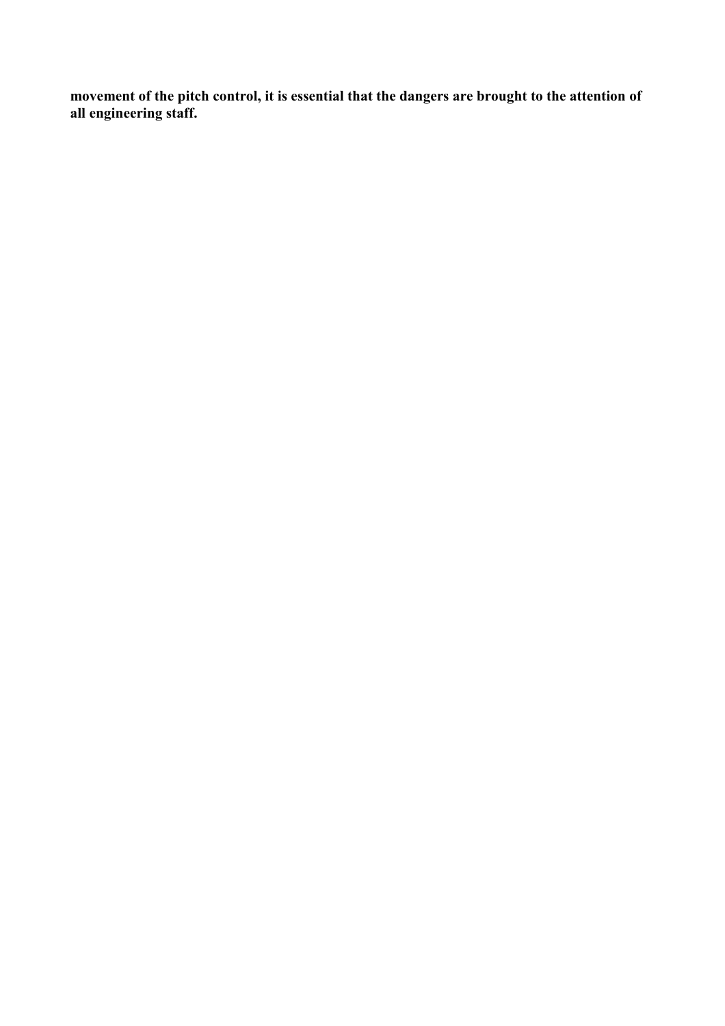**movement of the pitch control, it is essential that the dangers are brought to the attention of all engineering staff.**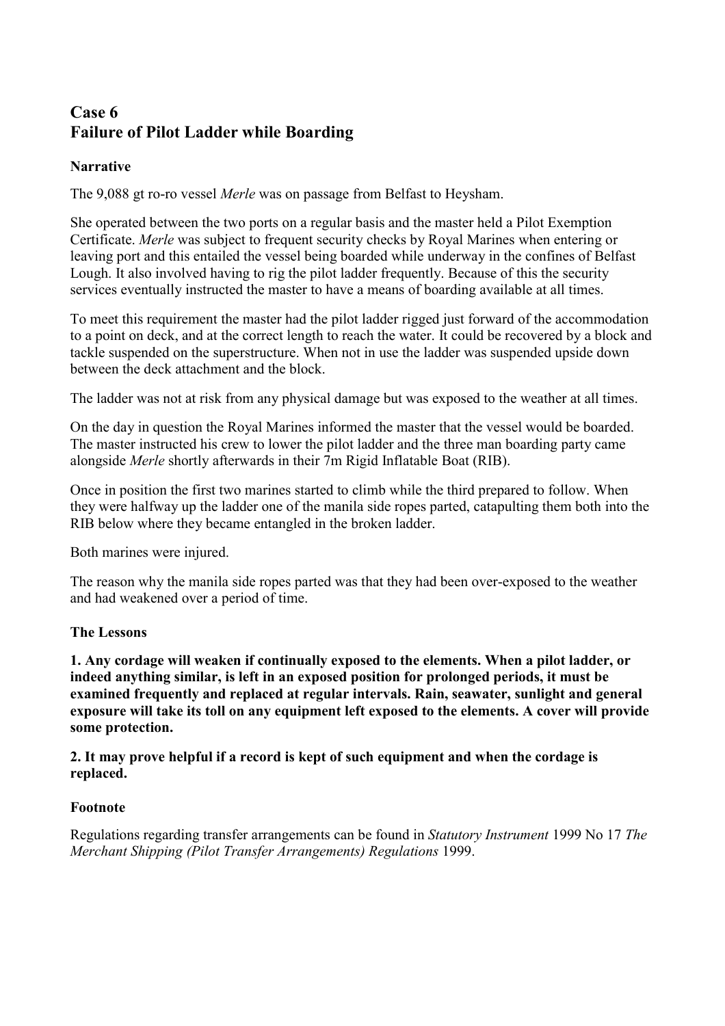## <span id="page-14-0"></span>**Case 6 Failure of Pilot Ladder while Boarding**

## **Narrative**

The 9,088 gt ro-ro vessel *Merle* was on passage from Belfast to Heysham.

She operated between the two ports on a regular basis and the master held a Pilot Exemption Certificate. *Merle* was subject to frequent security checks by Royal Marines when entering or leaving port and this entailed the vessel being boarded while underway in the confines of Belfast Lough. It also involved having to rig the pilot ladder frequently. Because of this the security services eventually instructed the master to have a means of boarding available at all times.

To meet this requirement the master had the pilot ladder rigged just forward of the accommodation to a point on deck, and at the correct length to reach the water. It could be recovered by a block and tackle suspended on the superstructure. When not in use the ladder was suspended upside down between the deck attachment and the block.

The ladder was not at risk from any physical damage but was exposed to the weather at all times.

On the day in question the Royal Marines informed the master that the vessel would be boarded. The master instructed his crew to lower the pilot ladder and the three man boarding party came alongside *Merle* shortly afterwards in their 7m Rigid Inflatable Boat (RIB).

Once in position the first two marines started to climb while the third prepared to follow. When they were halfway up the ladder one of the manila side ropes parted, catapulting them both into the RIB below where they became entangled in the broken ladder.

Both marines were injured.

The reason why the manila side ropes parted was that they had been over-exposed to the weather and had weakened over a period of time.

### **The Lessons**

**1. Any cordage will weaken if continually exposed to the elements. When a pilot ladder, or indeed anything similar, is left in an exposed position for prolonged periods, it must be examined frequently and replaced at regular intervals. Rain, seawater, sunlight and general exposure will take its toll on any equipment left exposed to the elements. A cover will provide some protection.** 

**2. It may prove helpful if a record is kept of such equipment and when the cordage is replaced.** 

### **Footnote**

Regulations regarding transfer arrangements can be found in *Statutory Instrument* 1999 No 17 *The Merchant Shipping (Pilot Transfer Arrangements) Regulations* 1999.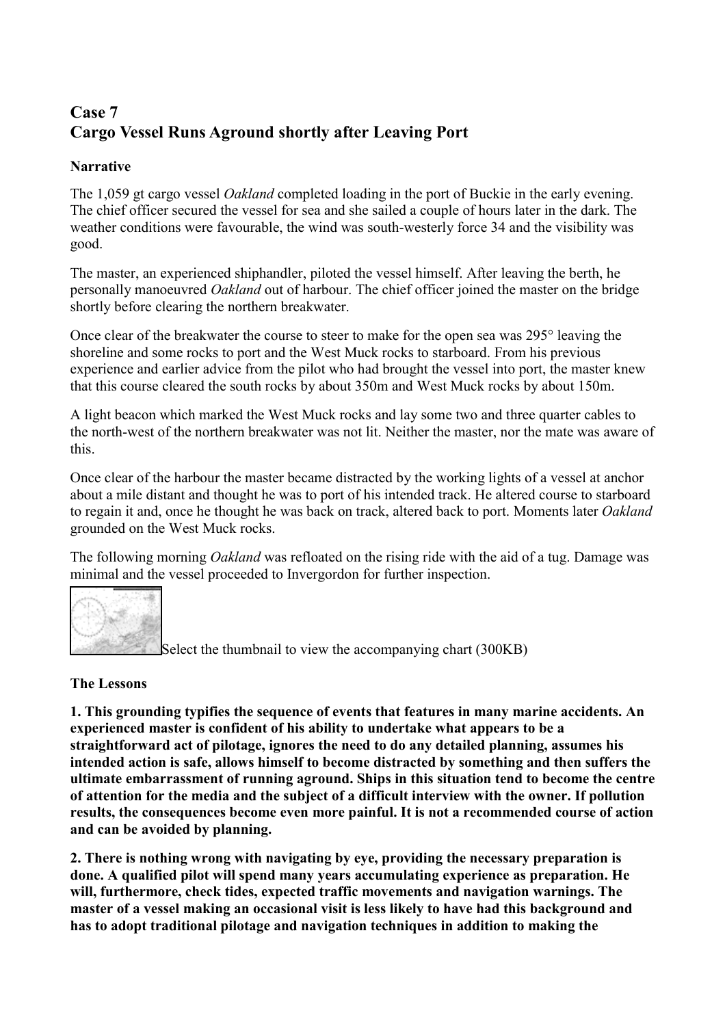## <span id="page-15-0"></span>**Case 7 Cargo Vessel Runs Aground shortly after Leaving Port**

## **Narrative**

The 1,059 gt cargo vessel *Oakland* completed loading in the port of Buckie in the early evening. The chief officer secured the vessel for sea and she sailed a couple of hours later in the dark. The weather conditions were favourable, the wind was south-westerly force 34 and the visibility was good.

The master, an experienced shiphandler, piloted the vessel himself. After leaving the berth, he personally manoeuvred *Oakland* out of harbour. The chief officer joined the master on the bridge shortly before clearing the northern breakwater.

Once clear of the breakwater the course to steer to make for the open sea was 295° leaving the shoreline and some rocks to port and the West Muck rocks to starboard. From his previous experience and earlier advice from the pilot who had brought the vessel into port, the master knew that this course cleared the south rocks by about 350m and West Muck rocks by about 150m.

A light beacon which marked the West Muck rocks and lay some two and three quarter cables to the north-west of the northern breakwater was not lit. Neither the master, nor the mate was aware of this.

Once clear of the harbour the master became distracted by the working lights of a vessel at anchor about a mile distant and thought he was to port of his intended track. He altered course to starboard to regain it and, once he thought he was back on track, altered back to port. Moments later *Oakland* grounded on the West Muck rocks.

The following morning *Oakland* was refloated on the rising ride with the aid of a tug. Damage was minimal and the vessel proceeded to Invergordon for further inspection.

Select the thumbnail to view the accompanying chart (300KB)

## **The Lessons**

**1. This grounding typifies the sequence of events that features in many marine accidents. An experienced master is confident of his ability to undertake what appears to be a straightforward act of pilotage, ignores the need to do any detailed planning, assumes his intended action is safe, allows himself to become distracted by something and then suffers the ultimate embarrassment of running aground. Ships in this situation tend to become the centre of attention for the media and the subject of a difficult interview with the owner. If pollution results, the consequences become even more painful. It is not a recommended course of action and can be avoided by planning.**

**2. There is nothing wrong with navigating by eye, providing the necessary preparation is done. A qualified pilot will spend many years accumulating experience as preparation. He will, furthermore, check tides, expected traffic movements and navigation warnings. The master of a vessel making an occasional visit is less likely to have had this background and has to adopt traditional pilotage and navigation techniques in addition to making the**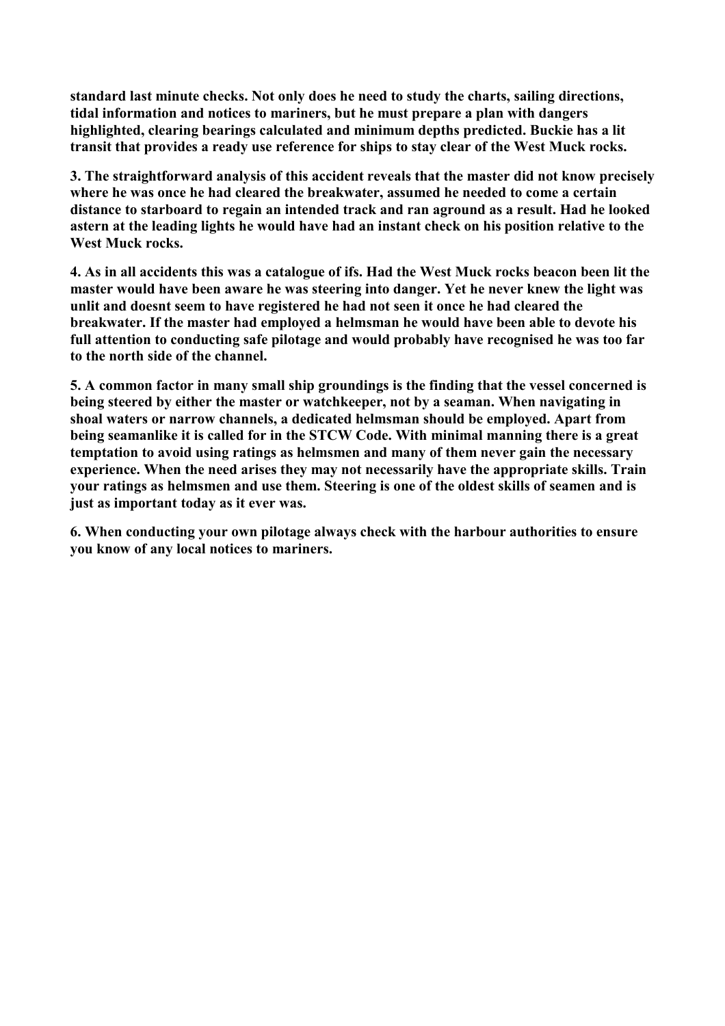**standard last minute checks. Not only does he need to study the charts, sailing directions, tidal information and notices to mariners, but he must prepare a plan with dangers highlighted, clearing bearings calculated and minimum depths predicted. Buckie has a lit transit that provides a ready use reference for ships to stay clear of the West Muck rocks.** 

**3. The straightforward analysis of this accident reveals that the master did not know precisely where he was once he had cleared the breakwater, assumed he needed to come a certain distance to starboard to regain an intended track and ran aground as a result. Had he looked astern at the leading lights he would have had an instant check on his position relative to the West Muck rocks.** 

**4. As in all accidents this was a catalogue of ifs. Had the West Muck rocks beacon been lit the master would have been aware he was steering into danger. Yet he never knew the light was unlit and doesnt seem to have registered he had not seen it once he had cleared the breakwater. If the master had employed a helmsman he would have been able to devote his full attention to conducting safe pilotage and would probably have recognised he was too far to the north side of the channel.** 

**5. A common factor in many small ship groundings is the finding that the vessel concerned is being steered by either the master or watchkeeper, not by a seaman. When navigating in shoal waters or narrow channels, a dedicated helmsman should be employed. Apart from being seamanlike it is called for in the STCW Code. With minimal manning there is a great temptation to avoid using ratings as helmsmen and many of them never gain the necessary experience. When the need arises they may not necessarily have the appropriate skills. Train your ratings as helmsmen and use them. Steering is one of the oldest skills of seamen and is just as important today as it ever was.** 

**6. When conducting your own pilotage always check with the harbour authorities to ensure you know of any local notices to mariners.**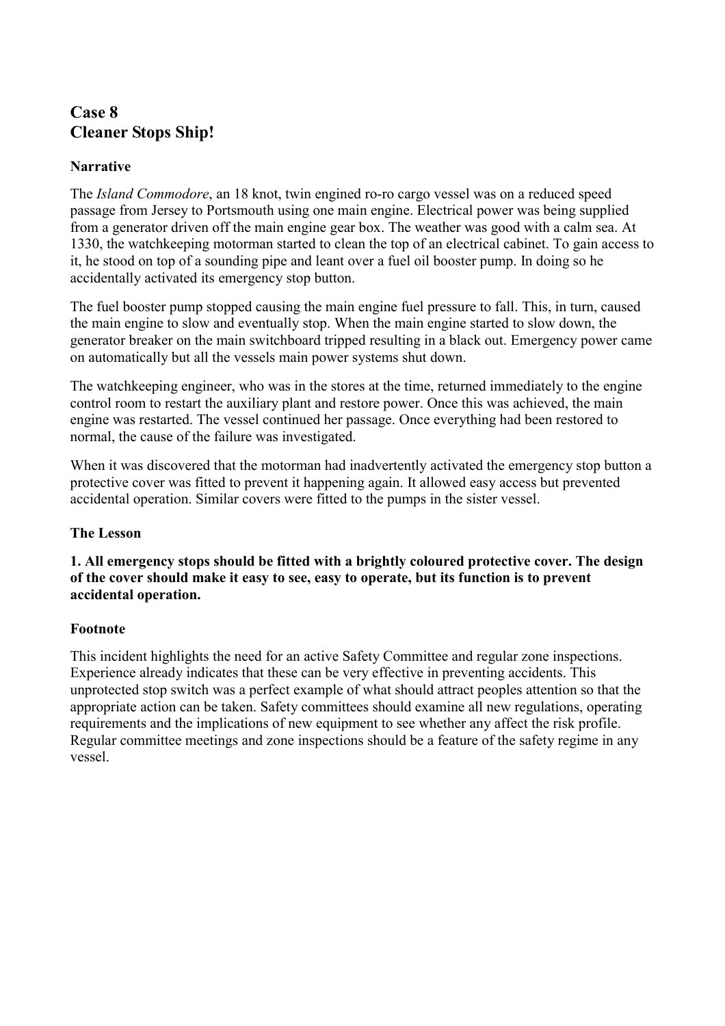## <span id="page-17-0"></span>**Case 8 Cleaner Stops Ship!**

## **Narrative**

The *Island Commodore*, an 18 knot, twin engined ro-ro cargo vessel was on a reduced speed passage from Jersey to Portsmouth using one main engine. Electrical power was being supplied from a generator driven off the main engine gear box. The weather was good with a calm sea. At 1330, the watchkeeping motorman started to clean the top of an electrical cabinet. To gain access to it, he stood on top of a sounding pipe and leant over a fuel oil booster pump. In doing so he accidentally activated its emergency stop button.

The fuel booster pump stopped causing the main engine fuel pressure to fall. This, in turn, caused the main engine to slow and eventually stop. When the main engine started to slow down, the generator breaker on the main switchboard tripped resulting in a black out. Emergency power came on automatically but all the vessels main power systems shut down.

The watchkeeping engineer, who was in the stores at the time, returned immediately to the engine control room to restart the auxiliary plant and restore power. Once this was achieved, the main engine was restarted. The vessel continued her passage. Once everything had been restored to normal, the cause of the failure was investigated.

When it was discovered that the motorman had inadvertently activated the emergency stop button a protective cover was fitted to prevent it happening again. It allowed easy access but prevented accidental operation. Similar covers were fitted to the pumps in the sister vessel.

## **The Lesson**

**1. All emergency stops should be fitted with a brightly coloured protective cover. The design of the cover should make it easy to see, easy to operate, but its function is to prevent accidental operation.** 

### **Footnote**

This incident highlights the need for an active Safety Committee and regular zone inspections. Experience already indicates that these can be very effective in preventing accidents. This unprotected stop switch was a perfect example of what should attract peoples attention so that the appropriate action can be taken. Safety committees should examine all new regulations, operating requirements and the implications of new equipment to see whether any affect the risk profile. Regular committee meetings and zone inspections should be a feature of the safety regime in any vessel.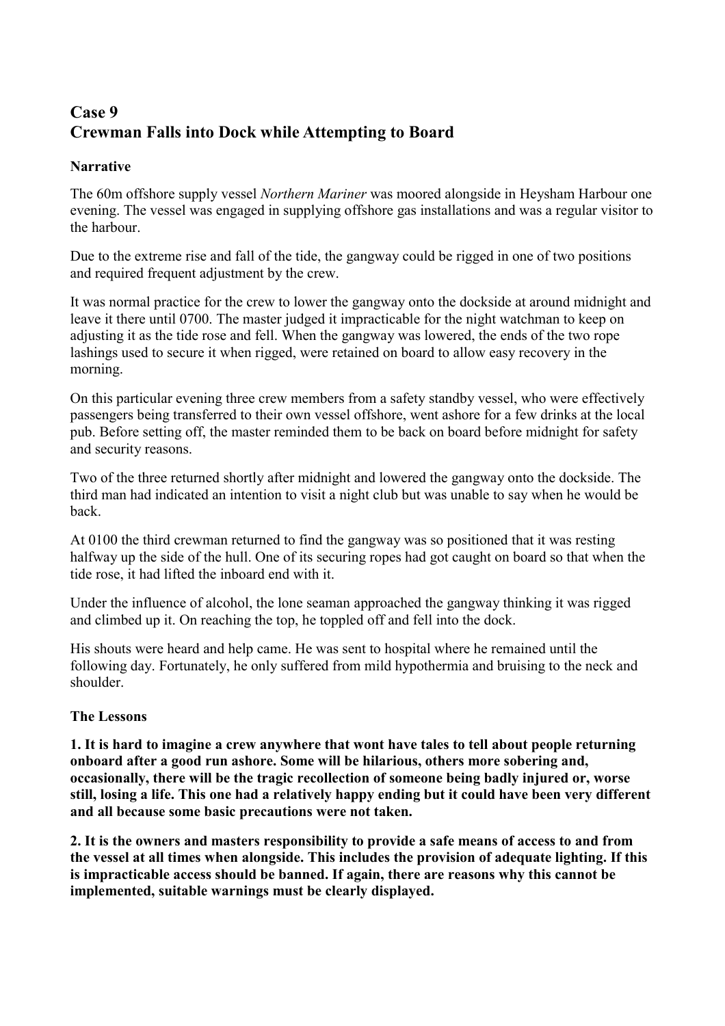## <span id="page-18-0"></span>**Case 9 Crewman Falls into Dock while Attempting to Board**

### **Narrative**

The 60m offshore supply vessel *Northern Mariner* was moored alongside in Heysham Harbour one evening. The vessel was engaged in supplying offshore gas installations and was a regular visitor to the harbour.

Due to the extreme rise and fall of the tide, the gangway could be rigged in one of two positions and required frequent adjustment by the crew.

It was normal practice for the crew to lower the gangway onto the dockside at around midnight and leave it there until 0700. The master judged it impracticable for the night watchman to keep on adjusting it as the tide rose and fell. When the gangway was lowered, the ends of the two rope lashings used to secure it when rigged, were retained on board to allow easy recovery in the morning.

On this particular evening three crew members from a safety standby vessel, who were effectively passengers being transferred to their own vessel offshore, went ashore for a few drinks at the local pub. Before setting off, the master reminded them to be back on board before midnight for safety and security reasons.

Two of the three returned shortly after midnight and lowered the gangway onto the dockside. The third man had indicated an intention to visit a night club but was unable to say when he would be back.

At 0100 the third crewman returned to find the gangway was so positioned that it was resting halfway up the side of the hull. One of its securing ropes had got caught on board so that when the tide rose, it had lifted the inboard end with it.

Under the influence of alcohol, the lone seaman approached the gangway thinking it was rigged and climbed up it. On reaching the top, he toppled off and fell into the dock.

His shouts were heard and help came. He was sent to hospital where he remained until the following day. Fortunately, he only suffered from mild hypothermia and bruising to the neck and shoulder.

### **The Lessons**

**1. It is hard to imagine a crew anywhere that wont have tales to tell about people returning onboard after a good run ashore. Some will be hilarious, others more sobering and, occasionally, there will be the tragic recollection of someone being badly injured or, worse still, losing a life. This one had a relatively happy ending but it could have been very different and all because some basic precautions were not taken.** 

**2. It is the owners and masters responsibility to provide a safe means of access to and from the vessel at all times when alongside. This includes the provision of adequate lighting. If this is impracticable access should be banned. If again, there are reasons why this cannot be implemented, suitable warnings must be clearly displayed.**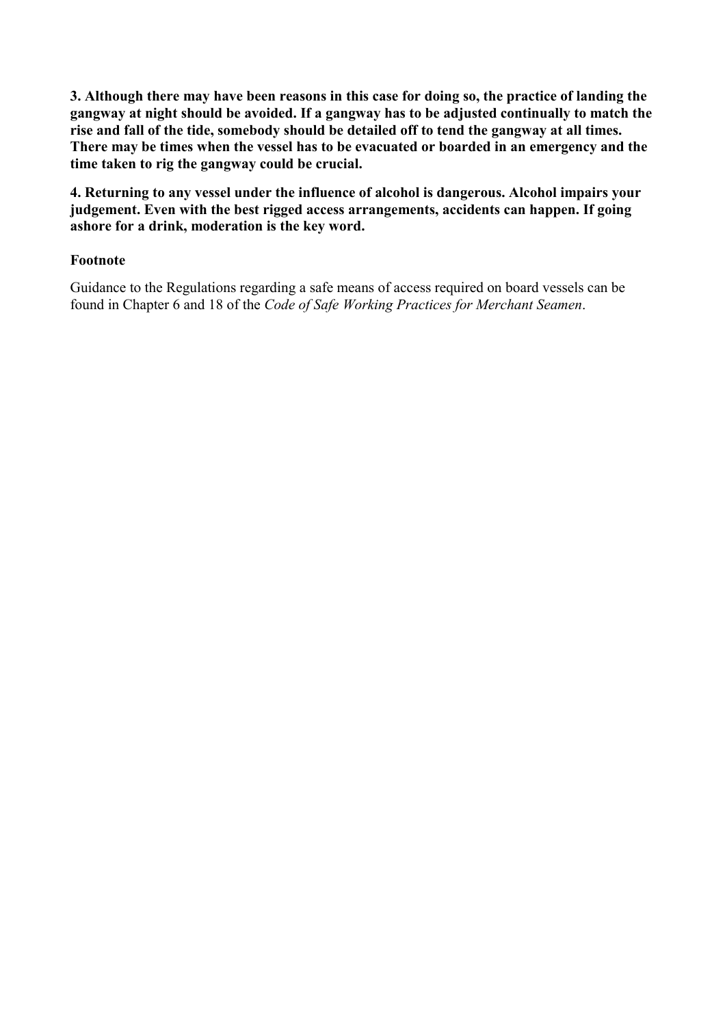<span id="page-19-0"></span>**3. Although there may have been reasons in this case for doing so, the practice of landing the gangway at night should be avoided. If a gangway has to be adjusted continually to match the rise and fall of the tide, somebody should be detailed off to tend the gangway at all times. There may be times when the vessel has to be evacuated or boarded in an emergency and the time taken to rig the gangway could be crucial.** 

**4. Returning to any vessel under the influence of alcohol is dangerous. Alcohol impairs your judgement. Even with the best rigged access arrangements, accidents can happen. If going ashore for a drink, moderation is the key word.** 

#### **Footnote**

Guidance to the Regulations regarding a safe means of access required on board vessels can be found in Chapter 6 and 18 of the *Code of Safe Working Practices for Merchant Seamen*.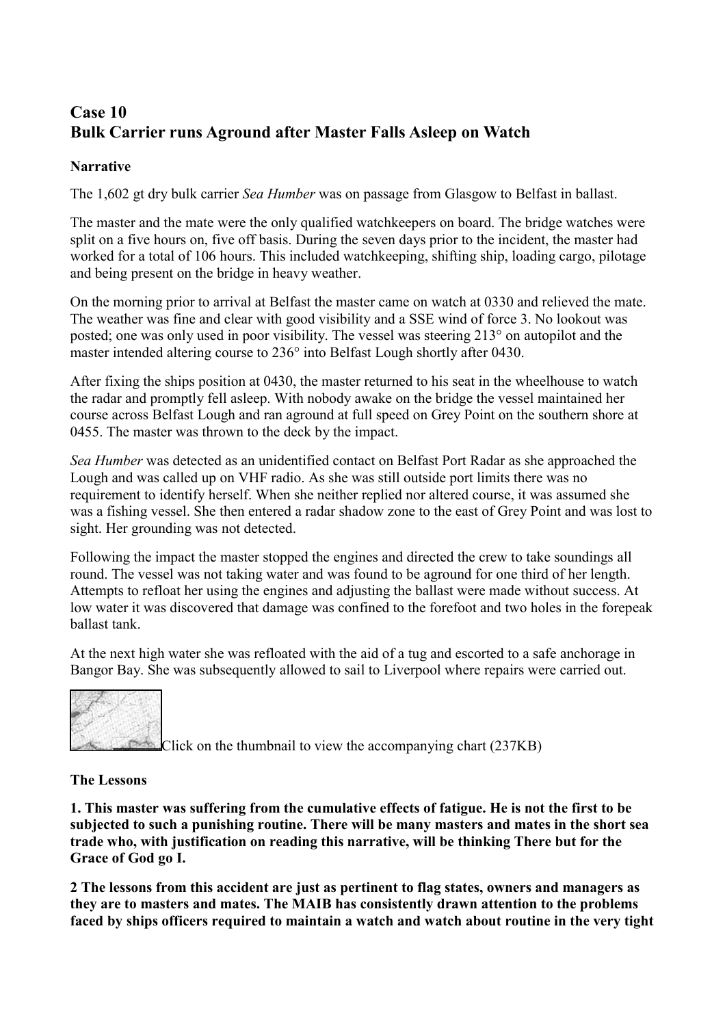## <span id="page-20-0"></span>**Case 10 Bulk Carrier runs Aground after Master Falls Asleep on Watch**

## **Narrative**

The 1,602 gt dry bulk carrier *Sea Humber* was on passage from Glasgow to Belfast in ballast.

The master and the mate were the only qualified watchkeepers on board. The bridge watches were split on a five hours on, five off basis. During the seven days prior to the incident, the master had worked for a total of 106 hours. This included watchkeeping, shifting ship, loading cargo, pilotage and being present on the bridge in heavy weather.

On the morning prior to arrival at Belfast the master came on watch at 0330 and relieved the mate. The weather was fine and clear with good visibility and a SSE wind of force 3. No lookout was posted; one was only used in poor visibility. The vessel was steering 213° on autopilot and the master intended altering course to 236° into Belfast Lough shortly after 0430.

After fixing the ships position at 0430, the master returned to his seat in the wheelhouse to watch the radar and promptly fell asleep. With nobody awake on the bridge the vessel maintained her course across Belfast Lough and ran aground at full speed on Grey Point on the southern shore at 0455. The master was thrown to the deck by the impact.

*Sea Humber* was detected as an unidentified contact on Belfast Port Radar as she approached the Lough and was called up on VHF radio. As she was still outside port limits there was no requirement to identify herself. When she neither replied nor altered course, it was assumed she was a fishing vessel. She then entered a radar shadow zone to the east of Grey Point and was lost to sight. Her grounding was not detected.

Following the impact the master stopped the engines and directed the crew to take soundings all round. The vessel was not taking water and was found to be aground for one third of her length. Attempts to refloat her using the engines and adjusting the ballast were made without success. At low water it was discovered that damage was confined to the forefoot and two holes in the forepeak ballast tank.

At the next high water she was refloated with the aid of a tug and escorted to a safe anchorage in Bangor Bay. She was subsequently allowed to sail to Liverpool where repairs were carried out.



Click on the thumbnail to view the accompanying chart (237KB)

## **The Lessons**

**1. This master was suffering from the cumulative effects of fatigue. He is not the first to be subjected to such a punishing routine. There will be many masters and mates in the short sea trade who, with justification on reading this narrative, will be thinking There but for the Grace of God go I.** 

**2 The lessons from this accident are just as pertinent to flag states, owners and managers as they are to masters and mates. The MAIB has consistently drawn attention to the problems faced by ships officers required to maintain a watch and watch about routine in the very tight**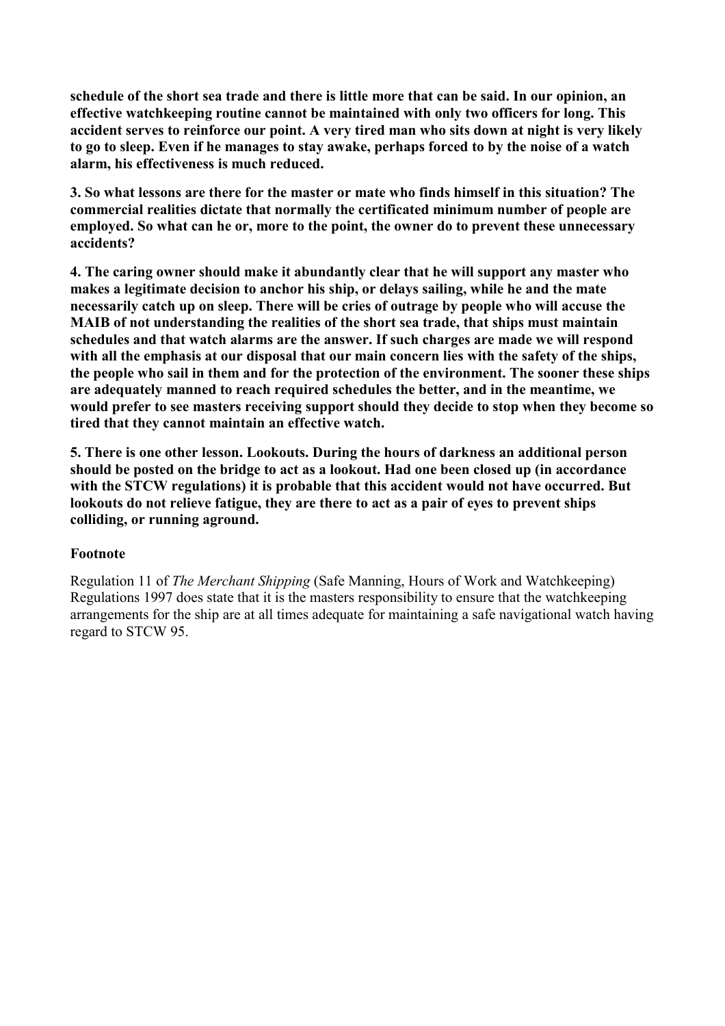<span id="page-21-0"></span>**schedule of the short sea trade and there is little more that can be said. In our opinion, an effective watchkeeping routine cannot be maintained with only two officers for long. This accident serves to reinforce our point. A very tired man who sits down at night is very likely to go to sleep. Even if he manages to stay awake, perhaps forced to by the noise of a watch alarm, his effectiveness is much reduced.** 

**3. So what lessons are there for the master or mate who finds himself in this situation? The commercial realities dictate that normally the certificated minimum number of people are employed. So what can he or, more to the point, the owner do to prevent these unnecessary accidents?** 

**4. The caring owner should make it abundantly clear that he will support any master who makes a legitimate decision to anchor his ship, or delays sailing, while he and the mate necessarily catch up on sleep. There will be cries of outrage by people who will accuse the MAIB of not understanding the realities of the short sea trade, that ships must maintain schedules and that watch alarms are the answer. If such charges are made we will respond with all the emphasis at our disposal that our main concern lies with the safety of the ships, the people who sail in them and for the protection of the environment. The sooner these ships are adequately manned to reach required schedules the better, and in the meantime, we would prefer to see masters receiving support should they decide to stop when they become so tired that they cannot maintain an effective watch.** 

**5. There is one other lesson. Lookouts. During the hours of darkness an additional person should be posted on the bridge to act as a lookout. Had one been closed up (in accordance with the STCW regulations) it is probable that this accident would not have occurred. But lookouts do not relieve fatigue, they are there to act as a pair of eyes to prevent ships colliding, or running aground.** 

### **Footnote**

Regulation 11 of *The Merchant Shipping* (Safe Manning, Hours of Work and Watchkeeping) Regulations 1997 does state that it is the masters responsibility to ensure that the watchkeeping arrangements for the ship are at all times adequate for maintaining a safe navigational watch having regard to STCW 95.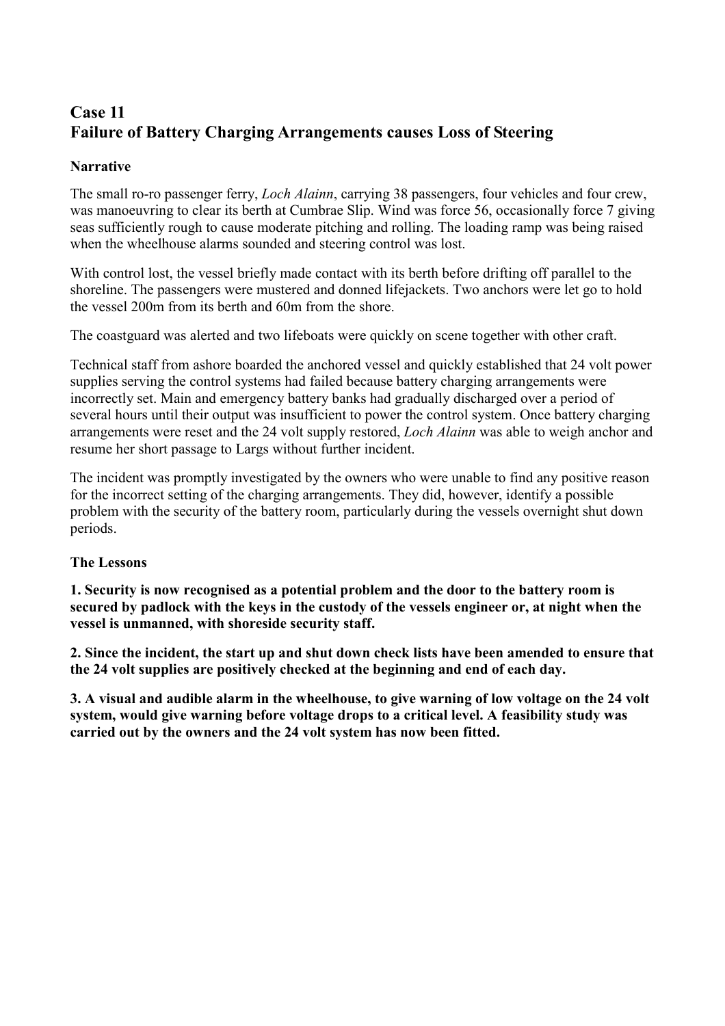## <span id="page-22-0"></span>**Case 11 Failure of Battery Charging Arrangements causes Loss of Steering**

## **Narrative**

The small ro-ro passenger ferry, *Loch Alainn*, carrying 38 passengers, four vehicles and four crew, was manoeuvring to clear its berth at Cumbrae Slip. Wind was force 56, occasionally force 7 giving seas sufficiently rough to cause moderate pitching and rolling. The loading ramp was being raised when the wheelhouse alarms sounded and steering control was lost.

With control lost, the vessel briefly made contact with its berth before drifting off parallel to the shoreline. The passengers were mustered and donned lifejackets. Two anchors were let go to hold the vessel 200m from its berth and 60m from the shore.

The coastguard was alerted and two lifeboats were quickly on scene together with other craft.

Technical staff from ashore boarded the anchored vessel and quickly established that 24 volt power supplies serving the control systems had failed because battery charging arrangements were incorrectly set. Main and emergency battery banks had gradually discharged over a period of several hours until their output was insufficient to power the control system. Once battery charging arrangements were reset and the 24 volt supply restored, *Loch Alainn* was able to weigh anchor and resume her short passage to Largs without further incident.

The incident was promptly investigated by the owners who were unable to find any positive reason for the incorrect setting of the charging arrangements. They did, however, identify a possible problem with the security of the battery room, particularly during the vessels overnight shut down periods.

### **The Lessons**

**1. Security is now recognised as a potential problem and the door to the battery room is secured by padlock with the keys in the custody of the vessels engineer or, at night when the vessel is unmanned, with shoreside security staff.** 

**2. Since the incident, the start up and shut down check lists have been amended to ensure that the 24 volt supplies are positively checked at the beginning and end of each day.** 

**3. A visual and audible alarm in the wheelhouse, to give warning of low voltage on the 24 volt system, would give warning before voltage drops to a critical level. A feasibility study was carried out by the owners and the 24 volt system has now been fitted.**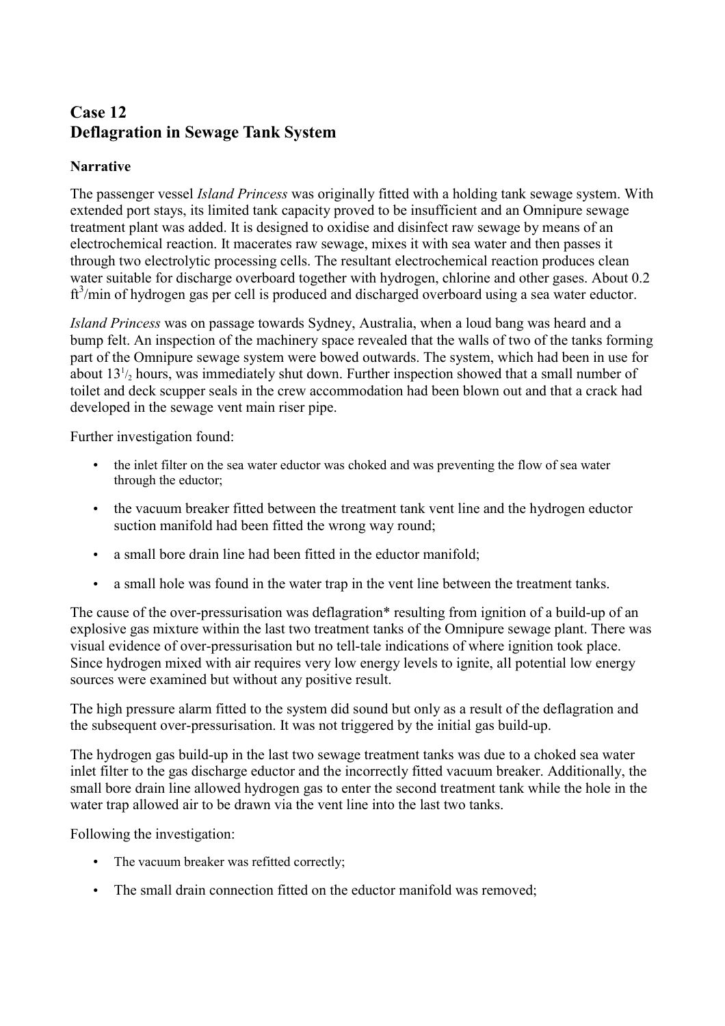## <span id="page-23-0"></span>**Case 12 Deflagration in Sewage Tank System**

## **Narrative**

The passenger vessel *Island Princess* was originally fitted with a holding tank sewage system. With extended port stays, its limited tank capacity proved to be insufficient and an Omnipure sewage treatment plant was added. It is designed to oxidise and disinfect raw sewage by means of an electrochemical reaction. It macerates raw sewage, mixes it with sea water and then passes it through two electrolytic processing cells. The resultant electrochemical reaction produces clean water suitable for discharge overboard together with hydrogen, chlorine and other gases. About 0.2 ft<sup>3</sup>/min of hydrogen gas per cell is produced and discharged overboard using a sea water eductor.

*Island Princess* was on passage towards Sydney, Australia, when a loud bang was heard and a bump felt. An inspection of the machinery space revealed that the walls of two of the tanks forming part of the Omnipure sewage system were bowed outwards. The system, which had been in use for about  $13<sup>1</sup>/2$  hours, was immediately shut down. Further inspection showed that a small number of toilet and deck scupper seals in the crew accommodation had been blown out and that a crack had developed in the sewage vent main riser pipe.

Further investigation found:

- the inlet filter on the sea water eductor was choked and was preventing the flow of sea water through the eductor;
- the vacuum breaker fitted between the treatment tank vent line and the hydrogen eductor suction manifold had been fitted the wrong way round;
- a small bore drain line had been fitted in the eductor manifold;
- a small hole was found in the water trap in the vent line between the treatment tanks.

The cause of the over-pressurisation was deflagration\* resulting from ignition of a build-up of an explosive gas mixture within the last two treatment tanks of the Omnipure sewage plant. There was visual evidence of over-pressurisation but no tell-tale indications of where ignition took place. Since hydrogen mixed with air requires very low energy levels to ignite, all potential low energy sources were examined but without any positive result.

The high pressure alarm fitted to the system did sound but only as a result of the deflagration and the subsequent over-pressurisation. It was not triggered by the initial gas build-up.

The hydrogen gas build-up in the last two sewage treatment tanks was due to a choked sea water inlet filter to the gas discharge eductor and the incorrectly fitted vacuum breaker. Additionally, the small bore drain line allowed hydrogen gas to enter the second treatment tank while the hole in the water trap allowed air to be drawn via the vent line into the last two tanks.

Following the investigation:

- The vacuum breaker was refitted correctly:
- The small drain connection fitted on the eductor manifold was removed;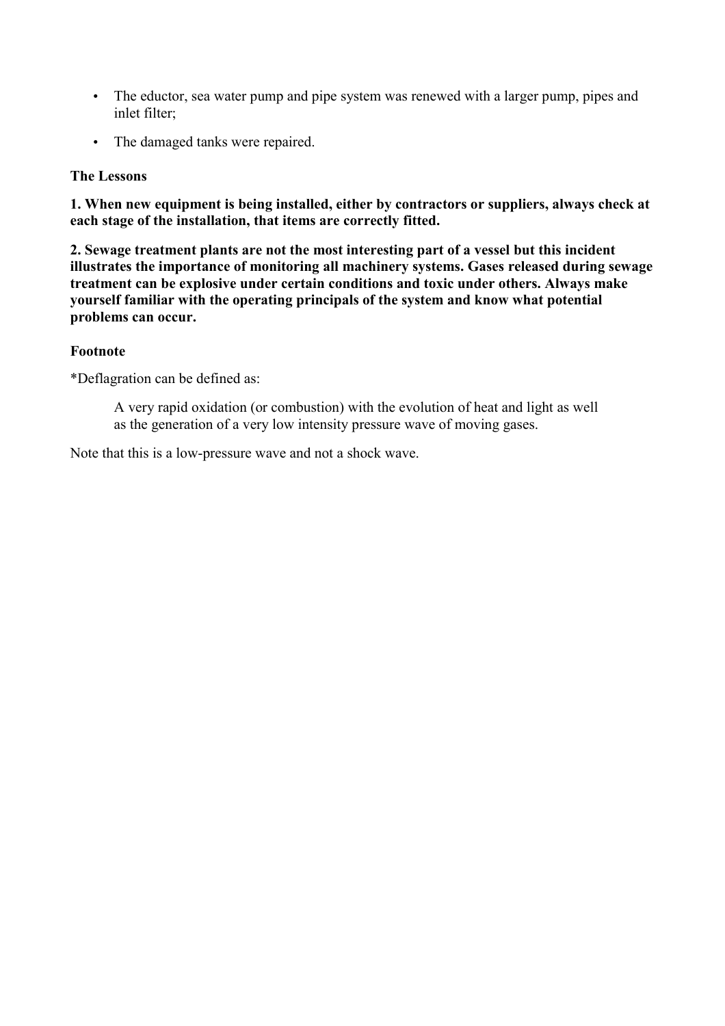- <span id="page-24-0"></span>• The eductor, sea water pump and pipe system was renewed with a larger pump, pipes and inlet filter;
- The damaged tanks were repaired.

#### **The Lessons**

**1. When new equipment is being installed, either by contractors or suppliers, always check at each stage of the installation, that items are correctly fitted.** 

**2. Sewage treatment plants are not the most interesting part of a vessel but this incident illustrates the importance of monitoring all machinery systems. Gases released during sewage treatment can be explosive under certain conditions and toxic under others. Always make yourself familiar with the operating principals of the system and know what potential problems can occur.** 

#### **Footnote**

\*Deflagration can be defined as:

A very rapid oxidation (or combustion) with the evolution of heat and light as well as the generation of a very low intensity pressure wave of moving gases.

Note that this is a low-pressure wave and not a shock wave.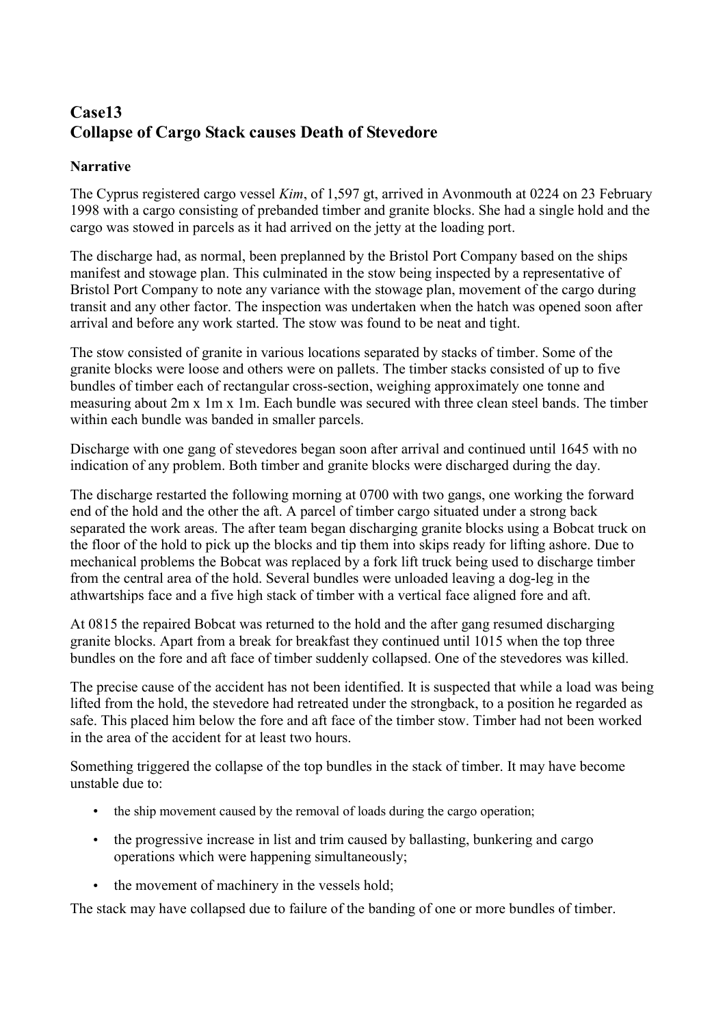## <span id="page-25-0"></span>**Case13 Collapse of Cargo Stack causes Death of Stevedore**

## **Narrative**

The Cyprus registered cargo vessel *Kim*, of 1,597 gt, arrived in Avonmouth at 0224 on 23 February 1998 with a cargo consisting of prebanded timber and granite blocks. She had a single hold and the cargo was stowed in parcels as it had arrived on the jetty at the loading port.

The discharge had, as normal, been preplanned by the Bristol Port Company based on the ships manifest and stowage plan. This culminated in the stow being inspected by a representative of Bristol Port Company to note any variance with the stowage plan, movement of the cargo during transit and any other factor. The inspection was undertaken when the hatch was opened soon after arrival and before any work started. The stow was found to be neat and tight.

The stow consisted of granite in various locations separated by stacks of timber. Some of the granite blocks were loose and others were on pallets. The timber stacks consisted of up to five bundles of timber each of rectangular cross-section, weighing approximately one tonne and measuring about 2m x 1m x 1m. Each bundle was secured with three clean steel bands. The timber within each bundle was banded in smaller parcels.

Discharge with one gang of stevedores began soon after arrival and continued until 1645 with no indication of any problem. Both timber and granite blocks were discharged during the day.

The discharge restarted the following morning at 0700 with two gangs, one working the forward end of the hold and the other the aft. A parcel of timber cargo situated under a strong back separated the work areas. The after team began discharging granite blocks using a Bobcat truck on the floor of the hold to pick up the blocks and tip them into skips ready for lifting ashore. Due to mechanical problems the Bobcat was replaced by a fork lift truck being used to discharge timber from the central area of the hold. Several bundles were unloaded leaving a dog-leg in the athwartships face and a five high stack of timber with a vertical face aligned fore and aft.

At 0815 the repaired Bobcat was returned to the hold and the after gang resumed discharging granite blocks. Apart from a break for breakfast they continued until 1015 when the top three bundles on the fore and aft face of timber suddenly collapsed. One of the stevedores was killed.

The precise cause of the accident has not been identified. It is suspected that while a load was being lifted from the hold, the stevedore had retreated under the strongback, to a position he regarded as safe. This placed him below the fore and aft face of the timber stow. Timber had not been worked in the area of the accident for at least two hours.

Something triggered the collapse of the top bundles in the stack of timber. It may have become unstable due to:

- the ship movement caused by the removal of loads during the cargo operation;
- the progressive increase in list and trim caused by ballasting, bunkering and cargo operations which were happening simultaneously;
- the movement of machinery in the vessels hold;

The stack may have collapsed due to failure of the banding of one or more bundles of timber.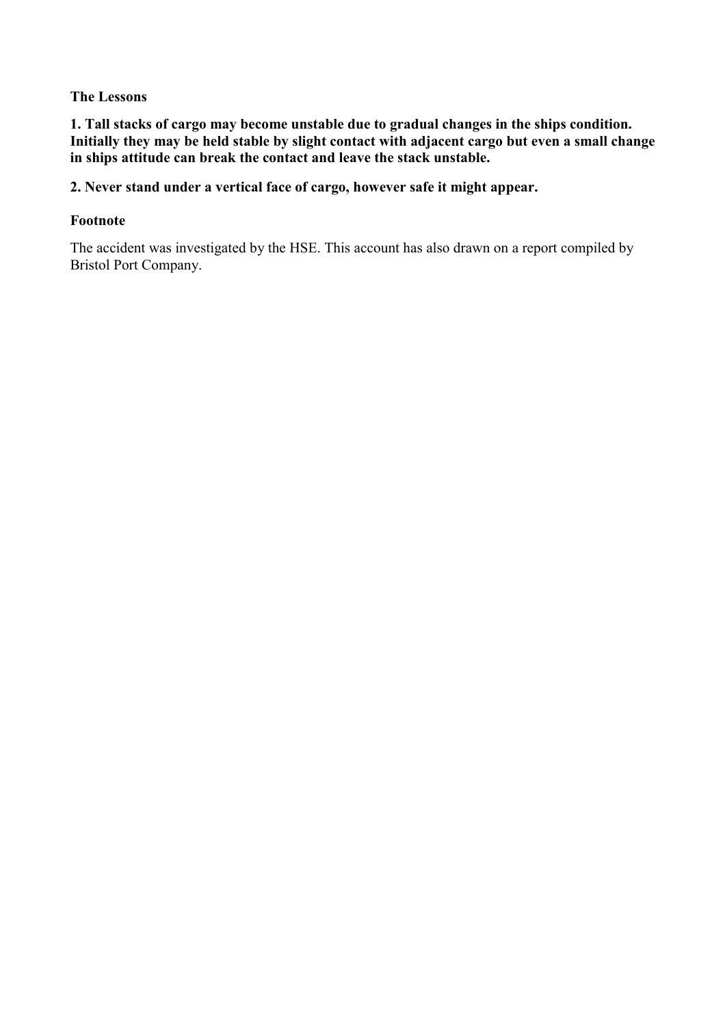### <span id="page-26-0"></span>**The Lessons**

**1. Tall stacks of cargo may become unstable due to gradual changes in the ships condition. Initially they may be held stable by slight contact with adjacent cargo but even a small change in ships attitude can break the contact and leave the stack unstable.** 

**2. Never stand under a vertical face of cargo, however safe it might appear.**

#### **Footnote**

The accident was investigated by the HSE. This account has also drawn on a report compiled by Bristol Port Company.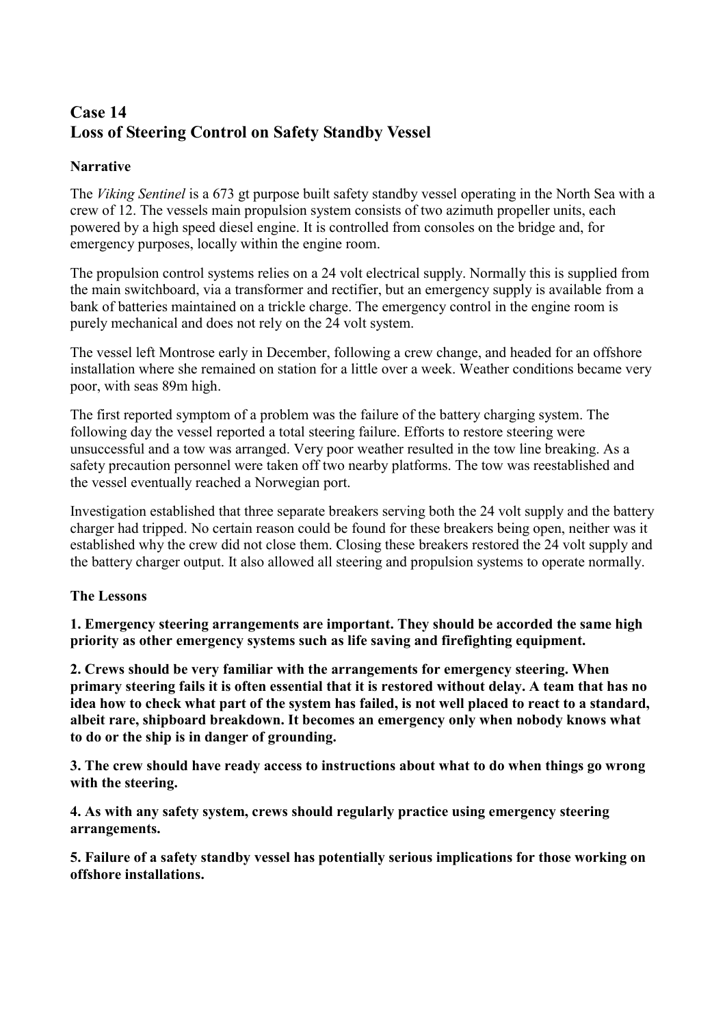## <span id="page-27-0"></span>**Case 14 Loss of Steering Control on Safety Standby Vessel**

### **Narrative**

The *Viking Sentinel* is a 673 gt purpose built safety standby vessel operating in the North Sea with a crew of 12. The vessels main propulsion system consists of two azimuth propeller units, each powered by a high speed diesel engine. It is controlled from consoles on the bridge and, for emergency purposes, locally within the engine room.

The propulsion control systems relies on a 24 volt electrical supply. Normally this is supplied from the main switchboard, via a transformer and rectifier, but an emergency supply is available from a bank of batteries maintained on a trickle charge. The emergency control in the engine room is purely mechanical and does not rely on the 24 volt system.

The vessel left Montrose early in December, following a crew change, and headed for an offshore installation where she remained on station for a little over a week. Weather conditions became very poor, with seas 89m high.

The first reported symptom of a problem was the failure of the battery charging system. The following day the vessel reported a total steering failure. Efforts to restore steering were unsuccessful and a tow was arranged. Very poor weather resulted in the tow line breaking. As a safety precaution personnel were taken off two nearby platforms. The tow was reestablished and the vessel eventually reached a Norwegian port.

Investigation established that three separate breakers serving both the 24 volt supply and the battery charger had tripped. No certain reason could be found for these breakers being open, neither was it established why the crew did not close them. Closing these breakers restored the 24 volt supply and the battery charger output. It also allowed all steering and propulsion systems to operate normally.

### **The Lessons**

**1. Emergency steering arrangements are important. They should be accorded the same high priority as other emergency systems such as life saving and firefighting equipment.** 

**2. Crews should be very familiar with the arrangements for emergency steering. When primary steering fails it is often essential that it is restored without delay. A team that has no idea how to check what part of the system has failed, is not well placed to react to a standard, albeit rare, shipboard breakdown. It becomes an emergency only when nobody knows what to do or the ship is in danger of grounding.**

**3. The crew should have ready access to instructions about what to do when things go wrong with the steering.**

**4. As with any safety system, crews should regularly practice using emergency steering arrangements.** 

**5. Failure of a safety standby vessel has potentially serious implications for those working on offshore installations.**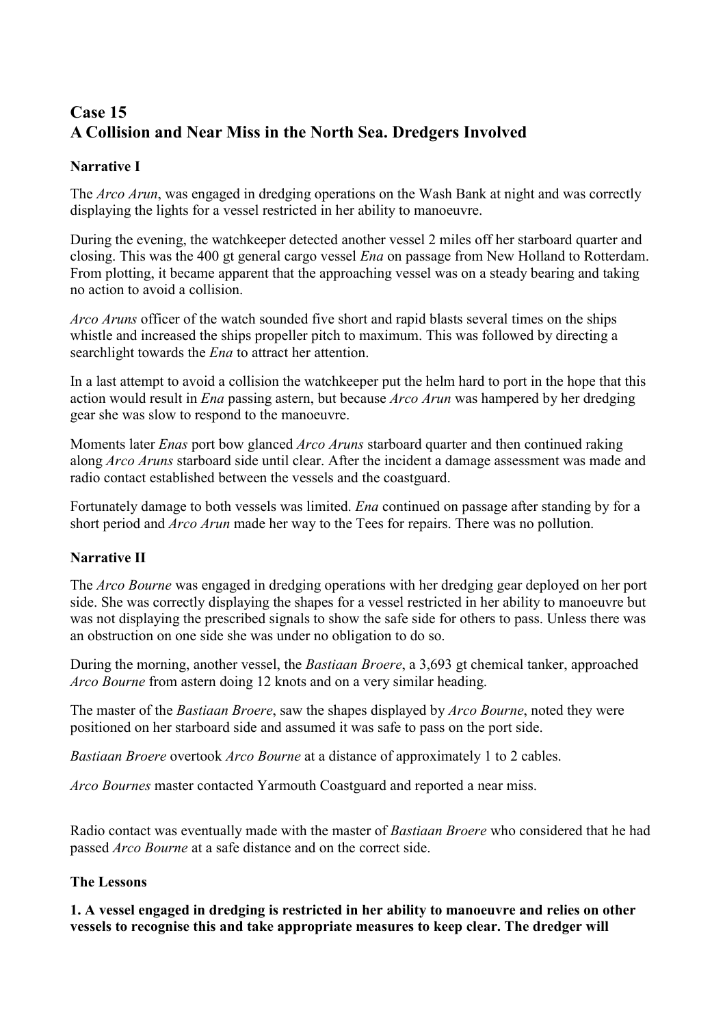## <span id="page-28-0"></span>**Case 15 A Collision and Near Miss in the North Sea. Dredgers Involved**

## **Narrative I**

The *Arco Arun*, was engaged in dredging operations on the Wash Bank at night and was correctly displaying the lights for a vessel restricted in her ability to manoeuvre.

During the evening, the watchkeeper detected another vessel 2 miles off her starboard quarter and closing. This was the 400 gt general cargo vessel *Ena* on passage from New Holland to Rotterdam. From plotting, it became apparent that the approaching vessel was on a steady bearing and taking no action to avoid a collision.

*Arco Aruns* officer of the watch sounded five short and rapid blasts several times on the ships whistle and increased the ships propeller pitch to maximum. This was followed by directing a searchlight towards the *Ena* to attract her attention.

In a last attempt to avoid a collision the watchkeeper put the helm hard to port in the hope that this action would result in *Ena* passing astern, but because *Arco Arun* was hampered by her dredging gear she was slow to respond to the manoeuvre.

Moments later *Enas* port bow glanced *Arco Aruns* starboard quarter and then continued raking along *Arco Aruns* starboard side until clear. After the incident a damage assessment was made and radio contact established between the vessels and the coastguard.

Fortunately damage to both vessels was limited. *Ena* continued on passage after standing by for a short period and *Arco Arun* made her way to the Tees for repairs. There was no pollution.

## **Narrative II**

The *Arco Bourne* was engaged in dredging operations with her dredging gear deployed on her port side. She was correctly displaying the shapes for a vessel restricted in her ability to manoeuvre but was not displaying the prescribed signals to show the safe side for others to pass. Unless there was an obstruction on one side she was under no obligation to do so.

During the morning, another vessel, the *Bastiaan Broere*, a 3,693 gt chemical tanker, approached *Arco Bourne* from astern doing 12 knots and on a very similar heading.

The master of the *Bastiaan Broere*, saw the shapes displayed by *Arco Bourne*, noted they were positioned on her starboard side and assumed it was safe to pass on the port side.

*Bastiaan Broere* overtook *Arco Bourne* at a distance of approximately 1 to 2 cables.

*Arco Bournes* master contacted Yarmouth Coastguard and reported a near miss.

Radio contact was eventually made with the master of *Bastiaan Broere* who considered that he had passed *Arco Bourne* at a safe distance and on the correct side.

### **The Lessons**

**1. A vessel engaged in dredging is restricted in her ability to manoeuvre and relies on other vessels to recognise this and take appropriate measures to keep clear. The dredger will**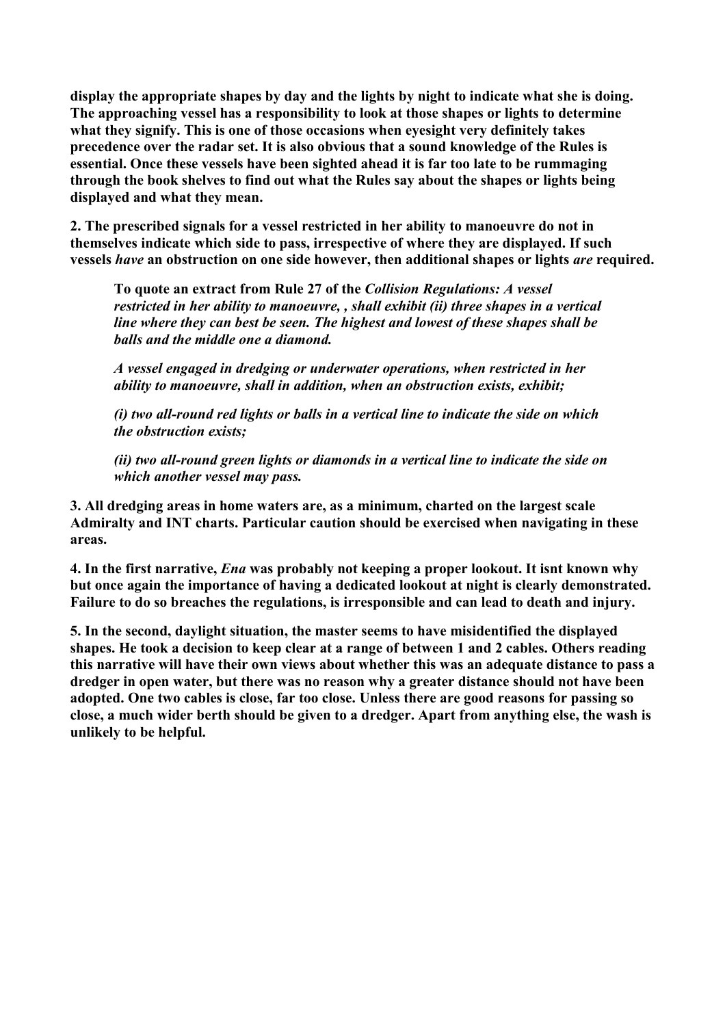**display the appropriate shapes by day and the lights by night to indicate what she is doing. The approaching vessel has a responsibility to look at those shapes or lights to determine what they signify. This is one of those occasions when eyesight very definitely takes precedence over the radar set. It is also obvious that a sound knowledge of the Rules is essential. Once these vessels have been sighted ahead it is far too late to be rummaging through the book shelves to find out what the Rules say about the shapes or lights being displayed and what they mean.** 

**2. The prescribed signals for a vessel restricted in her ability to manoeuvre do not in themselves indicate which side to pass, irrespective of where they are displayed. If such vessels** *have* **an obstruction on one side however, then additional shapes or lights** *are* **required.**

**To quote an extract from Rule 27 of the** *Collision Regulations: A vessel restricted in her ability to manoeuvre, , shall exhibit (ii) three shapes in a vertical line where they can best be seen. The highest and lowest of these shapes shall be balls and the middle one a diamond.* 

*A vessel engaged in dredging or underwater operations, when restricted in her ability to manoeuvre, shall in addition, when an obstruction exists, exhibit;* 

*(i) two all-round red lights or balls in a vertical line to indicate the side on which the obstruction exists;* 

*(ii) two all-round green lights or diamonds in a vertical line to indicate the side on which another vessel may pass.* 

**3. All dredging areas in home waters are, as a minimum, charted on the largest scale Admiralty and INT charts. Particular caution should be exercised when navigating in these areas.**

**4. In the first narrative,** *Ena* **was probably not keeping a proper lookout. It isnt known why but once again the importance of having a dedicated lookout at night is clearly demonstrated. Failure to do so breaches the regulations, is irresponsible and can lead to death and injury.** 

**5. In the second, daylight situation, the master seems to have misidentified the displayed shapes. He took a decision to keep clear at a range of between 1 and 2 cables. Others reading this narrative will have their own views about whether this was an adequate distance to pass a dredger in open water, but there was no reason why a greater distance should not have been adopted. One two cables is close, far too close. Unless there are good reasons for passing so close, a much wider berth should be given to a dredger. Apart from anything else, the wash is unlikely to be helpful.**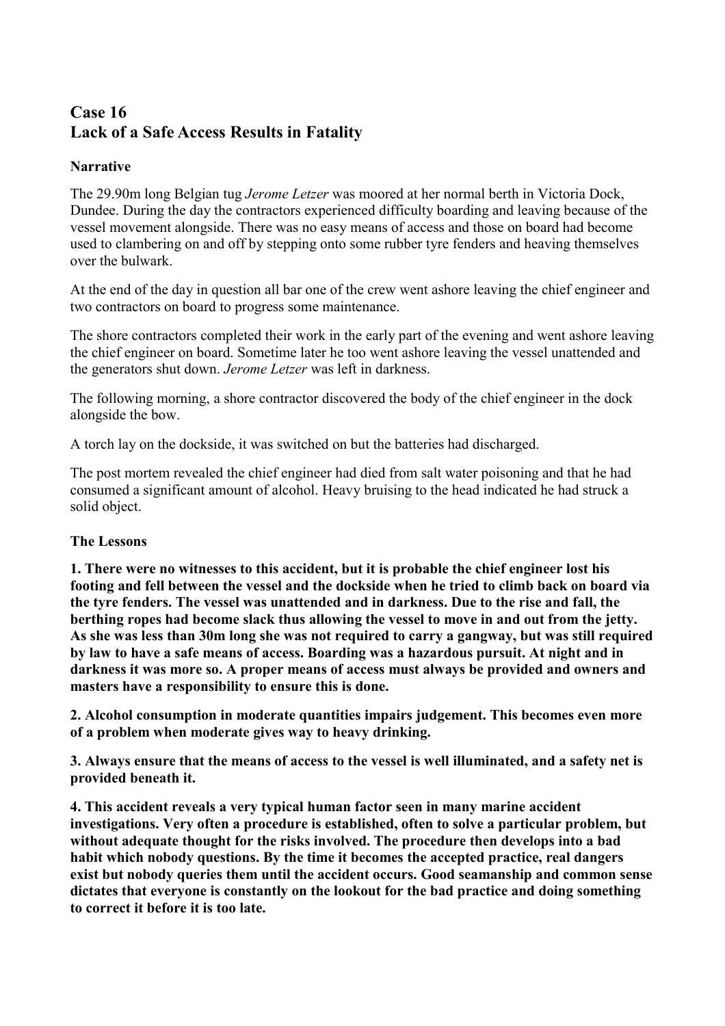## <span id="page-30-0"></span>**Case 16 Lack of a Safe Access Results in Fatality**

### **Narrative**

The 29.90m long Belgian tug *Jerome Letzer* was moored at her normal berth in Victoria Dock, Dundee. During the day the contractors experienced difficulty boarding and leaving because of the vessel movement alongside. There was no easy means of access and those on board had become used to clambering on and off by stepping onto some rubber tyre fenders and heaving themselves over the bulwark.

At the end of the day in question all bar one of the crew went ashore leaving the chief engineer and two contractors on board to progress some maintenance.

The shore contractors completed their work in the early part of the evening and went ashore leaving the chief engineer on board. Sometime later he too went ashore leaving the vessel unattended and the generators shut down. *Jerome Letzer* was left in darkness.

The following morning, a shore contractor discovered the body of the chief engineer in the dock alongside the bow.

A torch lay on the dockside, it was switched on but the batteries had discharged.

The post mortem revealed the chief engineer had died from salt water poisoning and that he had consumed a significant amount of alcohol. Heavy bruising to the head indicated he had struck a solid object.

### **The Lessons**

**1. There were no witnesses to this accident, but it is probable the chief engineer lost his footing and fell between the vessel and the dockside when he tried to climb back on board via the tyre fenders. The vessel was unattended and in darkness. Due to the rise and fall, the berthing ropes had become slack thus allowing the vessel to move in and out from the jetty. As she was less than 30m long she was not required to carry a gangway, but was still required by law to have a safe means of access. Boarding was a hazardous pursuit. At night and in darkness it was more so. A proper means of access must always be provided and owners and masters have a responsibility to ensure this is done.**

**2. Alcohol consumption in moderate quantities impairs judgement. This becomes even more of a problem when moderate gives way to heavy drinking.** 

**3. Always ensure that the means of access to the vessel is well illuminated, and a safety net is provided beneath it.** 

**4. This accident reveals a very typical human factor seen in many marine accident investigations. Very often a procedure is established, often to solve a particular problem, but without adequate thought for the risks involved. The procedure then develops into a bad habit which nobody questions. By the time it becomes the accepted practice, real dangers exist but nobody queries them until the accident occurs. Good seamanship and common sense dictates that everyone is constantly on the lookout for the bad practice and doing something to correct it before it is too late.**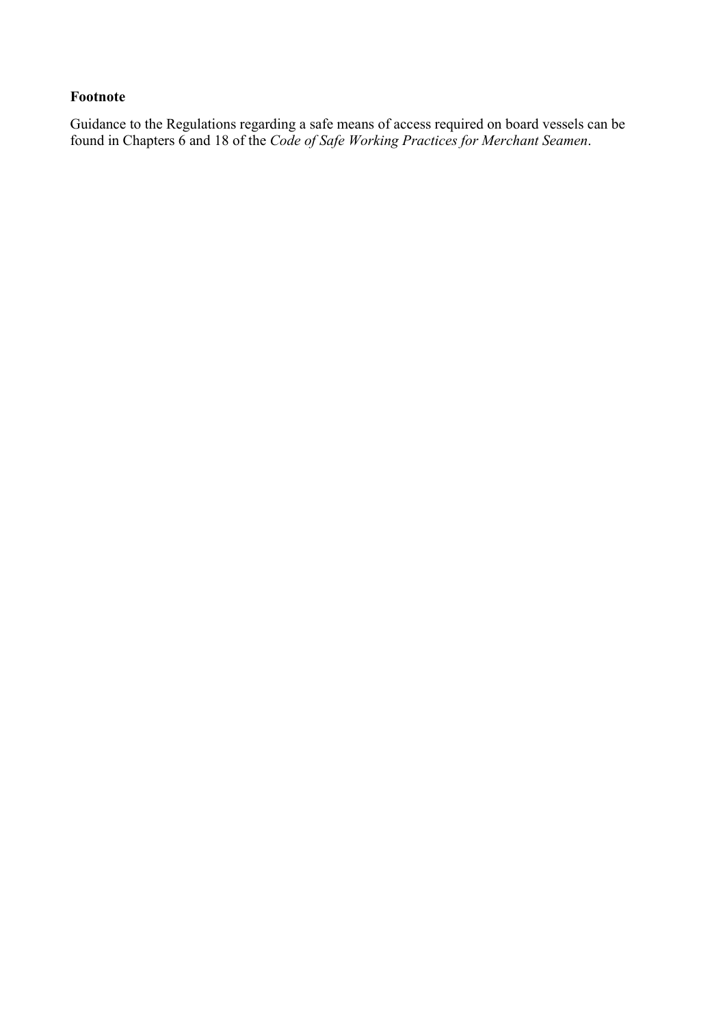#### <span id="page-31-0"></span>**Footnote**

Guidance to the Regulations regarding a safe means of access required on board vessels can be found in Chapters 6 and 18 of the *Code of Safe Working Practices for Merchant Seamen*.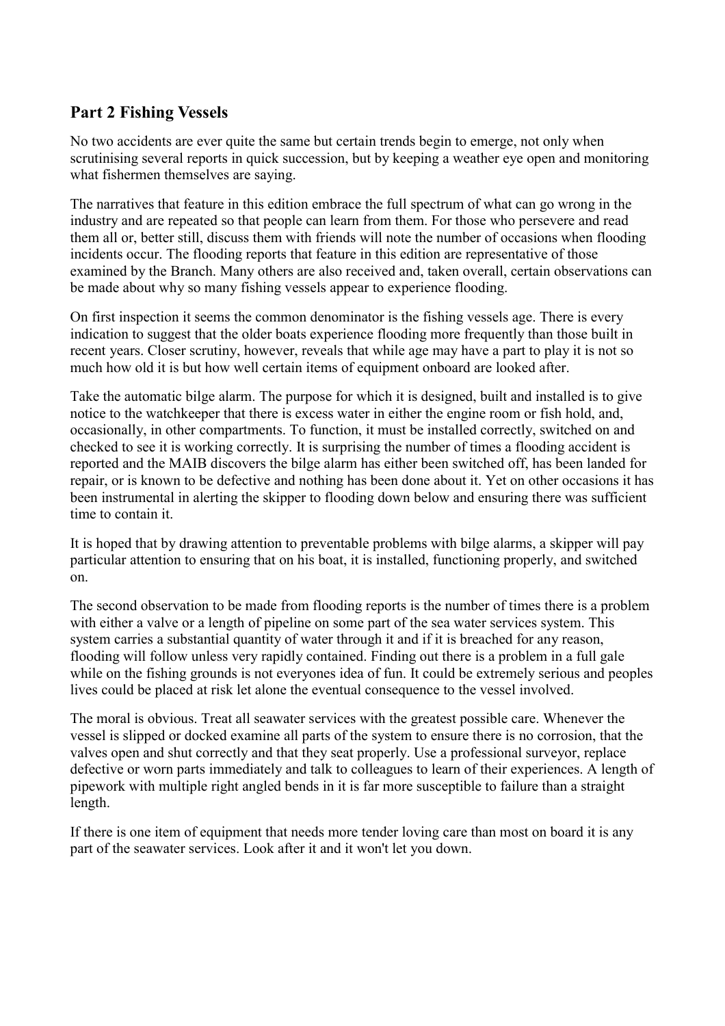## <span id="page-32-0"></span>**Part 2 Fishing Vessels**

No two accidents are ever quite the same but certain trends begin to emerge, not only when scrutinising several reports in quick succession, but by keeping a weather eye open and monitoring what fishermen themselves are saying.

The narratives that feature in this edition embrace the full spectrum of what can go wrong in the industry and are repeated so that people can learn from them. For those who persevere and read them all or, better still, discuss them with friends will note the number of occasions when flooding incidents occur. The flooding reports that feature in this edition are representative of those examined by the Branch. Many others are also received and, taken overall, certain observations can be made about why so many fishing vessels appear to experience flooding.

On first inspection it seems the common denominator is the fishing vessels age. There is every indication to suggest that the older boats experience flooding more frequently than those built in recent years. Closer scrutiny, however, reveals that while age may have a part to play it is not so much how old it is but how well certain items of equipment onboard are looked after.

Take the automatic bilge alarm. The purpose for which it is designed, built and installed is to give notice to the watchkeeper that there is excess water in either the engine room or fish hold, and, occasionally, in other compartments. To function, it must be installed correctly, switched on and checked to see it is working correctly. It is surprising the number of times a flooding accident is reported and the MAIB discovers the bilge alarm has either been switched off, has been landed for repair, or is known to be defective and nothing has been done about it. Yet on other occasions it has been instrumental in alerting the skipper to flooding down below and ensuring there was sufficient time to contain it.

It is hoped that by drawing attention to preventable problems with bilge alarms, a skipper will pay particular attention to ensuring that on his boat, it is installed, functioning properly, and switched on.

The second observation to be made from flooding reports is the number of times there is a problem with either a valve or a length of pipeline on some part of the sea water services system. This system carries a substantial quantity of water through it and if it is breached for any reason, flooding will follow unless very rapidly contained. Finding out there is a problem in a full gale while on the fishing grounds is not everyones idea of fun. It could be extremely serious and peoples lives could be placed at risk let alone the eventual consequence to the vessel involved.

The moral is obvious. Treat all seawater services with the greatest possible care. Whenever the vessel is slipped or docked examine all parts of the system to ensure there is no corrosion, that the valves open and shut correctly and that they seat properly. Use a professional surveyor, replace defective or worn parts immediately and talk to colleagues to learn of their experiences. A length of pipework with multiple right angled bends in it is far more susceptible to failure than a straight length.

If there is one item of equipment that needs more tender loving care than most on board it is any part of the seawater services. Look after it and it won't let you down.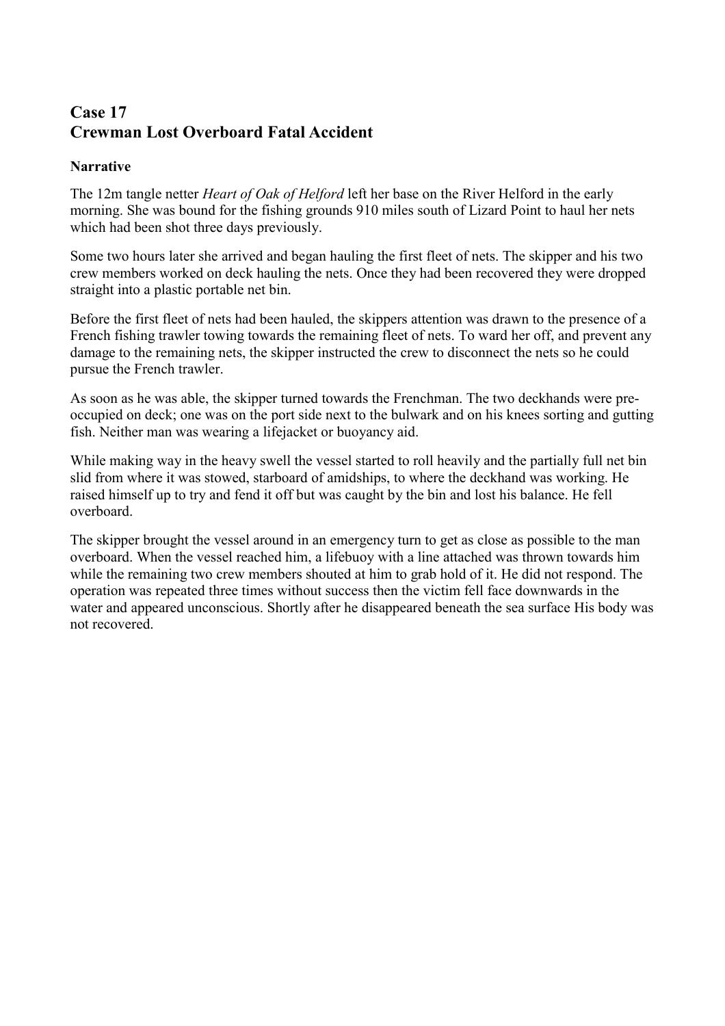## <span id="page-33-0"></span>**Case 17 Crewman Lost Overboard Fatal Accident**

### **Narrative**

The 12m tangle netter *Heart of Oak of Helford* left her base on the River Helford in the early morning. She was bound for the fishing grounds 910 miles south of Lizard Point to haul her nets which had been shot three days previously.

Some two hours later she arrived and began hauling the first fleet of nets. The skipper and his two crew members worked on deck hauling the nets. Once they had been recovered they were dropped straight into a plastic portable net bin.

Before the first fleet of nets had been hauled, the skippers attention was drawn to the presence of a French fishing trawler towing towards the remaining fleet of nets. To ward her off, and prevent any damage to the remaining nets, the skipper instructed the crew to disconnect the nets so he could pursue the French trawler.

As soon as he was able, the skipper turned towards the Frenchman. The two deckhands were preoccupied on deck; one was on the port side next to the bulwark and on his knees sorting and gutting fish. Neither man was wearing a lifejacket or buoyancy aid.

While making way in the heavy swell the vessel started to roll heavily and the partially full net bin slid from where it was stowed, starboard of amidships, to where the deckhand was working. He raised himself up to try and fend it off but was caught by the bin and lost his balance. He fell overboard.

The skipper brought the vessel around in an emergency turn to get as close as possible to the man overboard. When the vessel reached him, a lifebuoy with a line attached was thrown towards him while the remaining two crew members shouted at him to grab hold of it. He did not respond. The operation was repeated three times without success then the victim fell face downwards in the water and appeared unconscious. Shortly after he disappeared beneath the sea surface His body was not recovered.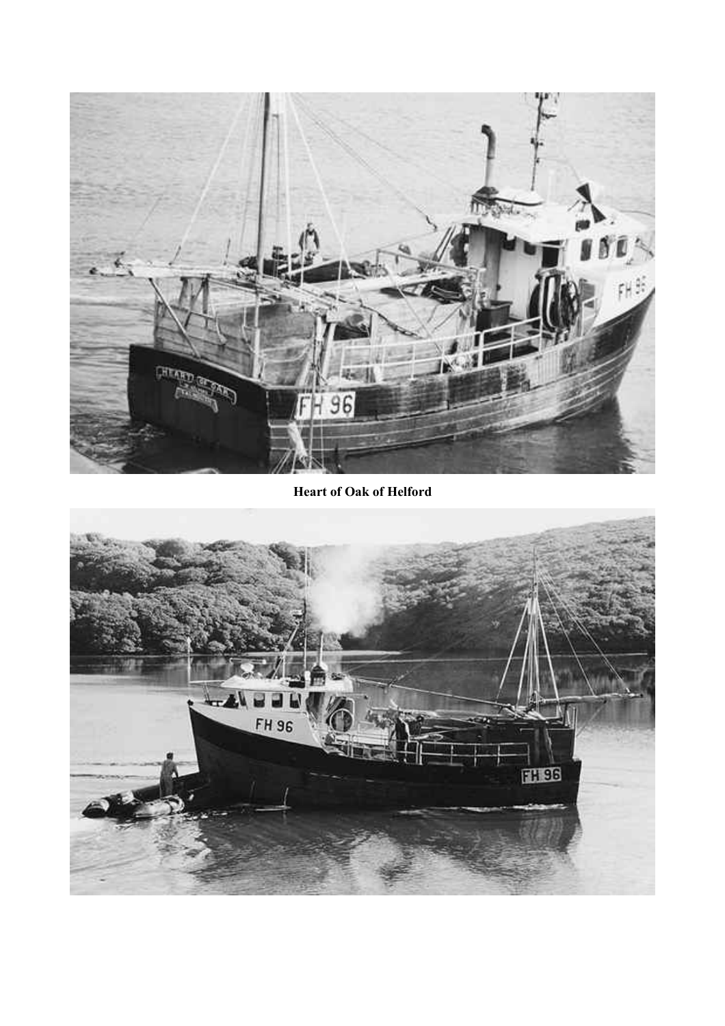

**Heart of Oak of Helford**

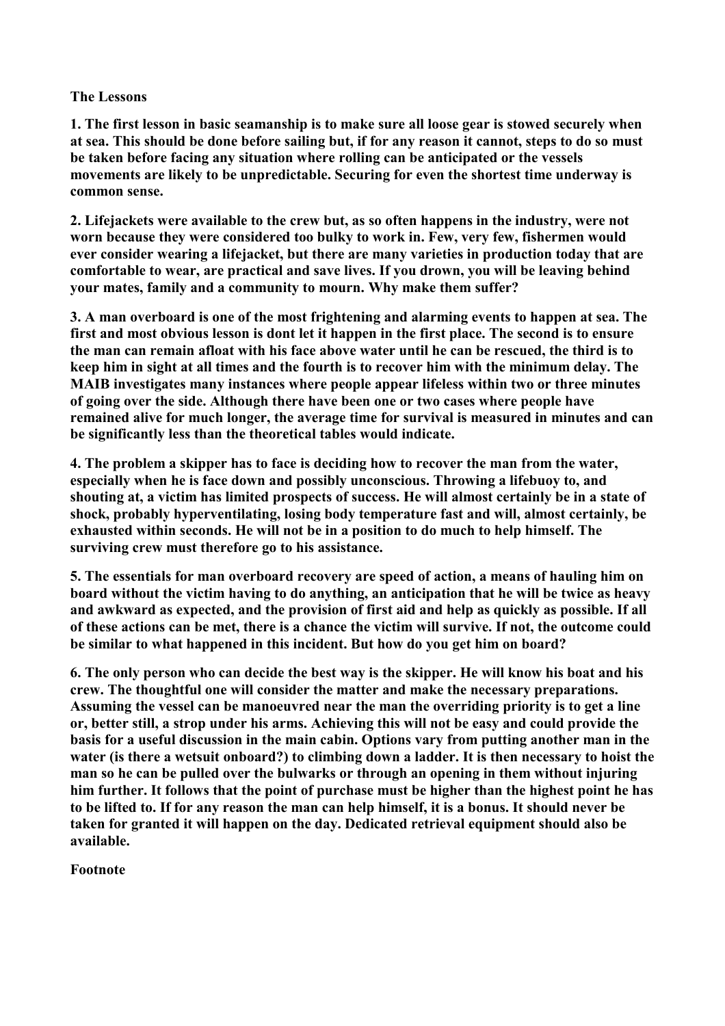#### <span id="page-35-0"></span>**The Lessons**

**1. The first lesson in basic seamanship is to make sure all loose gear is stowed securely when at sea. This should be done before sailing but, if for any reason it cannot, steps to do so must be taken before facing any situation where rolling can be anticipated or the vessels movements are likely to be unpredictable. Securing for even the shortest time underway is common sense.** 

**2. Lifejackets were available to the crew but, as so often happens in the industry, were not worn because they were considered too bulky to work in. Few, very few, fishermen would ever consider wearing a lifejacket, but there are many varieties in production today that are comfortable to wear, are practical and save lives. If you drown, you will be leaving behind your mates, family and a community to mourn. Why make them suffer?**

**3. A man overboard is one of the most frightening and alarming events to happen at sea. The first and most obvious lesson is dont let it happen in the first place. The second is to ensure the man can remain afloat with his face above water until he can be rescued, the third is to keep him in sight at all times and the fourth is to recover him with the minimum delay. The MAIB investigates many instances where people appear lifeless within two or three minutes of going over the side. Although there have been one or two cases where people have remained alive for much longer, the average time for survival is measured in minutes and can be significantly less than the theoretical tables would indicate.** 

**4. The problem a skipper has to face is deciding how to recover the man from the water, especially when he is face down and possibly unconscious. Throwing a lifebuoy to, and shouting at, a victim has limited prospects of success. He will almost certainly be in a state of shock, probably hyperventilating, losing body temperature fast and will, almost certainly, be exhausted within seconds. He will not be in a position to do much to help himself. The surviving crew must therefore go to his assistance.** 

**5. The essentials for man overboard recovery are speed of action, a means of hauling him on board without the victim having to do anything, an anticipation that he will be twice as heavy and awkward as expected, and the provision of first aid and help as quickly as possible. If all of these actions can be met, there is a chance the victim will survive. If not, the outcome could be similar to what happened in this incident. But how do you get him on board?** 

**6. The only person who can decide the best way is the skipper. He will know his boat and his crew. The thoughtful one will consider the matter and make the necessary preparations. Assuming the vessel can be manoeuvred near the man the overriding priority is to get a line or, better still, a strop under his arms. Achieving this will not be easy and could provide the basis for a useful discussion in the main cabin. Options vary from putting another man in the water (is there a wetsuit onboard?) to climbing down a ladder. It is then necessary to hoist the man so he can be pulled over the bulwarks or through an opening in them without injuring him further. It follows that the point of purchase must be higher than the highest point he has to be lifted to. If for any reason the man can help himself, it is a bonus. It should never be taken for granted it will happen on the day. Dedicated retrieval equipment should also be available.**

**Footnote**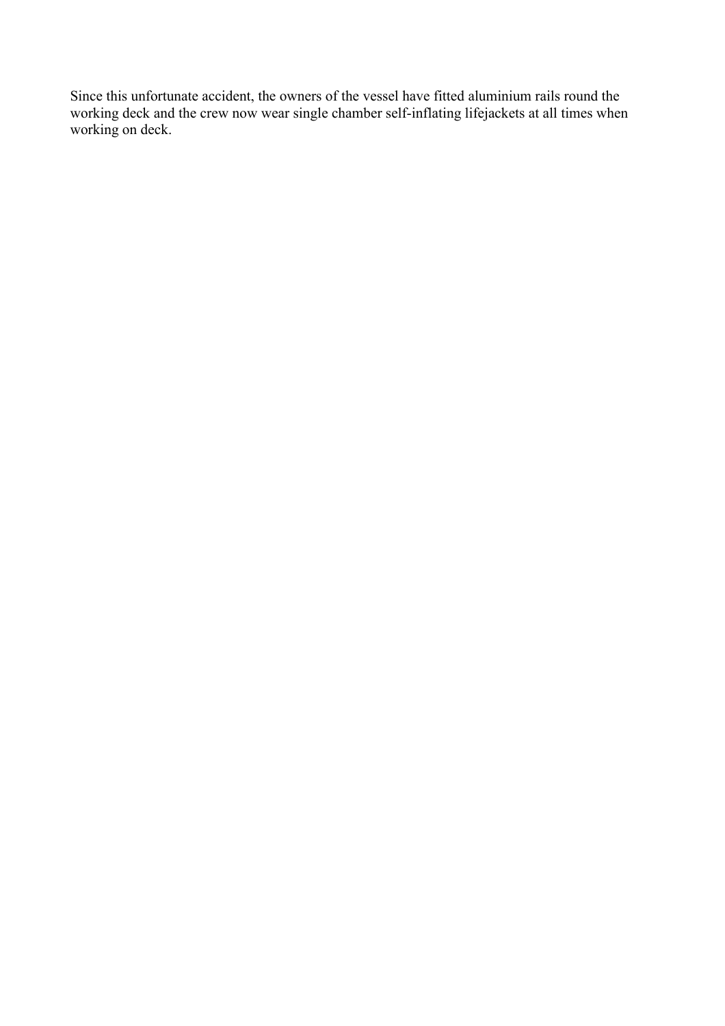Since this unfortunate accident, the owners of the vessel have fitted aluminium rails round the working deck and the crew now wear single chamber self-inflating lifejackets at all times when working on deck.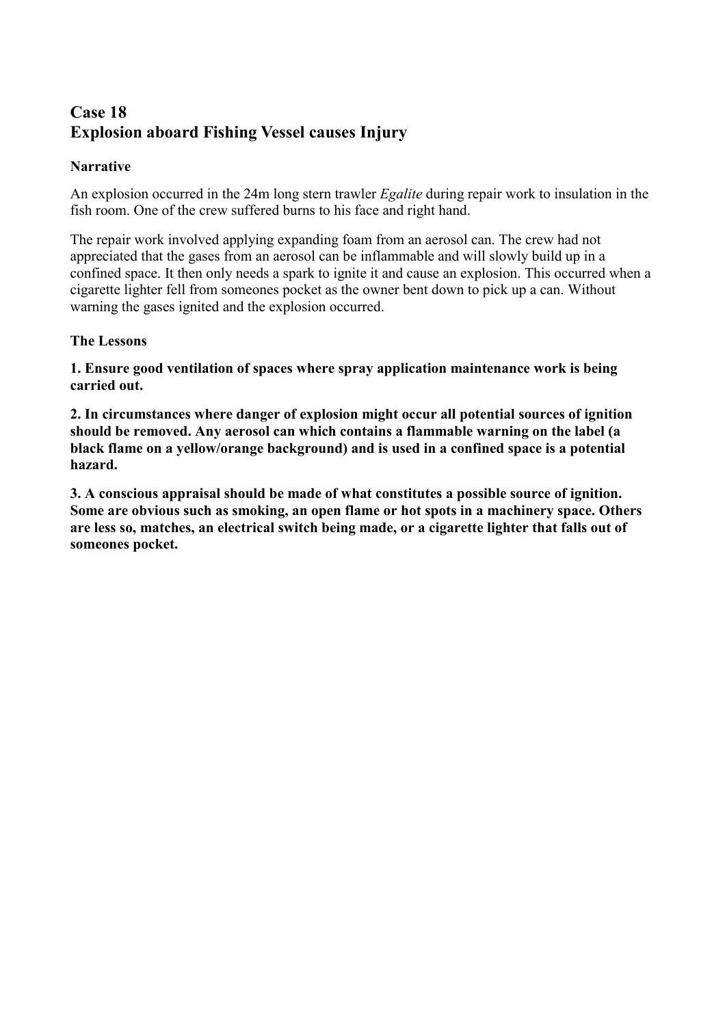## <span id="page-37-0"></span>**Case 18 Explosion aboard Fishing Vessel causes Injury**

## **Narrative**

An explosion occurred in the 24m long stern trawler *Egalite* during repair work to insulation in the fish room. One of the crew suffered burns to his face and right hand.

The repair work involved applying expanding foam from an aerosol can. The crew had not appreciated that the gases from an aerosol can be inflammable and will slowly build up in a confined space. It then only needs a spark to ignite it and cause an explosion. This occurred when a cigarette lighter fell from someones pocket as the owner bent down to pick up a can. Without warning the gases ignited and the explosion occurred.

### **The Lessons**

**1. Ensure good ventilation of spaces where spray application maintenance work is being carried out.** 

**2. In circumstances where danger of explosion might occur all potential sources of ignition should be removed. Any aerosol can which contains a flammable warning on the label (a black flame on a yellow/orange background) and is used in a confined space is a potential hazard.**

**3. A conscious appraisal should be made of what constitutes a possible source of ignition. Some are obvious such as smoking, an open flame or hot spots in a machinery space. Others are less so, matches, an electrical switch being made, or a cigarette lighter that falls out of someones pocket.**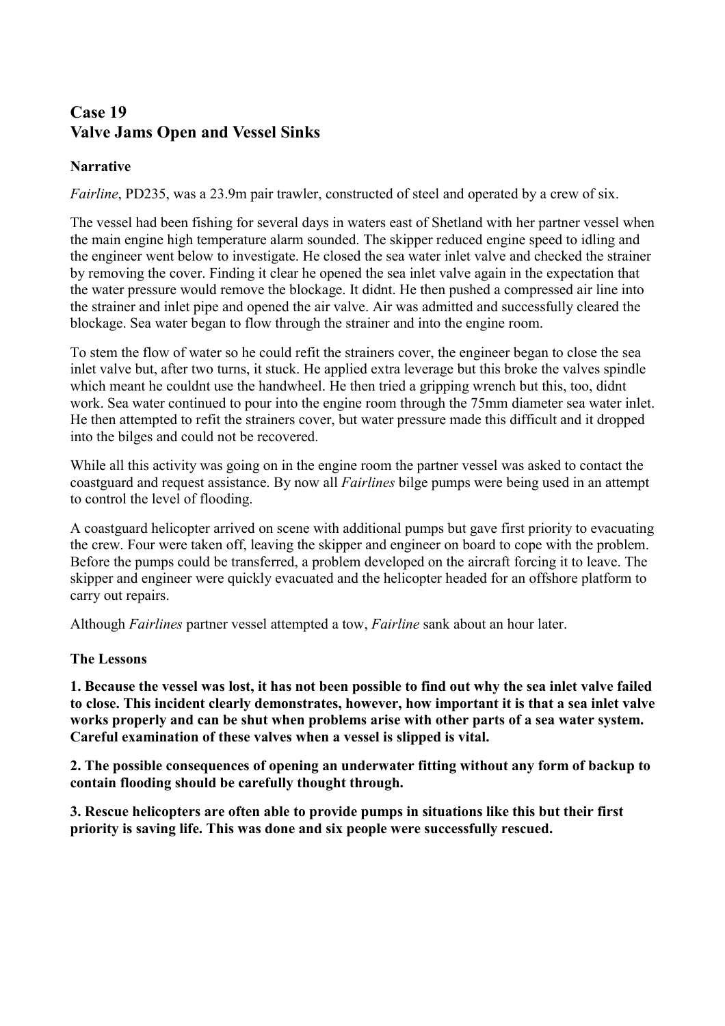## <span id="page-38-0"></span>**Case 19 Valve Jams Open and Vessel Sinks**

### **Narrative**

*Fairline*, PD235, was a 23.9m pair trawler, constructed of steel and operated by a crew of six.

The vessel had been fishing for several days in waters east of Shetland with her partner vessel when the main engine high temperature alarm sounded. The skipper reduced engine speed to idling and the engineer went below to investigate. He closed the sea water inlet valve and checked the strainer by removing the cover. Finding it clear he opened the sea inlet valve again in the expectation that the water pressure would remove the blockage. It didnt. He then pushed a compressed air line into the strainer and inlet pipe and opened the air valve. Air was admitted and successfully cleared the blockage. Sea water began to flow through the strainer and into the engine room.

To stem the flow of water so he could refit the strainers cover, the engineer began to close the sea inlet valve but, after two turns, it stuck. He applied extra leverage but this broke the valves spindle which meant he couldnt use the handwheel. He then tried a gripping wrench but this, too, didnt work. Sea water continued to pour into the engine room through the 75mm diameter sea water inlet. He then attempted to refit the strainers cover, but water pressure made this difficult and it dropped into the bilges and could not be recovered.

While all this activity was going on in the engine room the partner vessel was asked to contact the coastguard and request assistance. By now all *Fairlines* bilge pumps were being used in an attempt to control the level of flooding.

A coastguard helicopter arrived on scene with additional pumps but gave first priority to evacuating the crew. Four were taken off, leaving the skipper and engineer on board to cope with the problem. Before the pumps could be transferred, a problem developed on the aircraft forcing it to leave. The skipper and engineer were quickly evacuated and the helicopter headed for an offshore platform to carry out repairs.

Although *Fairlines* partner vessel attempted a tow, *Fairline* sank about an hour later.

### **The Lessons**

**1. Because the vessel was lost, it has not been possible to find out why the sea inlet valve failed to close. This incident clearly demonstrates, however, how important it is that a sea inlet valve works properly and can be shut when problems arise with other parts of a sea water system. Careful examination of these valves when a vessel is slipped is vital.**

**2. The possible consequences of opening an underwater fitting without any form of backup to contain flooding should be carefully thought through.** 

**3. Rescue helicopters are often able to provide pumps in situations like this but their first priority is saving life. This was done and six people were successfully rescued.**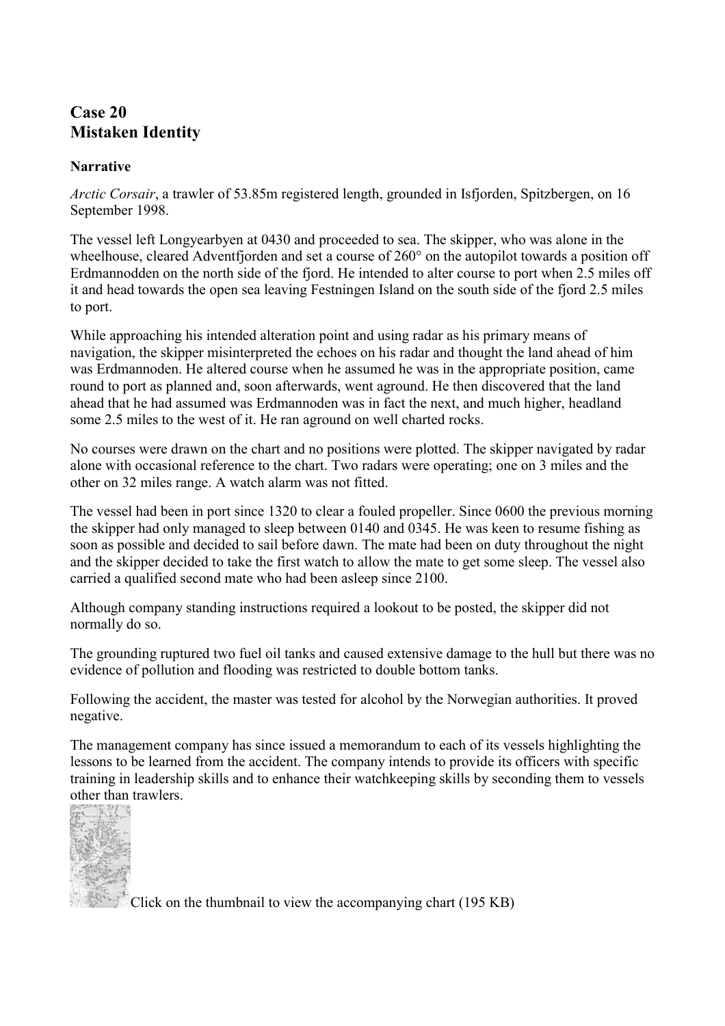## <span id="page-39-0"></span>**Case 20 Mistaken Identity**

### **Narrative**

*Arctic Corsair*, a trawler of 53.85m registered length, grounded in Isfjorden, Spitzbergen, on 16 September 1998.

The vessel left Longyearbyen at 0430 and proceeded to sea. The skipper, who was alone in the wheelhouse, cleared Adventfjorden and set a course of 260° on the autopilot towards a position off Erdmannodden on the north side of the fjord. He intended to alter course to port when 2.5 miles off it and head towards the open sea leaving Festningen Island on the south side of the fjord 2.5 miles to port.

While approaching his intended alteration point and using radar as his primary means of navigation, the skipper misinterpreted the echoes on his radar and thought the land ahead of him was Erdmannoden. He altered course when he assumed he was in the appropriate position, came round to port as planned and, soon afterwards, went aground. He then discovered that the land ahead that he had assumed was Erdmannoden was in fact the next, and much higher, headland some 2.5 miles to the west of it. He ran aground on well charted rocks.

No courses were drawn on the chart and no positions were plotted. The skipper navigated by radar alone with occasional reference to the chart. Two radars were operating; one on 3 miles and the other on 32 miles range. A watch alarm was not fitted.

The vessel had been in port since 1320 to clear a fouled propeller. Since 0600 the previous morning the skipper had only managed to sleep between 0140 and 0345. He was keen to resume fishing as soon as possible and decided to sail before dawn. The mate had been on duty throughout the night and the skipper decided to take the first watch to allow the mate to get some sleep. The vessel also carried a qualified second mate who had been asleep since 2100.

Although company standing instructions required a lookout to be posted, the skipper did not normally do so.

The grounding ruptured two fuel oil tanks and caused extensive damage to the hull but there was no evidence of pollution and flooding was restricted to double bottom tanks.

Following the accident, the master was tested for alcohol by the Norwegian authorities. It proved negative.

The management company has since issued a memorandum to each of its vessels highlighting the lessons to be learned from the accident. The company intends to provide its officers with specific training in leadership skills and to enhance their watchkeeping skills by seconding them to vessels other than trawlers.



Click on the thumbnail to view the accompanying chart (195 KB)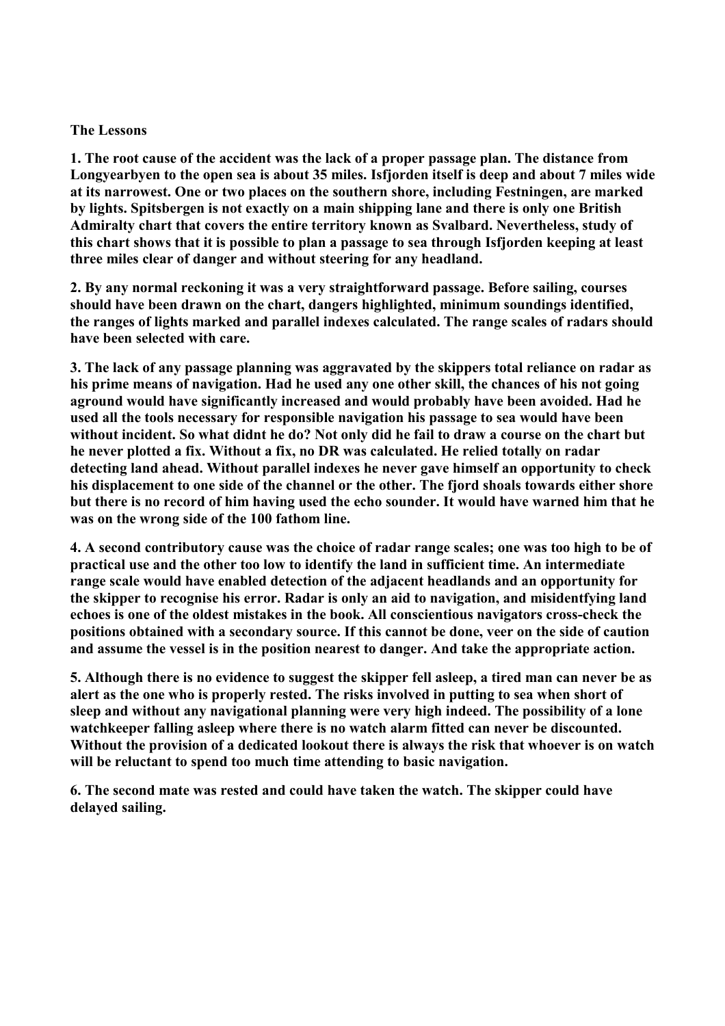#### <span id="page-40-0"></span>**The Lessons**

**1. The root cause of the accident was the lack of a proper passage plan. The distance from Longyearbyen to the open sea is about 35 miles. Isfjorden itself is deep and about 7 miles wide at its narrowest. One or two places on the southern shore, including Festningen, are marked by lights. Spitsbergen is not exactly on a main shipping lane and there is only one British Admiralty chart that covers the entire territory known as Svalbard. Nevertheless, study of this chart shows that it is possible to plan a passage to sea through Isfjorden keeping at least three miles clear of danger and without steering for any headland.** 

**2. By any normal reckoning it was a very straightforward passage. Before sailing, courses should have been drawn on the chart, dangers highlighted, minimum soundings identified, the ranges of lights marked and parallel indexes calculated. The range scales of radars should have been selected with care.** 

**3. The lack of any passage planning was aggravated by the skippers total reliance on radar as his prime means of navigation. Had he used any one other skill, the chances of his not going aground would have significantly increased and would probably have been avoided. Had he used all the tools necessary for responsible navigation his passage to sea would have been without incident. So what didnt he do? Not only did he fail to draw a course on the chart but he never plotted a fix. Without a fix, no DR was calculated. He relied totally on radar detecting land ahead. Without parallel indexes he never gave himself an opportunity to check his displacement to one side of the channel or the other. The fjord shoals towards either shore but there is no record of him having used the echo sounder. It would have warned him that he was on the wrong side of the 100 fathom line.** 

**4. A second contributory cause was the choice of radar range scales; one was too high to be of practical use and the other too low to identify the land in sufficient time. An intermediate range scale would have enabled detection of the adjacent headlands and an opportunity for the skipper to recognise his error. Radar is only an aid to navigation, and misidentfying land echoes is one of the oldest mistakes in the book. All conscientious navigators cross-check the positions obtained with a secondary source. If this cannot be done, veer on the side of caution and assume the vessel is in the position nearest to danger. And take the appropriate action.**

**5. Although there is no evidence to suggest the skipper fell asleep, a tired man can never be as alert as the one who is properly rested. The risks involved in putting to sea when short of sleep and without any navigational planning were very high indeed. The possibility of a lone watchkeeper falling asleep where there is no watch alarm fitted can never be discounted. Without the provision of a dedicated lookout there is always the risk that whoever is on watch will be reluctant to spend too much time attending to basic navigation.** 

**6. The second mate was rested and could have taken the watch. The skipper could have delayed sailing.**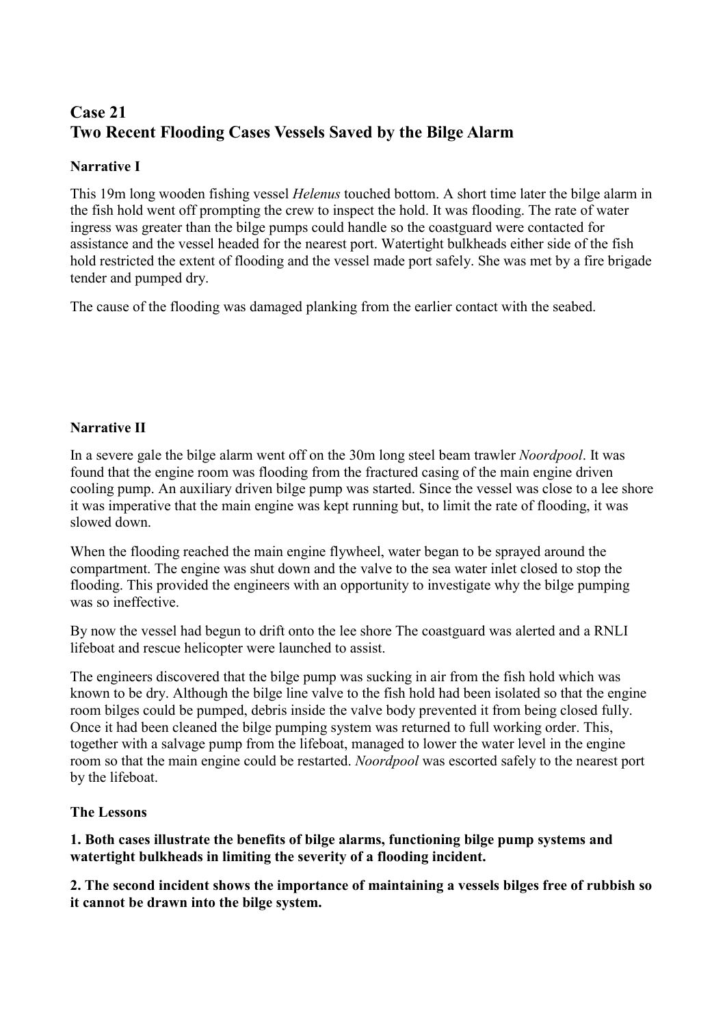## <span id="page-41-0"></span>**Case 21 Two Recent Flooding Cases Vessels Saved by the Bilge Alarm**

## **Narrative I**

This 19m long wooden fishing vessel *Helenus* touched bottom. A short time later the bilge alarm in the fish hold went off prompting the crew to inspect the hold. It was flooding. The rate of water ingress was greater than the bilge pumps could handle so the coastguard were contacted for assistance and the vessel headed for the nearest port. Watertight bulkheads either side of the fish hold restricted the extent of flooding and the vessel made port safely. She was met by a fire brigade tender and pumped dry.

The cause of the flooding was damaged planking from the earlier contact with the seabed.

#### **Narrative II**

In a severe gale the bilge alarm went off on the 30m long steel beam trawler *Noordpool*. It was found that the engine room was flooding from the fractured casing of the main engine driven cooling pump. An auxiliary driven bilge pump was started. Since the vessel was close to a lee shore it was imperative that the main engine was kept running but, to limit the rate of flooding, it was slowed down.

When the flooding reached the main engine flywheel, water began to be sprayed around the compartment. The engine was shut down and the valve to the sea water inlet closed to stop the flooding. This provided the engineers with an opportunity to investigate why the bilge pumping was so ineffective.

By now the vessel had begun to drift onto the lee shore The coastguard was alerted and a RNLI lifeboat and rescue helicopter were launched to assist.

The engineers discovered that the bilge pump was sucking in air from the fish hold which was known to be dry. Although the bilge line valve to the fish hold had been isolated so that the engine room bilges could be pumped, debris inside the valve body prevented it from being closed fully. Once it had been cleaned the bilge pumping system was returned to full working order. This, together with a salvage pump from the lifeboat, managed to lower the water level in the engine room so that the main engine could be restarted. *Noordpool* was escorted safely to the nearest port by the lifeboat.

#### **The Lessons**

**1. Both cases illustrate the benefits of bilge alarms, functioning bilge pump systems and watertight bulkheads in limiting the severity of a flooding incident.**

**2. The second incident shows the importance of maintaining a vessels bilges free of rubbish so it cannot be drawn into the bilge system.**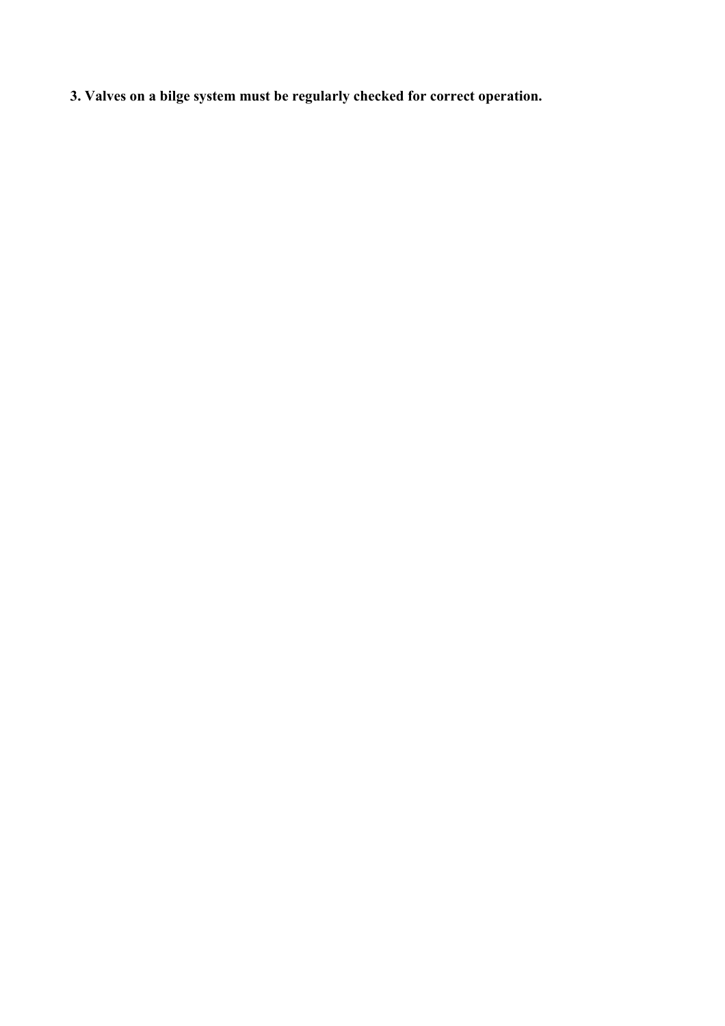**3. Valves on a bilge system must be regularly checked for correct operation.**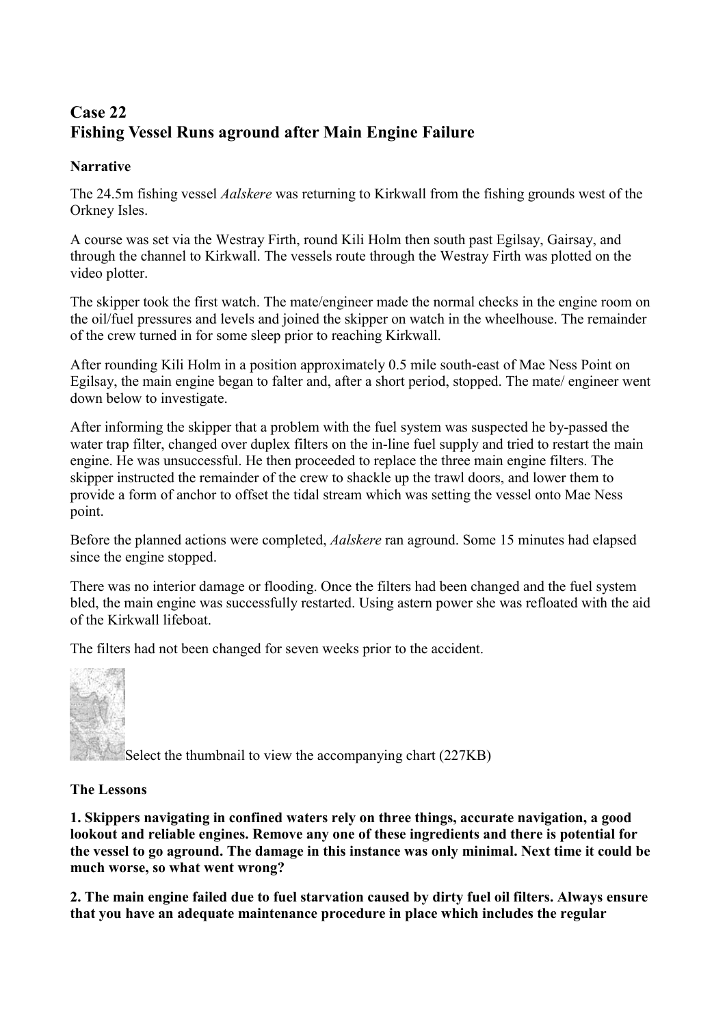## <span id="page-43-0"></span>**Case 22 Fishing Vessel Runs aground after Main Engine Failure**

## **Narrative**

The 24.5m fishing vessel *Aalskere* was returning to Kirkwall from the fishing grounds west of the Orkney Isles.

A course was set via the Westray Firth, round Kili Holm then south past Egilsay, Gairsay, and through the channel to Kirkwall. The vessels route through the Westray Firth was plotted on the video plotter.

The skipper took the first watch. The mate/engineer made the normal checks in the engine room on the oil/fuel pressures and levels and joined the skipper on watch in the wheelhouse. The remainder of the crew turned in for some sleep prior to reaching Kirkwall.

After rounding Kili Holm in a position approximately 0.5 mile south-east of Mae Ness Point on Egilsay, the main engine began to falter and, after a short period, stopped. The mate/ engineer went down below to investigate.

After informing the skipper that a problem with the fuel system was suspected he by-passed the water trap filter, changed over duplex filters on the in-line fuel supply and tried to restart the main engine. He was unsuccessful. He then proceeded to replace the three main engine filters. The skipper instructed the remainder of the crew to shackle up the trawl doors, and lower them to provide a form of anchor to offset the tidal stream which was setting the vessel onto Mae Ness point.

Before the planned actions were completed, *Aalskere* ran aground. Some 15 minutes had elapsed since the engine stopped.

There was no interior damage or flooding. Once the filters had been changed and the fuel system bled, the main engine was successfully restarted. Using astern power she was refloated with the aid of the Kirkwall lifeboat.

The filters had not been changed for seven weeks prior to the accident.



Select the thumbnail to view the accompanying chart (227KB)

## **The Lessons**

**1. Skippers navigating in confined waters rely on three things, accurate navigation, a good lookout and reliable engines. Remove any one of these ingredients and there is potential for the vessel to go aground. The damage in this instance was only minimal. Next time it could be much worse, so what went wrong?** 

**2. The main engine failed due to fuel starvation caused by dirty fuel oil filters. Always ensure that you have an adequate maintenance procedure in place which includes the regular**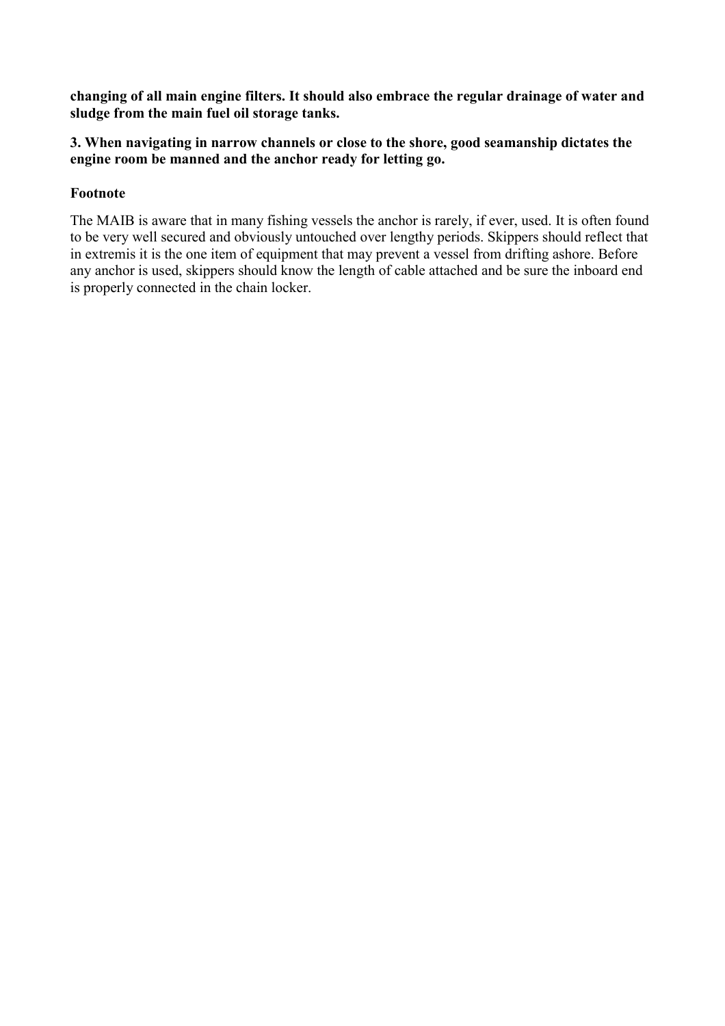<span id="page-44-0"></span>**changing of all main engine filters. It should also embrace the regular drainage of water and sludge from the main fuel oil storage tanks.** 

### **3. When navigating in narrow channels or close to the shore, good seamanship dictates the engine room be manned and the anchor ready for letting go.**

### **Footnote**

The MAIB is aware that in many fishing vessels the anchor is rarely, if ever, used. It is often found to be very well secured and obviously untouched over lengthy periods. Skippers should reflect that in extremis it is the one item of equipment that may prevent a vessel from drifting ashore. Before any anchor is used, skippers should know the length of cable attached and be sure the inboard end is properly connected in the chain locker.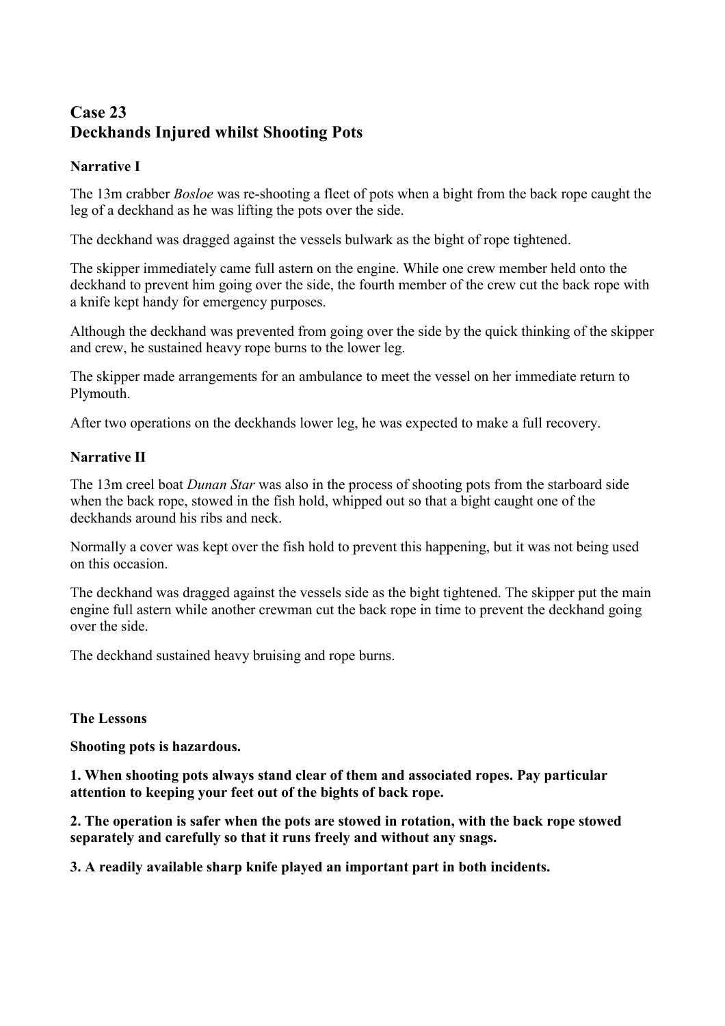## <span id="page-45-0"></span>**Case 23 Deckhands Injured whilst Shooting Pots**

## **Narrative I**

The 13m crabber *Bosloe* was re-shooting a fleet of pots when a bight from the back rope caught the leg of a deckhand as he was lifting the pots over the side.

The deckhand was dragged against the vessels bulwark as the bight of rope tightened.

The skipper immediately came full astern on the engine. While one crew member held onto the deckhand to prevent him going over the side, the fourth member of the crew cut the back rope with a knife kept handy for emergency purposes.

Although the deckhand was prevented from going over the side by the quick thinking of the skipper and crew, he sustained heavy rope burns to the lower leg.

The skipper made arrangements for an ambulance to meet the vessel on her immediate return to Plymouth.

After two operations on the deckhands lower leg, he was expected to make a full recovery.

### **Narrative II**

The 13m creel boat *Dunan Star* was also in the process of shooting pots from the starboard side when the back rope, stowed in the fish hold, whipped out so that a bight caught one of the deckhands around his ribs and neck

Normally a cover was kept over the fish hold to prevent this happening, but it was not being used on this occasion.

The deckhand was dragged against the vessels side as the bight tightened. The skipper put the main engine full astern while another crewman cut the back rope in time to prevent the deckhand going over the side.

The deckhand sustained heavy bruising and rope burns.

## **The Lessons**

**Shooting pots is hazardous.** 

**1. When shooting pots always stand clear of them and associated ropes. Pay particular attention to keeping your feet out of the bights of back rope.** 

**2. The operation is safer when the pots are stowed in rotation, with the back rope stowed separately and carefully so that it runs freely and without any snags.** 

**3. A readily available sharp knife played an important part in both incidents.**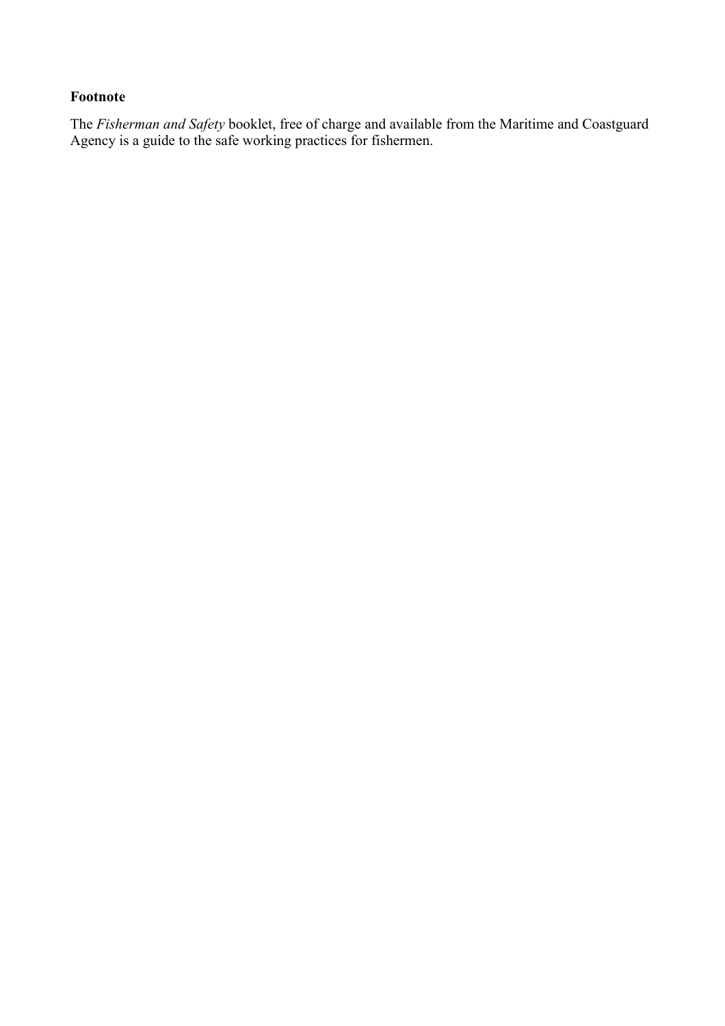#### <span id="page-46-0"></span>**Footnote**

The *Fisherman and Safety* booklet, free of charge and available from the Maritime and Coastguard Agency is a guide to the safe working practices for fishermen.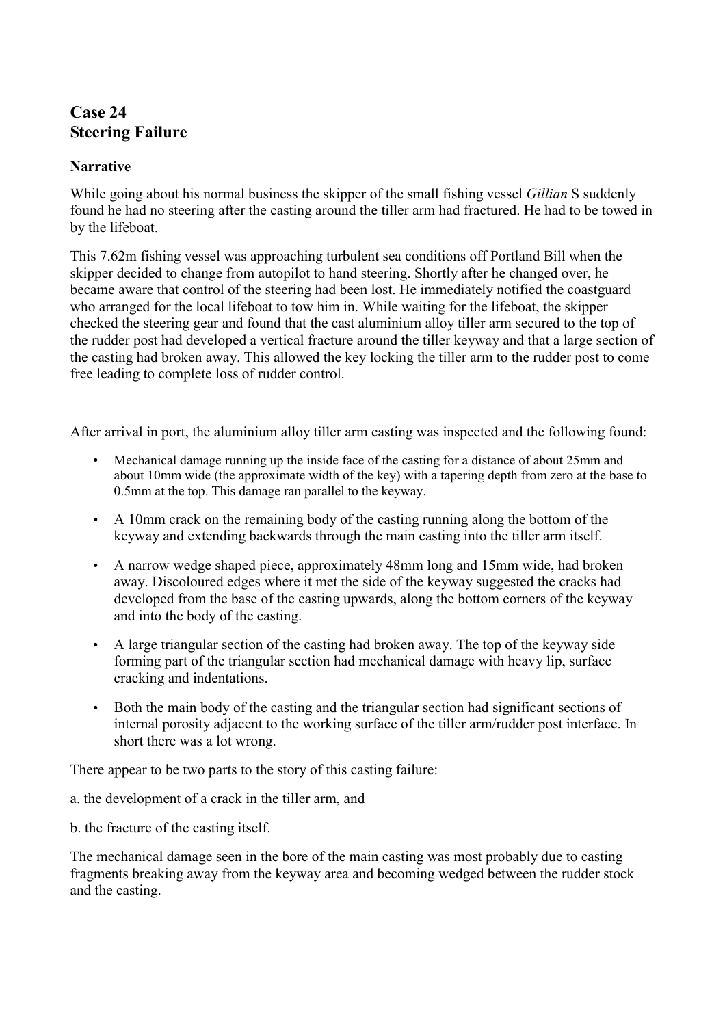## <span id="page-47-0"></span>**Case 24 Steering Failure**

### **Narrative**

While going about his normal business the skipper of the small fishing vessel *Gillian* S suddenly found he had no steering after the casting around the tiller arm had fractured. He had to be towed in by the lifeboat.

This 7.62m fishing vessel was approaching turbulent sea conditions off Portland Bill when the skipper decided to change from autopilot to hand steering. Shortly after he changed over, he became aware that control of the steering had been lost. He immediately notified the coastguard who arranged for the local lifeboat to tow him in. While waiting for the lifeboat, the skipper checked the steering gear and found that the cast aluminium alloy tiller arm secured to the top of the rudder post had developed a vertical fracture around the tiller keyway and that a large section of the casting had broken away. This allowed the key locking the tiller arm to the rudder post to come free leading to complete loss of rudder control.

After arrival in port, the aluminium alloy tiller arm casting was inspected and the following found:

- Mechanical damage running up the inside face of the casting for a distance of about 25mm and about 10mm wide (the approximate width of the key) with a tapering depth from zero at the base to 0.5mm at the top. This damage ran parallel to the keyway.
- A 10mm crack on the remaining body of the casting running along the bottom of the keyway and extending backwards through the main casting into the tiller arm itself.
- A narrow wedge shaped piece, approximately 48mm long and 15mm wide, had broken away. Discoloured edges where it met the side of the keyway suggested the cracks had developed from the base of the casting upwards, along the bottom corners of the keyway and into the body of the casting.
- A large triangular section of the casting had broken away. The top of the keyway side forming part of the triangular section had mechanical damage with heavy lip, surface cracking and indentations.
- Both the main body of the casting and the triangular section had significant sections of internal porosity adjacent to the working surface of the tiller arm/rudder post interface. In short there was a lot wrong.

There appear to be two parts to the story of this casting failure:

a. the development of a crack in the tiller arm, and

b. the fracture of the casting itself.

The mechanical damage seen in the bore of the main casting was most probably due to casting fragments breaking away from the keyway area and becoming wedged between the rudder stock and the casting.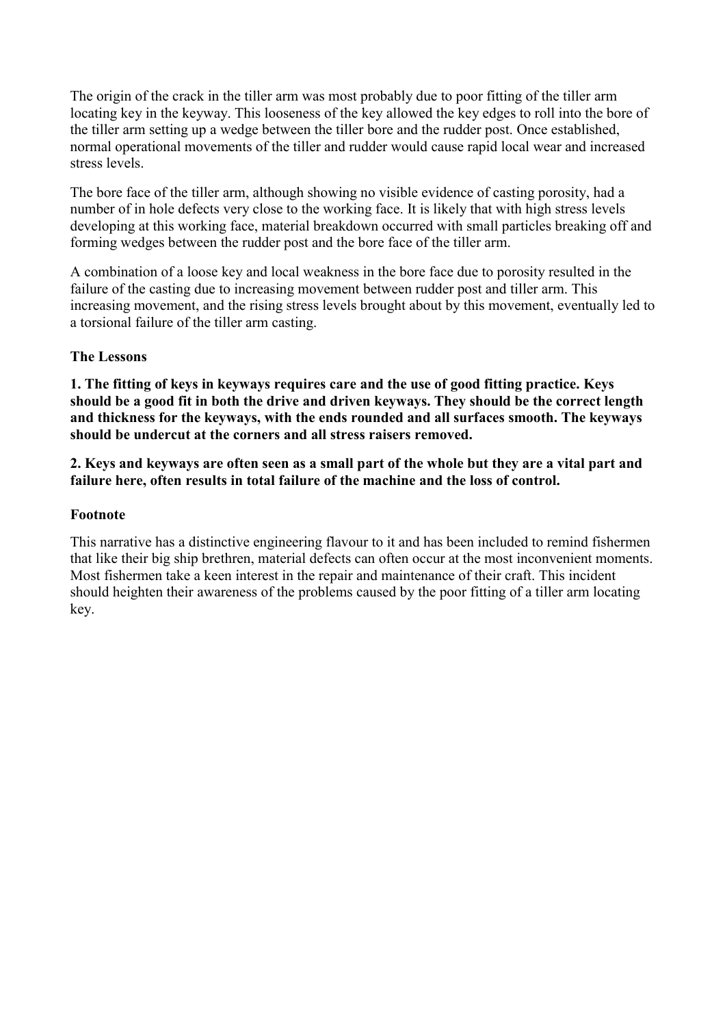<span id="page-48-0"></span>The origin of the crack in the tiller arm was most probably due to poor fitting of the tiller arm locating key in the keyway. This looseness of the key allowed the key edges to roll into the bore of the tiller arm setting up a wedge between the tiller bore and the rudder post. Once established, normal operational movements of the tiller and rudder would cause rapid local wear and increased stress levels.

The bore face of the tiller arm, although showing no visible evidence of casting porosity, had a number of in hole defects very close to the working face. It is likely that with high stress levels developing at this working face, material breakdown occurred with small particles breaking off and forming wedges between the rudder post and the bore face of the tiller arm.

A combination of a loose key and local weakness in the bore face due to porosity resulted in the failure of the casting due to increasing movement between rudder post and tiller arm. This increasing movement, and the rising stress levels brought about by this movement, eventually led to a torsional failure of the tiller arm casting.

### **The Lessons**

**1. The fitting of keys in keyways requires care and the use of good fitting practice. Keys should be a good fit in both the drive and driven keyways. They should be the correct length and thickness for the keyways, with the ends rounded and all surfaces smooth. The keyways should be undercut at the corners and all stress raisers removed.** 

**2. Keys and keyways are often seen as a small part of the whole but they are a vital part and failure here, often results in total failure of the machine and the loss of control.** 

### **Footnote**

This narrative has a distinctive engineering flavour to it and has been included to remind fishermen that like their big ship brethren, material defects can often occur at the most inconvenient moments. Most fishermen take a keen interest in the repair and maintenance of their craft. This incident should heighten their awareness of the problems caused by the poor fitting of a tiller arm locating key.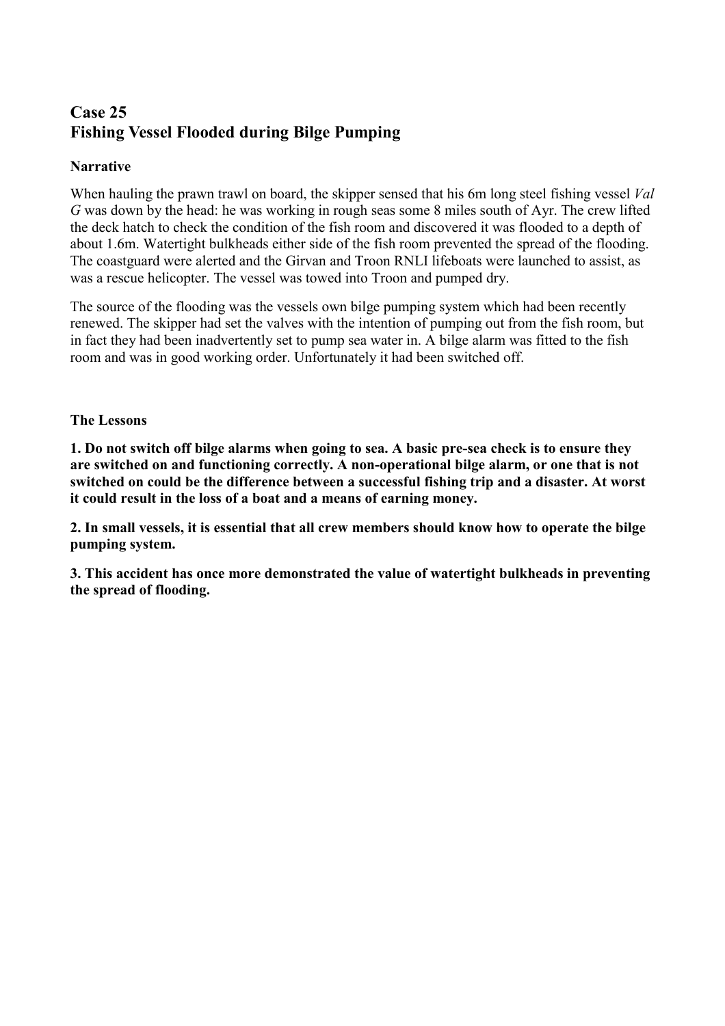## <span id="page-49-0"></span>**Case 25 Fishing Vessel Flooded during Bilge Pumping**

### **Narrative**

When hauling the prawn trawl on board, the skipper sensed that his 6m long steel fishing vessel *Val G* was down by the head: he was working in rough seas some 8 miles south of Ayr. The crew lifted the deck hatch to check the condition of the fish room and discovered it was flooded to a depth of about 1.6m. Watertight bulkheads either side of the fish room prevented the spread of the flooding. The coastguard were alerted and the Girvan and Troon RNLI lifeboats were launched to assist, as was a rescue helicopter. The vessel was towed into Troon and pumped dry.

The source of the flooding was the vessels own bilge pumping system which had been recently renewed. The skipper had set the valves with the intention of pumping out from the fish room, but in fact they had been inadvertently set to pump sea water in. A bilge alarm was fitted to the fish room and was in good working order. Unfortunately it had been switched off.

### **The Lessons**

**1. Do not switch off bilge alarms when going to sea. A basic pre-sea check is to ensure they are switched on and functioning correctly. A non-operational bilge alarm, or one that is not switched on could be the difference between a successful fishing trip and a disaster. At worst it could result in the loss of a boat and a means of earning money.** 

**2. In small vessels, it is essential that all crew members should know how to operate the bilge pumping system.** 

**3. This accident has once more demonstrated the value of watertight bulkheads in preventing the spread of flooding.**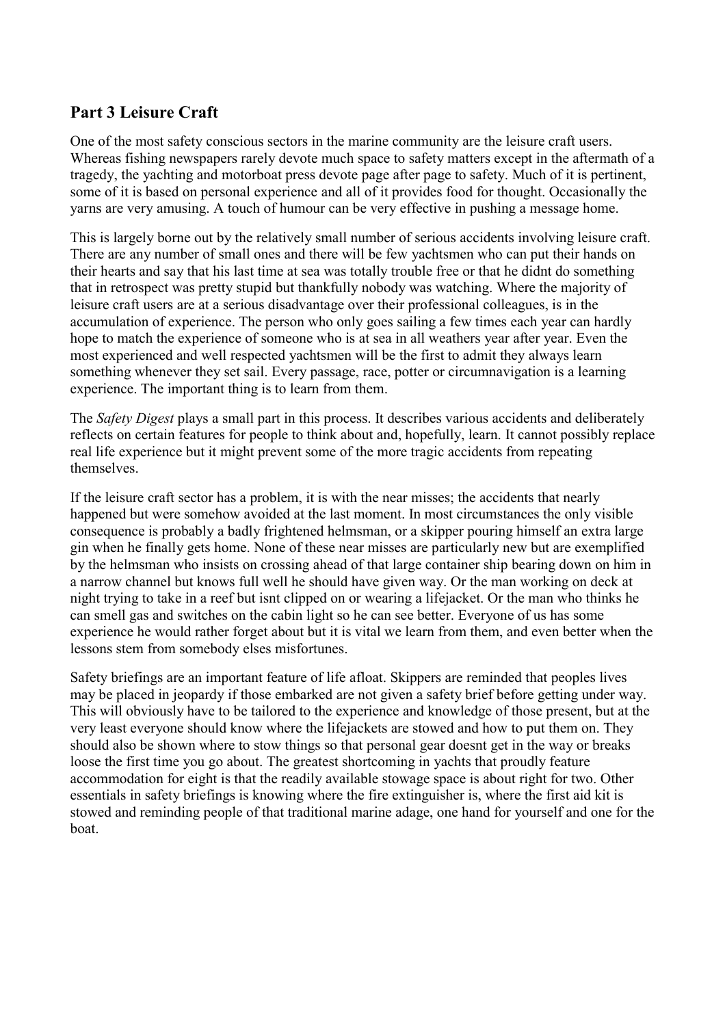## <span id="page-50-0"></span>**Part 3 Leisure Craft**

One of the most safety conscious sectors in the marine community are the leisure craft users. Whereas fishing newspapers rarely devote much space to safety matters except in the aftermath of a tragedy, the yachting and motorboat press devote page after page to safety. Much of it is pertinent, some of it is based on personal experience and all of it provides food for thought. Occasionally the yarns are very amusing. A touch of humour can be very effective in pushing a message home.

This is largely borne out by the relatively small number of serious accidents involving leisure craft. There are any number of small ones and there will be few yachtsmen who can put their hands on their hearts and say that his last time at sea was totally trouble free or that he didnt do something that in retrospect was pretty stupid but thankfully nobody was watching. Where the majority of leisure craft users are at a serious disadvantage over their professional colleagues, is in the accumulation of experience. The person who only goes sailing a few times each year can hardly hope to match the experience of someone who is at sea in all weathers year after year. Even the most experienced and well respected yachtsmen will be the first to admit they always learn something whenever they set sail. Every passage, race, potter or circumnavigation is a learning experience. The important thing is to learn from them.

The *Safety Digest* plays a small part in this process. It describes various accidents and deliberately reflects on certain features for people to think about and, hopefully, learn. It cannot possibly replace real life experience but it might prevent some of the more tragic accidents from repeating themselves.

If the leisure craft sector has a problem, it is with the near misses; the accidents that nearly happened but were somehow avoided at the last moment. In most circumstances the only visible consequence is probably a badly frightened helmsman, or a skipper pouring himself an extra large gin when he finally gets home. None of these near misses are particularly new but are exemplified by the helmsman who insists on crossing ahead of that large container ship bearing down on him in a narrow channel but knows full well he should have given way. Or the man working on deck at night trying to take in a reef but isnt clipped on or wearing a lifejacket. Or the man who thinks he can smell gas and switches on the cabin light so he can see better. Everyone of us has some experience he would rather forget about but it is vital we learn from them, and even better when the lessons stem from somebody elses misfortunes.

Safety briefings are an important feature of life afloat. Skippers are reminded that peoples lives may be placed in jeopardy if those embarked are not given a safety brief before getting under way. This will obviously have to be tailored to the experience and knowledge of those present, but at the very least everyone should know where the lifejackets are stowed and how to put them on. They should also be shown where to stow things so that personal gear doesnt get in the way or breaks loose the first time you go about. The greatest shortcoming in yachts that proudly feature accommodation for eight is that the readily available stowage space is about right for two. Other essentials in safety briefings is knowing where the fire extinguisher is, where the first aid kit is stowed and reminding people of that traditional marine adage, one hand for yourself and one for the boat.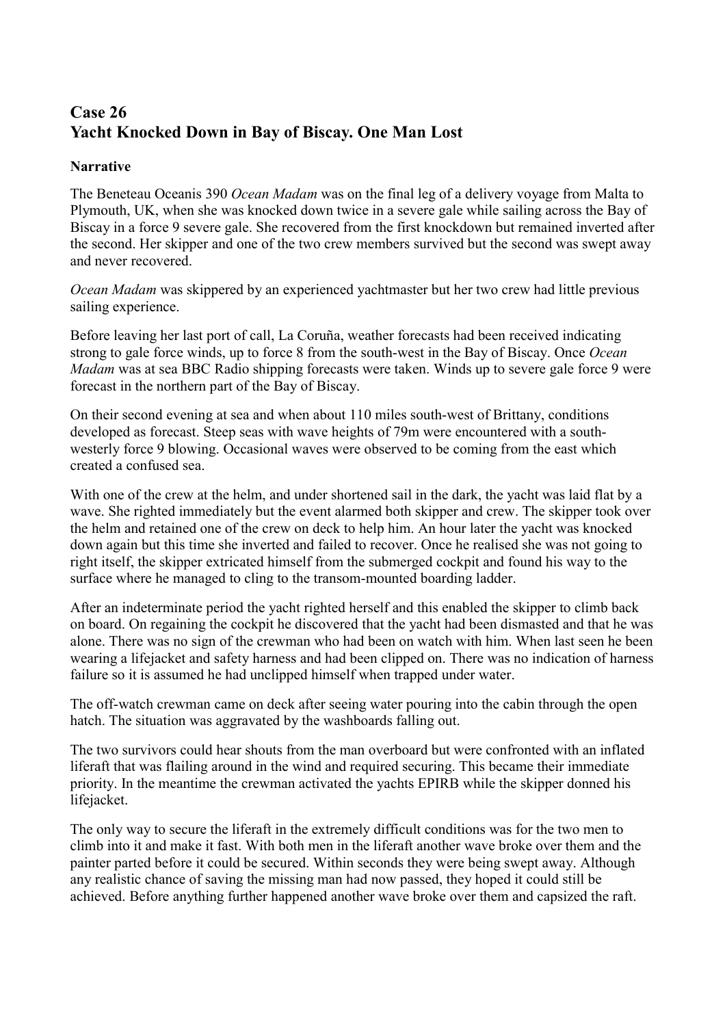## <span id="page-51-0"></span>**Case 26 Yacht Knocked Down in Bay of Biscay. One Man Lost**

### **Narrative**

The Beneteau Oceanis 390 *Ocean Madam* was on the final leg of a delivery voyage from Malta to Plymouth, UK, when she was knocked down twice in a severe gale while sailing across the Bay of Biscay in a force 9 severe gale. She recovered from the first knockdown but remained inverted after the second. Her skipper and one of the two crew members survived but the second was swept away and never recovered.

*Ocean Madam* was skippered by an experienced yachtmaster but her two crew had little previous sailing experience.

Before leaving her last port of call, La Coruña, weather forecasts had been received indicating strong to gale force winds, up to force 8 from the south-west in the Bay of Biscay. Once *Ocean Madam* was at sea BBC Radio shipping forecasts were taken. Winds up to severe gale force 9 were forecast in the northern part of the Bay of Biscay.

On their second evening at sea and when about 110 miles south-west of Brittany, conditions developed as forecast. Steep seas with wave heights of 79m were encountered with a southwesterly force 9 blowing. Occasional waves were observed to be coming from the east which created a confused sea.

With one of the crew at the helm, and under shortened sail in the dark, the yacht was laid flat by a wave. She righted immediately but the event alarmed both skipper and crew. The skipper took over the helm and retained one of the crew on deck to help him. An hour later the yacht was knocked down again but this time she inverted and failed to recover. Once he realised she was not going to right itself, the skipper extricated himself from the submerged cockpit and found his way to the surface where he managed to cling to the transom-mounted boarding ladder.

After an indeterminate period the yacht righted herself and this enabled the skipper to climb back on board. On regaining the cockpit he discovered that the yacht had been dismasted and that he was alone. There was no sign of the crewman who had been on watch with him. When last seen he been wearing a lifejacket and safety harness and had been clipped on. There was no indication of harness failure so it is assumed he had unclipped himself when trapped under water.

The off-watch crewman came on deck after seeing water pouring into the cabin through the open hatch. The situation was aggravated by the washboards falling out.

The two survivors could hear shouts from the man overboard but were confronted with an inflated liferaft that was flailing around in the wind and required securing. This became their immediate priority. In the meantime the crewman activated the yachts EPIRB while the skipper donned his lifejacket.

The only way to secure the liferaft in the extremely difficult conditions was for the two men to climb into it and make it fast. With both men in the liferaft another wave broke over them and the painter parted before it could be secured. Within seconds they were being swept away. Although any realistic chance of saving the missing man had now passed, they hoped it could still be achieved. Before anything further happened another wave broke over them and capsized the raft.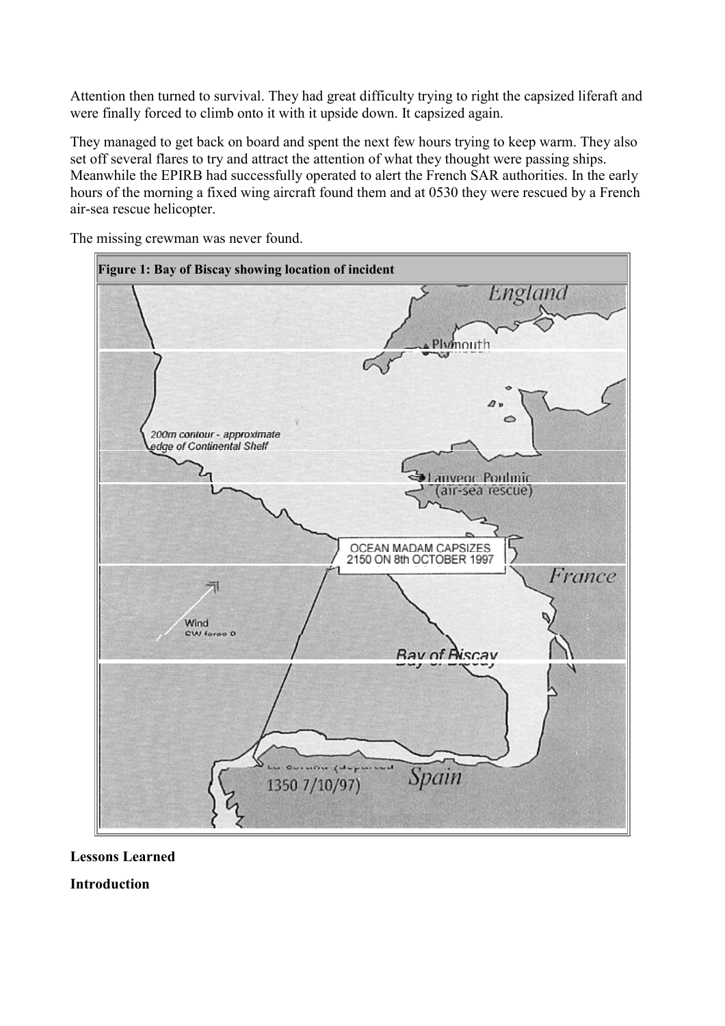<span id="page-52-0"></span>Attention then turned to survival. They had great difficulty trying to right the capsized liferaft and were finally forced to climb onto it with it upside down. It capsized again.

They managed to get back on board and spent the next few hours trying to keep warm. They also set off several flares to try and attract the attention of what they thought were passing ships. Meanwhile the EPIRB had successfully operated to alert the French SAR authorities. In the early hours of the morning a fixed wing aircraft found them and at 0530 they were rescued by a French air-sea rescue helicopter.



The missing crewman was never found.

#### **Lessons Learned**

**Introduction**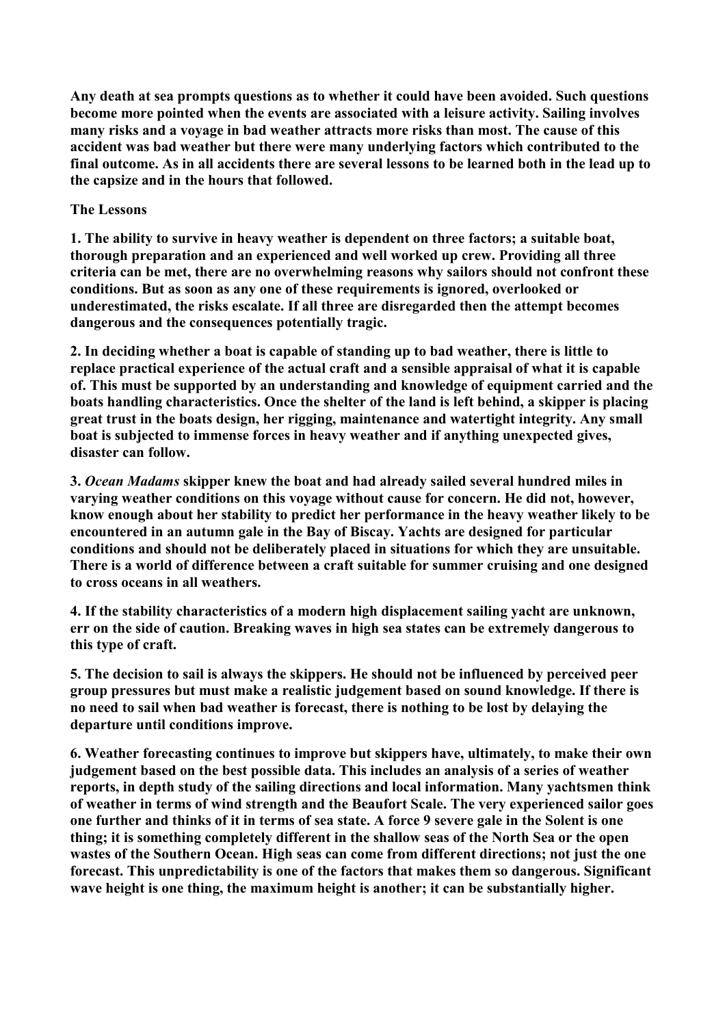**Any death at sea prompts questions as to whether it could have been avoided. Such questions become more pointed when the events are associated with a leisure activity. Sailing involves many risks and a voyage in bad weather attracts more risks than most. The cause of this accident was bad weather but there were many underlying factors which contributed to the final outcome. As in all accidents there are several lessons to be learned both in the lead up to the capsize and in the hours that followed.** 

#### **The Lessons**

**1. The ability to survive in heavy weather is dependent on three factors; a suitable boat, thorough preparation and an experienced and well worked up crew. Providing all three criteria can be met, there are no overwhelming reasons why sailors should not confront these conditions. But as soon as any one of these requirements is ignored, overlooked or underestimated, the risks escalate. If all three are disregarded then the attempt becomes dangerous and the consequences potentially tragic.**

**2. In deciding whether a boat is capable of standing up to bad weather, there is little to replace practical experience of the actual craft and a sensible appraisal of what it is capable of. This must be supported by an understanding and knowledge of equipment carried and the boats handling characteristics. Once the shelter of the land is left behind, a skipper is placing great trust in the boats design, her rigging, maintenance and watertight integrity. Any small boat is subjected to immense forces in heavy weather and if anything unexpected gives, disaster can follow.**

**3.** *Ocean Madams* **skipper knew the boat and had already sailed several hundred miles in varying weather conditions on this voyage without cause for concern. He did not, however, know enough about her stability to predict her performance in the heavy weather likely to be encountered in an autumn gale in the Bay of Biscay. Yachts are designed for particular conditions and should not be deliberately placed in situations for which they are unsuitable. There is a world of difference between a craft suitable for summer cruising and one designed to cross oceans in all weathers.** 

**4. If the stability characteristics of a modern high displacement sailing yacht are unknown, err on the side of caution. Breaking waves in high sea states can be extremely dangerous to this type of craft.** 

**5. The decision to sail is always the skippers. He should not be influenced by perceived peer group pressures but must make a realistic judgement based on sound knowledge. If there is no need to sail when bad weather is forecast, there is nothing to be lost by delaying the departure until conditions improve.** 

**6. Weather forecasting continues to improve but skippers have, ultimately, to make their own judgement based on the best possible data. This includes an analysis of a series of weather reports, in depth study of the sailing directions and local information. Many yachtsmen think of weather in terms of wind strength and the Beaufort Scale. The very experienced sailor goes one further and thinks of it in terms of sea state. A force 9 severe gale in the Solent is one thing; it is something completely different in the shallow seas of the North Sea or the open wastes of the Southern Ocean. High seas can come from different directions; not just the one forecast. This unpredictability is one of the factors that makes them so dangerous. Significant wave height is one thing, the maximum height is another; it can be substantially higher.**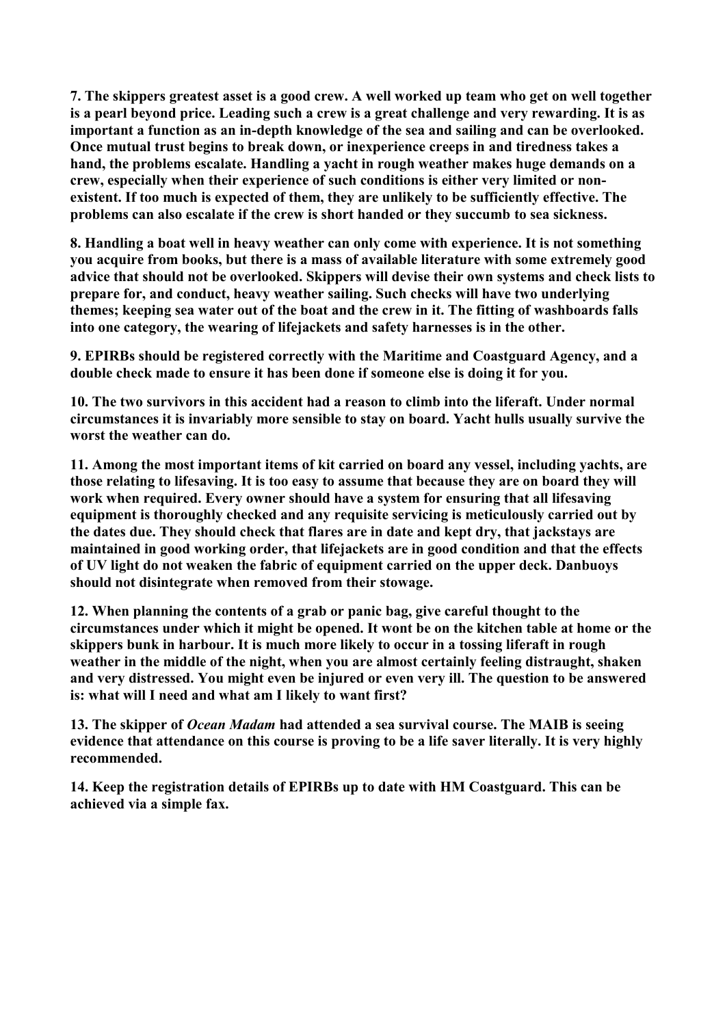**7. The skippers greatest asset is a good crew. A well worked up team who get on well together is a pearl beyond price. Leading such a crew is a great challenge and very rewarding. It is as important a function as an in-depth knowledge of the sea and sailing and can be overlooked. Once mutual trust begins to break down, or inexperience creeps in and tiredness takes a hand, the problems escalate. Handling a yacht in rough weather makes huge demands on a crew, especially when their experience of such conditions is either very limited or nonexistent. If too much is expected of them, they are unlikely to be sufficiently effective. The problems can also escalate if the crew is short handed or they succumb to sea sickness.** 

**8. Handling a boat well in heavy weather can only come with experience. It is not something you acquire from books, but there is a mass of available literature with some extremely good advice that should not be overlooked. Skippers will devise their own systems and check lists to prepare for, and conduct, heavy weather sailing. Such checks will have two underlying themes; keeping sea water out of the boat and the crew in it. The fitting of washboards falls into one category, the wearing of lifejackets and safety harnesses is in the other.** 

**9. EPIRBs should be registered correctly with the Maritime and Coastguard Agency, and a double check made to ensure it has been done if someone else is doing it for you.** 

**10. The two survivors in this accident had a reason to climb into the liferaft. Under normal circumstances it is invariably more sensible to stay on board. Yacht hulls usually survive the worst the weather can do.**

**11. Among the most important items of kit carried on board any vessel, including yachts, are those relating to lifesaving. It is too easy to assume that because they are on board they will work when required. Every owner should have a system for ensuring that all lifesaving equipment is thoroughly checked and any requisite servicing is meticulously carried out by the dates due. They should check that flares are in date and kept dry, that jackstays are maintained in good working order, that lifejackets are in good condition and that the effects of UV light do not weaken the fabric of equipment carried on the upper deck. Danbuoys should not disintegrate when removed from their stowage.** 

**12. When planning the contents of a grab or panic bag, give careful thought to the circumstances under which it might be opened. It wont be on the kitchen table at home or the skippers bunk in harbour. It is much more likely to occur in a tossing liferaft in rough weather in the middle of the night, when you are almost certainly feeling distraught, shaken and very distressed. You might even be injured or even very ill. The question to be answered is: what will I need and what am I likely to want first?** 

**13. The skipper of** *Ocean Madam* **had attended a sea survival course. The MAIB is seeing evidence that attendance on this course is proving to be a life saver literally. It is very highly recommended.** 

**14. Keep the registration details of EPIRBs up to date with HM Coastguard. This can be achieved via a simple fax.**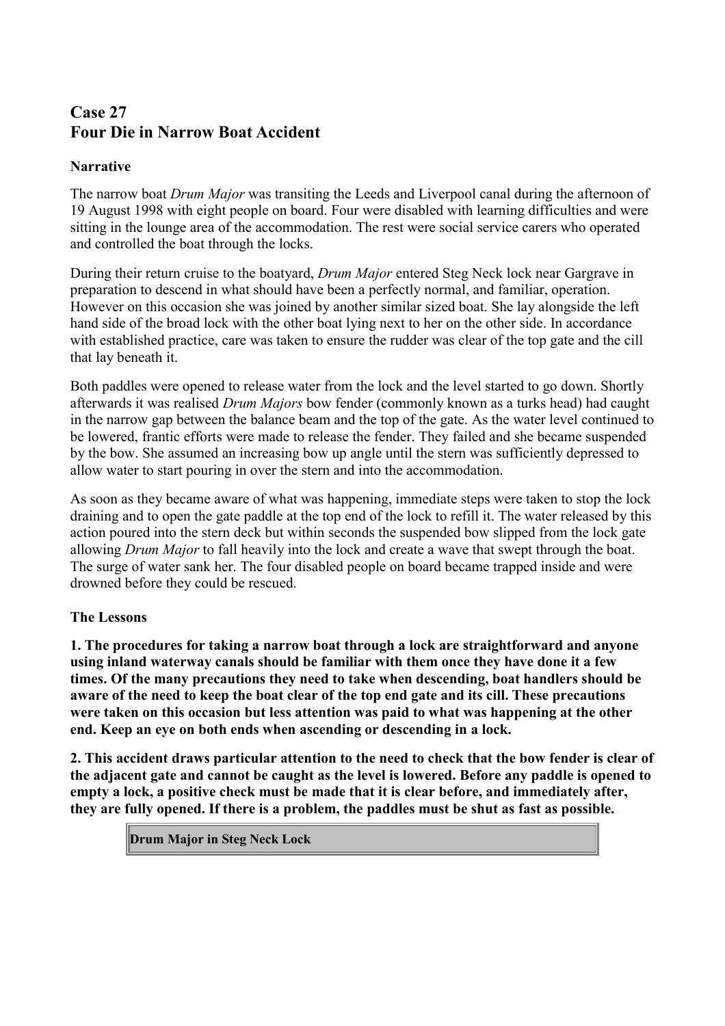## <span id="page-55-0"></span>**Case 27 Four Die in Narrow Boat Accident**

## **Narrative**

The narrow boat *Drum Major* was transiting the Leeds and Liverpool canal during the afternoon of 19 August 1998 with eight people on board. Four were disabled with learning difficulties and were sitting in the lounge area of the accommodation. The rest were social service carers who operated and controlled the boat through the locks.

During their return cruise to the boatyard, *Drum Major* entered Steg Neck lock near Gargrave in preparation to descend in what should have been a perfectly normal, and familiar, operation. However on this occasion she was joined by another similar sized boat. She lay alongside the left hand side of the broad lock with the other boat lying next to her on the other side. In accordance with established practice, care was taken to ensure the rudder was clear of the top gate and the cill that lay beneath it.

Both paddles were opened to release water from the lock and the level started to go down. Shortly afterwards it was realised *Drum Majors* bow fender (commonly known as a turks head) had caught in the narrow gap between the balance beam and the top of the gate. As the water level continued to be lowered, frantic efforts were made to release the fender. They failed and she became suspended by the bow. She assumed an increasing bow up angle until the stern was sufficiently depressed to allow water to start pouring in over the stern and into the accommodation.

As soon as they became aware of what was happening, immediate steps were taken to stop the lock draining and to open the gate paddle at the top end of the lock to refill it. The water released by this action poured into the stern deck but within seconds the suspended bow slipped from the lock gate allowing *Drum Major* to fall heavily into the lock and create a wave that swept through the boat. The surge of water sank her. The four disabled people on board became trapped inside and were drowned before they could be rescued.

### **The Lessons**

**1. The procedures for taking a narrow boat through a lock are straightforward and anyone using inland waterway canals should be familiar with them once they have done it a few times. Of the many precautions they need to take when descending, boat handlers should be aware of the need to keep the boat clear of the top end gate and its cill. These precautions were taken on this occasion but less attention was paid to what was happening at the other end. Keep an eye on both ends when ascending or descending in a lock.** 

**2. This accident draws particular attention to the need to check that the bow fender is clear of the adjacent gate and cannot be caught as the level is lowered. Before any paddle is opened to empty a lock, a positive check must be made that it is clear before, and immediately after, they are fully opened. If there is a problem, the paddles must be shut as fast as possible.**

**Drum Major in Steg Neck Lock**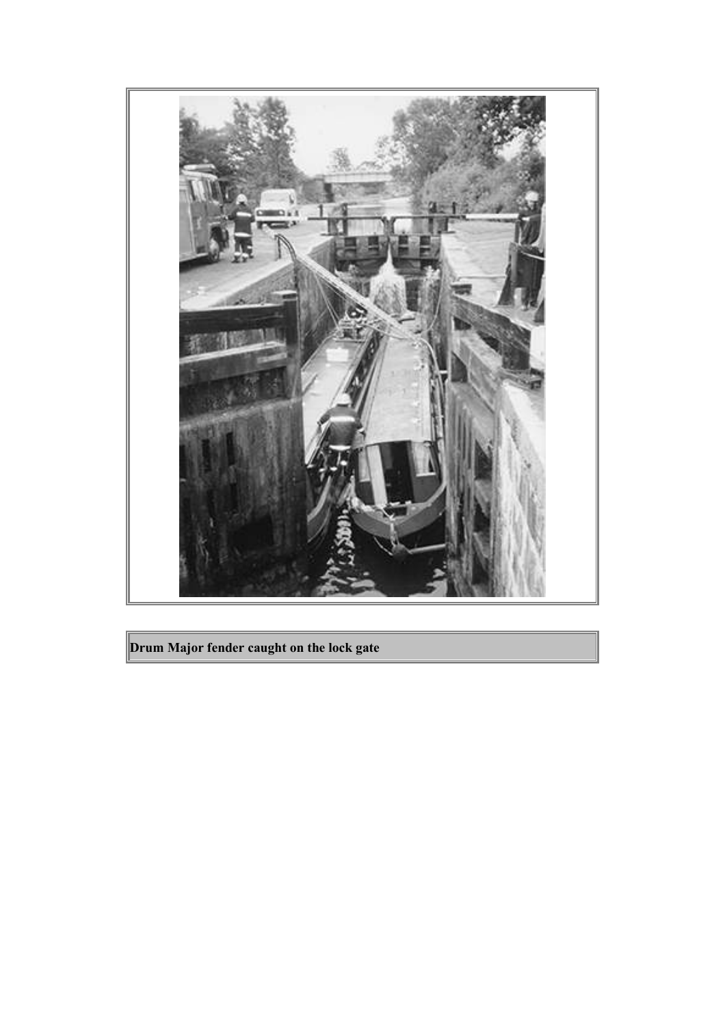

**Drum Major fender caught on the lock gate**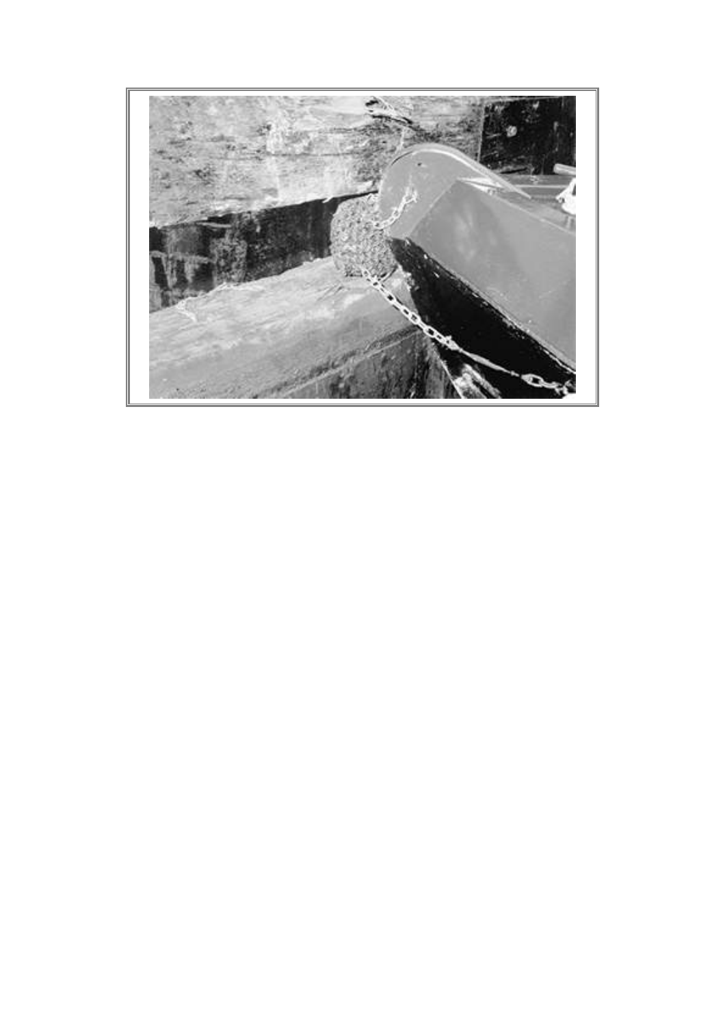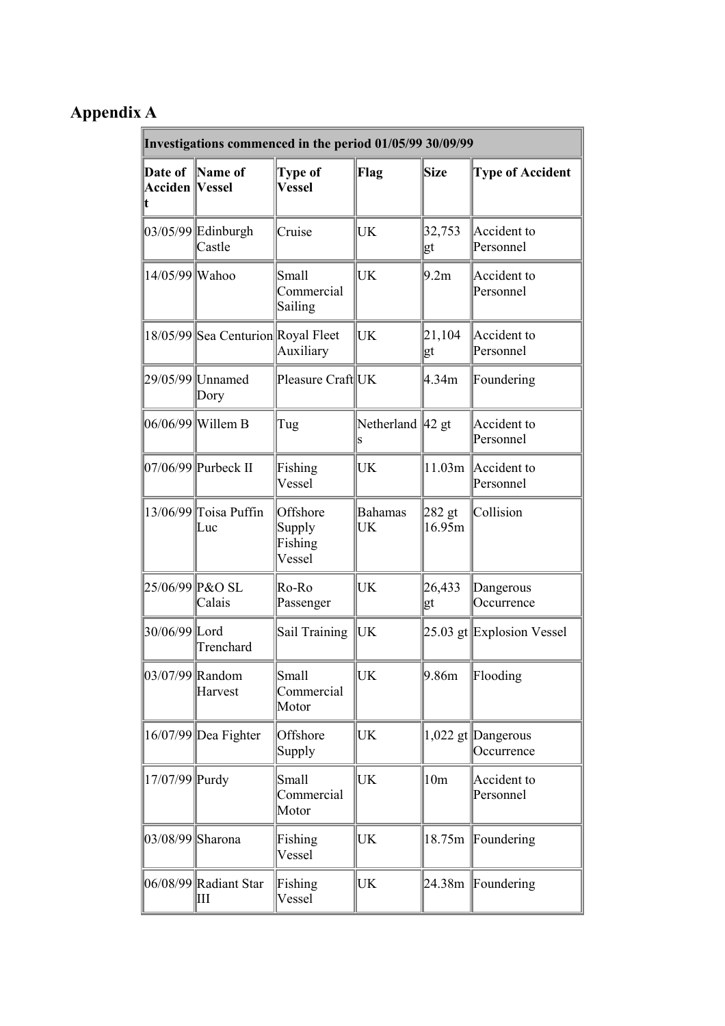# <span id="page-58-0"></span>**Appendix A**

| Investigations commenced in the period 01/05/99 30/09/99 |                                    |                                         |                                   |                  |                                  |
|----------------------------------------------------------|------------------------------------|-----------------------------------------|-----------------------------------|------------------|----------------------------------|
| Acciden   Vessel<br>t                                    | Date of Name of                    | <b>Type of</b><br><b>Vessel</b>         | Flag                              | <b>Size</b>      | <b>Type of Accident</b>          |
|                                                          | 03/05/99 Edinburgh<br>Castle       | Cruise                                  | UK                                | 32,753<br>gt     | Accident to<br>Personnel         |
| 14/05/99 Wahoo                                           |                                    | Small<br>Commercial<br>Sailing          | UK                                | 9.2m             | Accident to<br>Personnel         |
|                                                          | 18/05/99 Sea Centurion Royal Fleet | Auxiliary                               | UK                                | 21,104<br>gt     | Accident to<br>Personnel         |
|                                                          | 29/05/99 Unnamed<br>Dory           | Pleasure Craft UK                       |                                   | 4.34m            | Foundering                       |
|                                                          | 06/06/99 Willem B                  | Tug                                     | Netherland $ 42 \text{ gt} $<br>S |                  | Accident to<br>Personnel         |
|                                                          | $07/06/99$ Purbeck II              | Fishing<br>Vessel                       | UK                                | 11.03m           | Accident to<br>Personnel         |
|                                                          | $13/06/99$ Toisa Puffin<br>Luc     | Offshore<br>Supply<br>Fishing<br>Vessel | <b>Bahamas</b><br>UK              | 282 gt<br>16.95m | Collision                        |
| 25/06/99 P&O SL                                          | Calais                             | Ro-Ro<br>Passenger                      | UK                                | 26,433<br>gt     | Dangerous<br>Occurrence          |
| 30/06/99  Lord                                           | Trenchard                          | Sail Training                           | UK                                |                  | 25.03 $gt$ Explosion Vessel      |
| 03/07/99 Random                                          | Harvest                            | Small<br>Commercial<br>Motor            | UK                                | 9.86m            | Flooding                         |
|                                                          | $16/07/99$ Dea Fighter             | Offshore<br>Supply                      | <b>UK</b>                         |                  | 1,022 gt Dangerous<br>Occurrence |
| $17/07/99$ Purdy                                         |                                    | Small<br>Commercial<br>Motor            | UK                                | 10 <sub>m</sub>  | Accident to<br>Personnel         |
| 03/08/99 Sharona                                         |                                    | Fishing<br>Vessel                       | UK                                |                  | 18.75m Foundering                |
|                                                          | 06/08/99 Radiant Star<br>Ш         | Fishing<br>Vessel                       | UK                                |                  | 24.38 $m$ Foundering             |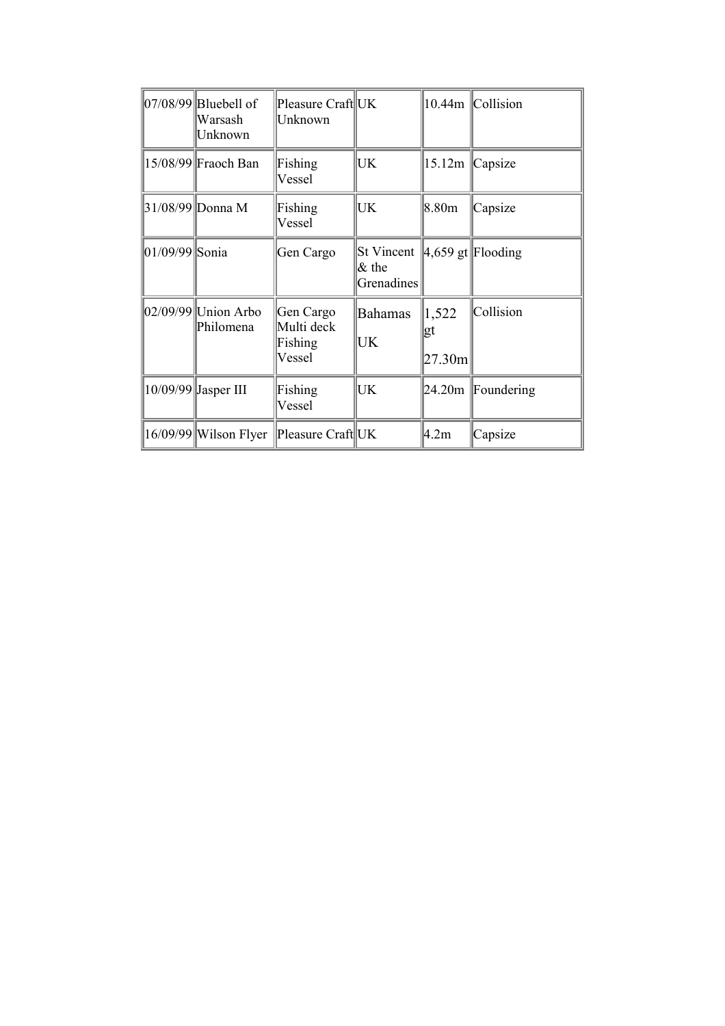|                | $\ 07/08/99\ $ Bluebell of<br>Warsash<br>Unknown | Pleasure Craft  UK<br>Unknown                   |                                                                      |                       | $10.44m$ Collision  |
|----------------|--------------------------------------------------|-------------------------------------------------|----------------------------------------------------------------------|-----------------------|---------------------|
|                | 15/08/99 Fraoch Ban                              | Fishing<br>Vessel                               | UK                                                                   |                       | 15.12m $\ C$ apsize |
|                | 31/08/99 Donna M                                 | Fishing<br>Vessel                               | UK                                                                   | 8.80m                 | Capsize             |
| 01/09/99 Sonia |                                                  | Gen Cargo                                       | St Vincent $\ 4,659 \text{ gt}\ $ Flooding<br>$\&$ the<br>Grenadines |                       |                     |
|                | $02/09/99$ Union Arbo<br>Philomena               | Gen Cargo<br>Multi deck<br>Fishing<br>Vessel    | <b>Bahamas</b><br>UK                                                 | 1,522<br>gt<br>27.30m | Collision           |
|                | 10/09/99 Jasper III                              | Fishing<br>Vessel                               | UK                                                                   |                       | $24.20m$ Foundering |
|                | $16/09/99$ Wilson Flyer                          | $\blacksquare$ Pleasure Craft $\blacksquare$ UK |                                                                      | 4.2m                  | Capsize             |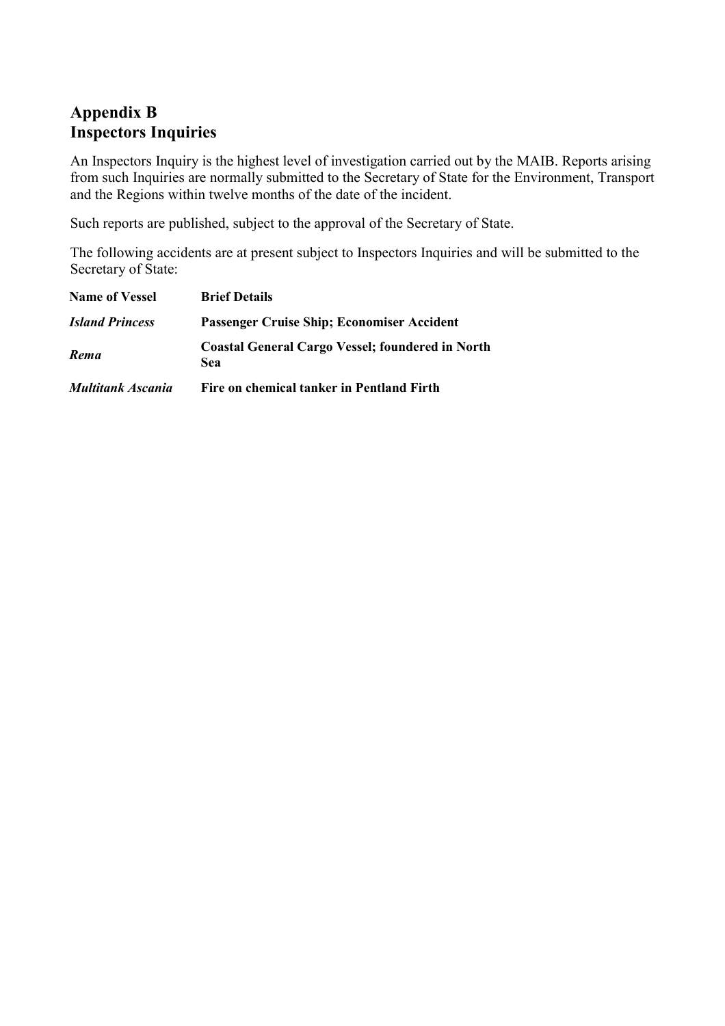## <span id="page-60-0"></span>**Appendix B Inspectors Inquiries**

An Inspectors Inquiry is the highest level of investigation carried out by the MAIB. Reports arising from such Inquiries are normally submitted to the Secretary of State for the Environment, Transport and the Regions within twelve months of the date of the incident.

Such reports are published, subject to the approval of the Secretary of State.

The following accidents are at present subject to Inspectors Inquiries and will be submitted to the Secretary of State:

| <b>Name of Vessel</b>  | <b>Brief Details</b>                                           |
|------------------------|----------------------------------------------------------------|
| <b>Island Princess</b> | <b>Passenger Cruise Ship; Economiser Accident</b>              |
| Rema                   | <b>Coastal General Cargo Vessel; foundered in North</b><br>Sea |
| Multitank Ascania      | Fire on chemical tanker in Pentland Firth                      |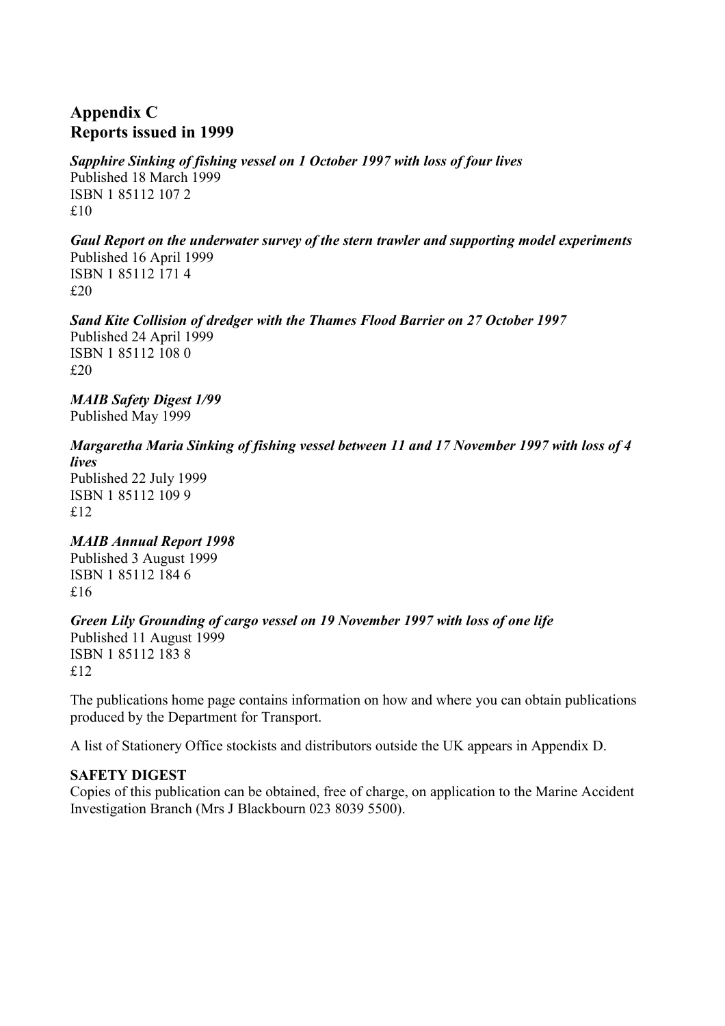## <span id="page-61-0"></span>**Appendix C Reports issued in 1999**

*Sapphire Sinking of fishing vessel on 1 October 1997 with loss of four lives*  Published 18 March 1999 ISBN 1 85112 107 2 £10

*Gaul Report on the underwater survey of the stern trawler and supporting model experiments*  Published 16 April 1999 ISBN 1 85112 171 4 £20

*Sand Kite Collision of dredger with the Thames Flood Barrier on 27 October 1997*  Published 24 April 1999 ISBN 1 85112 108 0 £20

*MAIB Safety Digest 1/99*  Published May 1999

*Margaretha Maria Sinking of fishing vessel between 11 and 17 November 1997 with loss of 4 lives*  Published 22 July 1999 ISBN 1 85112 109 9 £12

## *MAIB Annual Report 1998*

Published 3 August 1999 ISBN 1 85112 184 6 £16

#### *Green Lily Grounding of cargo vessel on 19 November 1997 with loss of one life*  Published 11 August 1999 ISBN 1 85112 183 8

£12

The publications home page contains information on how and where you can obtain publications produced by the Department for Transport.

A list of Stationery Office stockists and distributors outside the UK appears in Appendix D.

### **SAFETY DIGEST**

Copies of this publication can be obtained, free of charge, on application to the Marine Accident Investigation Branch (Mrs J Blackbourn 023 8039 5500).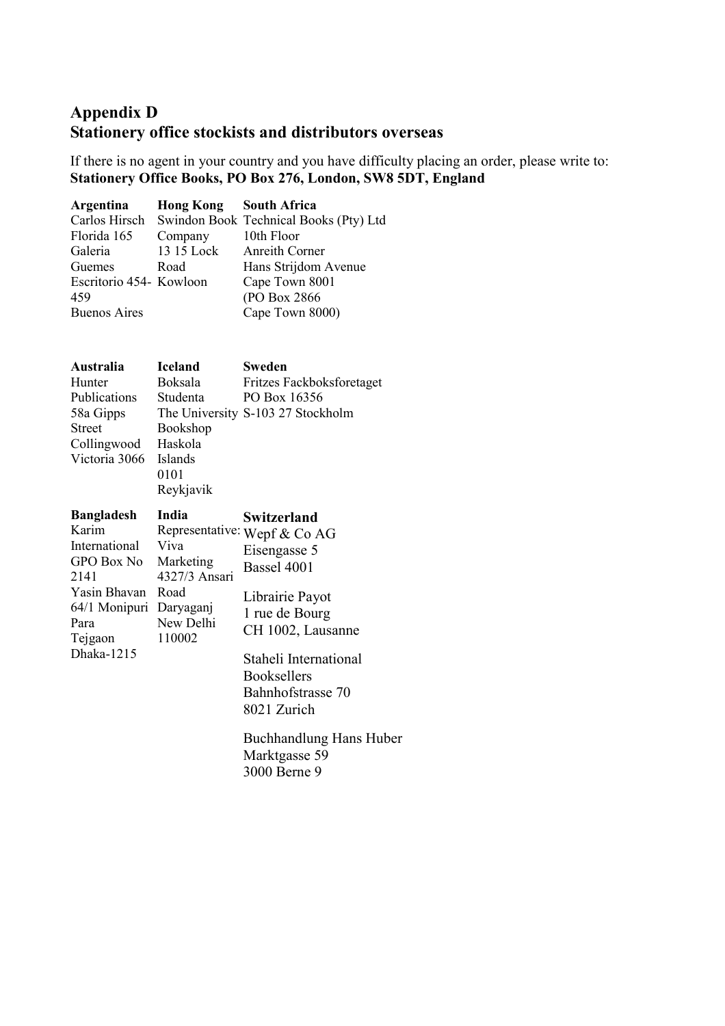## <span id="page-62-0"></span>**Appendix D Stationery office stockists and distributors overseas**

If there is no agent in your country and you have difficulty placing an order, please write to: **Stationery Office Books, PO Box 276, London, SW8 5DT, England** 

| Argentina               | <b>Hong Kong</b> South Africa |                                                      |
|-------------------------|-------------------------------|------------------------------------------------------|
|                         |                               | Carlos Hirsch Swindon Book Technical Books (Pty) Ltd |
| Florida 165             | Company                       | 10th Floor                                           |
| Galeria                 | 13 15 Lock                    | Anreith Corner                                       |
| Guemes                  | Road                          | Hans Strijdom Avenue                                 |
| Escritorio 454- Kowloon |                               | Cape Town 8001                                       |
| 459                     |                               | (PO Box 2866)                                        |
| <b>Buenos Aires</b>     |                               | Cape Town 8000)                                      |

| Australia         | <b>Iceland</b> | <b>Sweden</b>                                                                                                                                                                                                                                                                                                                                                           |
|-------------------|----------------|-------------------------------------------------------------------------------------------------------------------------------------------------------------------------------------------------------------------------------------------------------------------------------------------------------------------------------------------------------------------------|
| Hunter            | Boksala        | Fritzes Fackboksforetaget                                                                                                                                                                                                                                                                                                                                               |
| Publications      | Studenta       | PO Box 16356                                                                                                                                                                                                                                                                                                                                                            |
| 58a Gipps         |                | The University S-103 27 Stockholm                                                                                                                                                                                                                                                                                                                                       |
| <b>Street</b>     | Bookshop       |                                                                                                                                                                                                                                                                                                                                                                         |
| Collingwood       | Haskola        |                                                                                                                                                                                                                                                                                                                                                                         |
| Victoria 3066     | <b>Islands</b> |                                                                                                                                                                                                                                                                                                                                                                         |
|                   | 0101           |                                                                                                                                                                                                                                                                                                                                                                         |
|                   | Reykjavik      |                                                                                                                                                                                                                                                                                                                                                                         |
| <b>Bangladesh</b> | India          | Switzerland                                                                                                                                                                                                                                                                                                                                                             |
| $V \sim$          |                | $D_{\alpha}$ procentative $\overline{X}$ $\overline{Y}$ $\overline{Y}$ $\overline{Y}$ $\overline{Y}$ $\overline{Y}$ $\overline{Y}$ $\overline{Y}$ $\overline{Y}$ $\overline{Y}$ $\overline{Y}$ $\overline{Y}$ $\overline{Y}$ $\overline{Y}$ $\overline{Y}$ $\overline{Y}$ $\overline{Y}$ $\overline{Y}$ $\overline{Y}$ $\overline{Y}$ $\overline{Y}$ $\overline{Y}$ $\$ |

| Karim         |               | Representative: Wepf & Co AG |
|---------------|---------------|------------------------------|
| International | Viva          | Eisengasse 5                 |
| GPO Box No    | Marketing     | Bassel 4001                  |
| 2141          | 4327/3 Ansari |                              |
| Yasin Bhavan  | Road          | Librairie Payot              |
| 64/1 Monipuri | Daryaganj     | 1 rue de Bourg               |
| Para          | New Delhi     | CH 1002, Lausanne            |
| Tejgaon       | 110002        |                              |
| Dhaka-1215    |               | Staheli International        |
|               |               | <b>Booksellers</b>           |
|               |               | Bahnhofstrasse 70            |
|               |               | 8021 Zurich                  |
|               |               |                              |

Buchhandlung Hans Huber Marktgasse 59 3000 Berne 9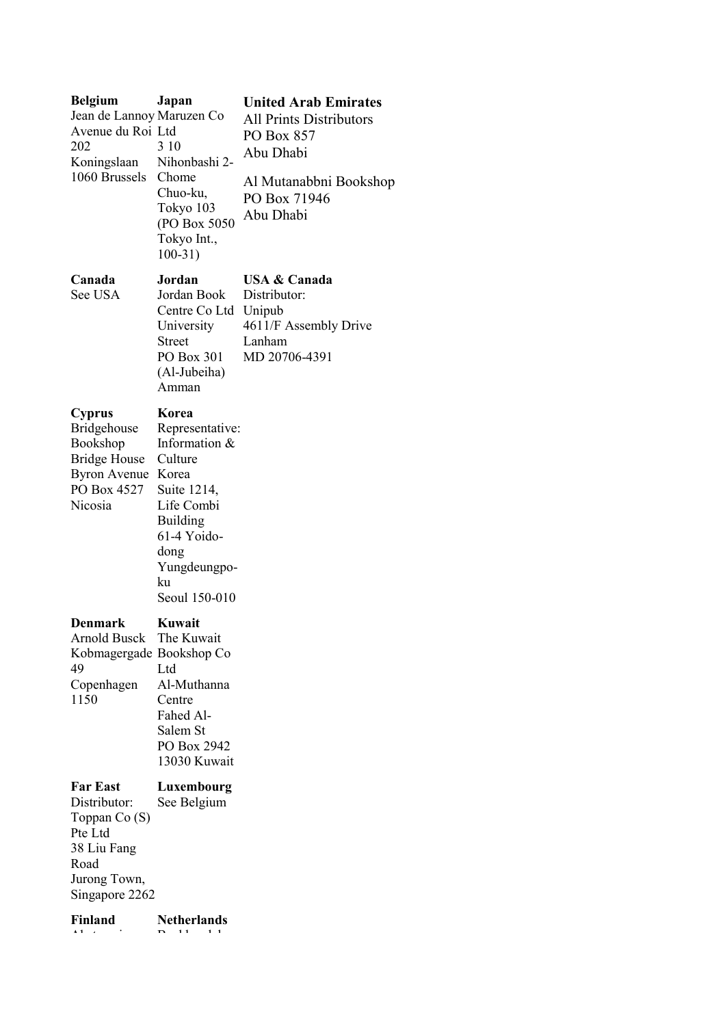| <b>Belgium</b><br>Jean de Lannoy Maruzen Co<br>Avenue du Roi Ltd<br>202<br>Koningslaan<br>1060 Brussels                 | Japan<br>3 10<br>Nihonbashi 2-<br>Chome<br>Chuo-ku,<br>Tokyo 103<br>(PO Box 5050<br>Tokyo Int.,<br>$100-31)$                                                                | <b>United Arab Emirates</b><br><b>All Prints Distributors</b><br>PO Box 857<br>Abu Dhabi<br>Al Mutanabbni Bookshop<br>PO Box 71946<br>Abu Dhabi |
|-------------------------------------------------------------------------------------------------------------------------|-----------------------------------------------------------------------------------------------------------------------------------------------------------------------------|-------------------------------------------------------------------------------------------------------------------------------------------------|
| Canada<br>See USA                                                                                                       | Jordan<br>Jordan Book<br>Centre Co Ltd<br>University<br>Street<br>PO Box 301<br>(Al-Jubeiha)<br>Amman                                                                       | <b>USA &amp; Canada</b><br>Distributor:<br>Unipub<br>4611/F Assembly Drive<br>Lanham<br>MD 20706-4391                                           |
| <b>Cyprus</b><br><b>Bridgehouse</b><br>Bookshop<br><b>Bridge House</b><br><b>Byron Avenue</b><br>PO Box 4527<br>Nicosia | Korea<br>Representative:<br>Information &<br>Culture<br>Korea<br>Suite 1214,<br>Life Combi<br><b>Building</b><br>61-4 Yoido-<br>dong<br>Yungdeungpo-<br>ku<br>Seoul 150-010 |                                                                                                                                                 |
| <b>Denmark</b><br>Arnold Busck<br>Kobmagergade Bookshop Co<br>49<br>Copenhagen<br>1150                                  | Kuwait<br>The Kuwait<br>Ltd<br>Al-Muthanna<br>Centre<br>Fahed Al-<br>Salem St<br>PO Box 2942<br>13030 Kuwait                                                                |                                                                                                                                                 |
| <b>Far East</b><br>Distributor:<br>Toppan Co (S)<br>Pte Ltd<br>38 Liu Fang<br>Road<br>Jurong Town,<br>Singapore 2262    | Luxembourg<br>See Belgium                                                                                                                                                   |                                                                                                                                                 |
| Finland                                                                                                                 | Netherlands                                                                                                                                                                 |                                                                                                                                                 |